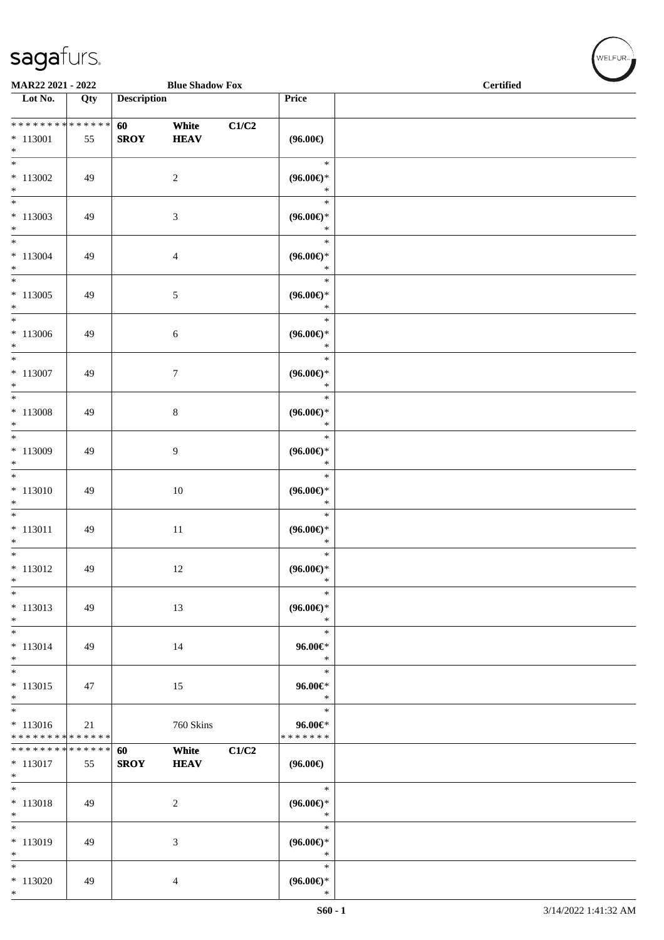|                                       | sagafurs. |                    |                        |       |                                    |                  |  |  |  |  |  |
|---------------------------------------|-----------|--------------------|------------------------|-------|------------------------------------|------------------|--|--|--|--|--|
| MAR22 2021 - 2022                     |           |                    | <b>Blue Shadow Fox</b> |       |                                    | <b>Certified</b> |  |  |  |  |  |
| Lot No.                               | Qty       | <b>Description</b> |                        |       | <b>Price</b>                       |                  |  |  |  |  |  |
| **************<br>$*113001$<br>$\ast$ | 55        | 60<br><b>SROY</b>  | White<br><b>HEAV</b>   | C1/C2 | $(96.00\epsilon)$                  |                  |  |  |  |  |  |
| $\ast$<br>$*113002$<br>$\ast$         | 49        |                    | $\overline{c}$         |       | $\ast$<br>$(96.00\epsilon)$ *<br>* |                  |  |  |  |  |  |
| $\ast$<br>$*113003$<br>$\ast$         | 49        |                    | 3                      |       | $\ast$<br>$(96.00\epsilon)$ *<br>* |                  |  |  |  |  |  |
| $\ast$<br>$*113004$<br>$\ast$         | 49        |                    | 4                      |       | $\ast$<br>$(96.00\epsilon)$ *<br>* |                  |  |  |  |  |  |
| $\ast$<br>113005<br>$*$<br>$\ast$     | 49        |                    | 5                      |       | $\ast$<br>$(96.00\epsilon)$ *<br>∗ |                  |  |  |  |  |  |

\*

\*

\*

\*

\*

\*

\*

\*

\* \* **96.00€** \*

\* \* **96.00€** \*

\* \* **96.00€** \* \* \* \* \* \* \*

\*

\*

\*

**(96.00€)**

\* **(96.00€)** \*

\* **(96.00€)** \*

\* **(96.00€)**

\* **(96.00€)** \*

\* **(96.00€)** \*

\* **(96.00€)** \*

\* **(96.00€)** \*

\* **(96.00€)** \*

\* **(96.00€)** \*

\* **(96.00€)** \*

\* **(96.00€)** \*

\*

\*

\*

\*

\*

\*

\*

\*

\*

\*

\*

\*

\*

\*

\*

\*

\*

\*

\*

\*

\*

\*

\*

\*

\*

\*

\*

\*

\* 113016

\* \* \* \* \* \* \* \* \* \* \* \* \* \*

**\* \* \* \* \* \* \* \* \* \* \* \* \*** \* 113017 55

\* 113006 49 6

\* 113007 49 7

\* 113008 49 8

\* 113009 49 9

\* 113010 | 49 | 10

\* 113011 | 49 | 11

\* 113012 49 12

\* 113013 | 49 | 13

\* 113014 | 49 | 14

\* 113015 | 47 | 15

\* 113018 49 2

\* 113019 49 3

\* 113020 49 4

21 760 Skins

**SROY HEAV**

**60 White C1/C2**

WELFUR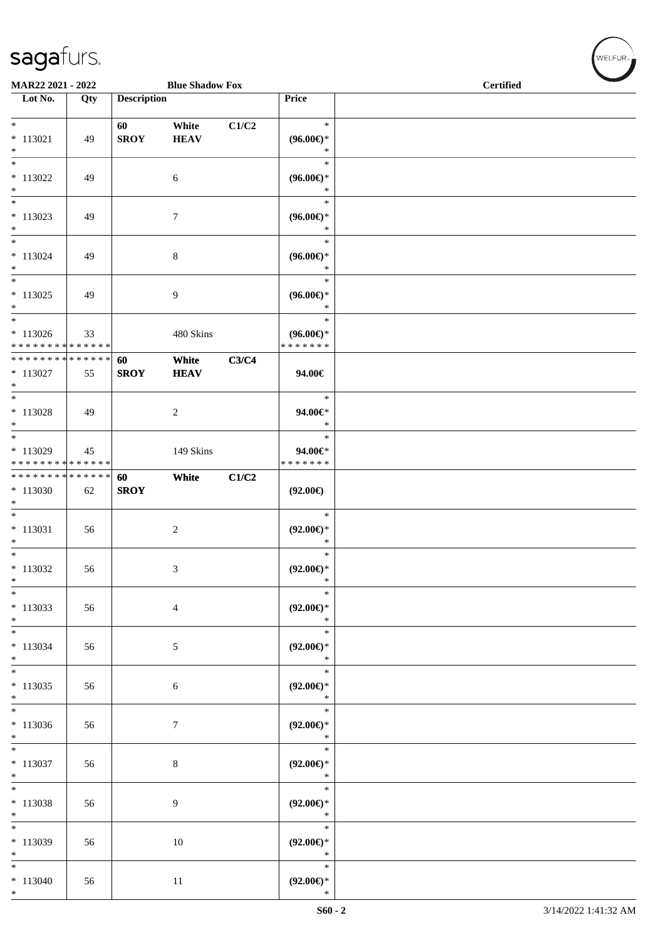\*

| MAR22 2021 - 2022<br><b>Blue Shadow Fox</b>                                         |     |                    |                      | <b>Certified</b> |                                                |  |  |  |
|-------------------------------------------------------------------------------------|-----|--------------------|----------------------|------------------|------------------------------------------------|--|--|--|
| Lot No.                                                                             | Qty | <b>Description</b> |                      |                  | Price                                          |  |  |  |
| $*$<br>$* 113021$<br>$*$                                                            | 49  | 60<br><b>SROY</b>  | White<br><b>HEAV</b> | C1/C2            | $\ast$<br>$(96.00\epsilon)$ *<br>$\ast$        |  |  |  |
| $*$<br>$*113022$<br>$*$                                                             | 49  |                    | 6                    |                  | $\ast$<br>$(96.00\epsilon)$ *<br>$\ast$        |  |  |  |
| $*$<br>$*$ 113023<br>$\ast$                                                         | 49  |                    | $\tau$               |                  | $\ast$<br>$(96.00\epsilon)$ *<br>$\ast$        |  |  |  |
| $\overline{\phantom{0}}$<br>$* 113024$<br>$*$                                       | 49  |                    | 8                    |                  | $\ast$<br>$(96.00\epsilon)$ *<br>$\ast$        |  |  |  |
| $_{*}$<br>$* 113025$<br>$*$                                                         | 49  |                    | 9                    |                  | $\ast$<br>$(96.00\epsilon)$ *<br>$\ast$        |  |  |  |
| $\ast$<br>$* 113026$<br>* * * * * * * * <mark>* * * * * * *</mark>                  | 33  |                    | 480 Skins            |                  | $\ast$<br>$(96.00\epsilon)$ *<br>* * * * * * * |  |  |  |
| * * * * * * * * <mark>* * * * * *</mark><br>$* 113027$<br>$*$                       | 55  | 60<br><b>SROY</b>  | White<br><b>HEAV</b> | C3/C4            | 94.00€                                         |  |  |  |
| $*$<br>$* 113028$<br>$*$                                                            | 49  |                    | $\overline{c}$       |                  | $\ast$<br>94.00€*<br>$\ast$                    |  |  |  |
| $\overline{\phantom{0}}$<br>$*113029$<br>* * * * * * * * <mark>* * * * * * *</mark> | 45  |                    | 149 Skins            |                  | $\ast$<br>94.00€*<br>* * * * * * *             |  |  |  |
| * * * * * * * * <mark>* * * * * * *</mark><br>$*113030$<br>$\ast$                   | 62  | 60<br><b>SROY</b>  | White                | C1/C2            | $(92.00\epsilon)$                              |  |  |  |
| $\overline{\phantom{0}}$<br>$* 113031$<br>$*$                                       | 56  |                    | $\overline{c}$       |                  | $\ast$<br>$(92.00\epsilon)$ *<br>$\ast$        |  |  |  |
| $*$<br>$*113032$<br>$\ast$                                                          | 56  |                    | 3                    |                  | $\ast$<br>$(92.00\epsilon)$ *<br>$\ast$        |  |  |  |
| $*$<br>$*113033$<br>$*$                                                             | 56  |                    | $\overline{4}$       |                  | $\ast$<br>$(92.00\epsilon)$ *<br>$\ast$        |  |  |  |
| $*$<br>$* 113034$<br>$*$                                                            | 56  |                    | $\sqrt{5}$           |                  | $\ast$<br>$(92.00\epsilon)$ *<br>$\ast$        |  |  |  |
| $*$<br>$* 113035$<br>$*$                                                            | 56  |                    | $\sqrt{6}$           |                  | $\ast$<br>$(92.00\epsilon)$ *<br>$\ast$        |  |  |  |
| $*113036$<br>$*$                                                                    | 56  |                    | $\boldsymbol{7}$     |                  | $\ast$<br>$(92.00\epsilon)$ *<br>$\ast$        |  |  |  |
| $\overline{\ }$<br>$*113037$<br>$*$                                                 | 56  |                    | $\,8\,$              |                  | $\ast$<br>$(92.00\epsilon)$ *<br>$\ast$        |  |  |  |
| $*$<br>* 113038<br>$*$                                                              | 56  |                    | 9                    |                  | $\ast$<br>$(92.00\epsilon)$ *<br>$\ast$        |  |  |  |
| $*$<br>$*113039$<br>$\ast$                                                          | 56  |                    | 10                   |                  | $\ast$<br>$(92.00\epsilon)$ *<br>$\ast$        |  |  |  |
| $*$<br>$* 113040$                                                                   | 56  |                    | 11                   |                  | $\ast$<br>$(92.00\epsilon)$ *                  |  |  |  |

 $(\forall ELFUR_{\text{max}})$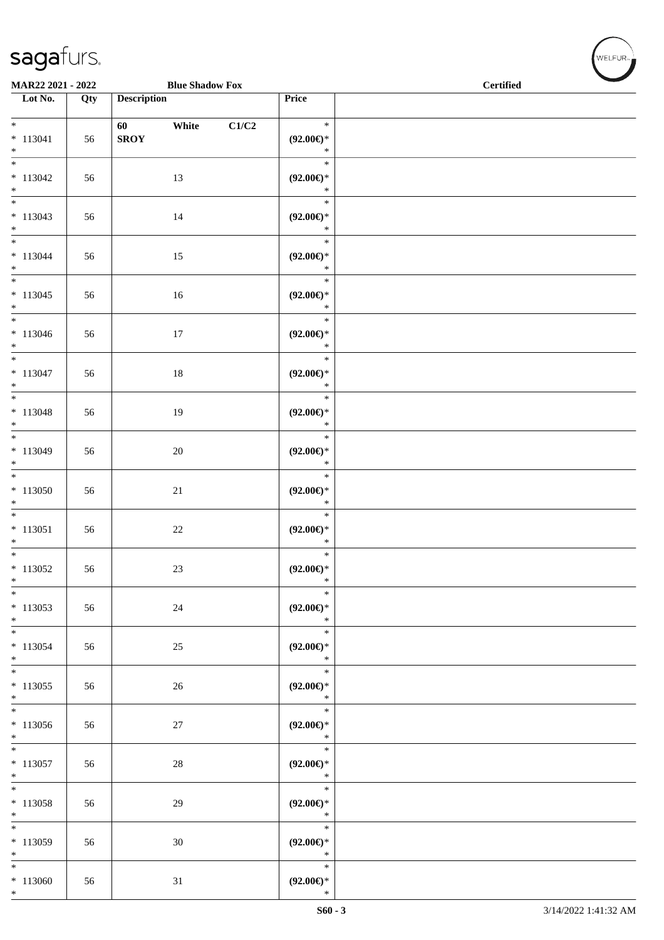\*

|                                               | <b>Blue Shadow Fox</b><br>MAR22 2021 - 2022 |                    |        | <b>Certified</b> | <b>Contract Contract Contract Contract Contract Contract Contract Contract Contract Contract Contract Contract Contract Contract Contract Contract Contract Contract Contract Contract Contract Contract Contract Contract Contr</b> |  |  |
|-----------------------------------------------|---------------------------------------------|--------------------|--------|------------------|--------------------------------------------------------------------------------------------------------------------------------------------------------------------------------------------------------------------------------------|--|--|
| Lot No.                                       | Qty                                         | <b>Description</b> |        |                  | Price                                                                                                                                                                                                                                |  |  |
| $*$<br>$* 113041$<br>$*$                      | 56                                          | 60<br><b>SROY</b>  | White  | C1/C2            | $\ast$<br>$(92.00\epsilon)$ *<br>$\ast$                                                                                                                                                                                              |  |  |
| $\overline{\phantom{0}}$<br>$* 113042$<br>$*$ | 56                                          |                    | 13     |                  | $\ast$<br>$(92.00\epsilon)$ *<br>$\ast$                                                                                                                                                                                              |  |  |
| $*$<br>$* 113043$<br>$*$                      | 56                                          |                    | 14     |                  | $\ast$<br>$(92.00\epsilon)$ *<br>$\ast$                                                                                                                                                                                              |  |  |
| $*$<br>$* 113044$<br>$*$                      | 56                                          |                    | 15     |                  | $\ast$<br>$(92.00\epsilon)$ *<br>$\ast$                                                                                                                                                                                              |  |  |
| $\overline{\phantom{0}}$<br>$* 113045$<br>$*$ | 56                                          |                    | 16     |                  | $\ast$<br>$(92.00\epsilon)$ *<br>$\ast$                                                                                                                                                                                              |  |  |
| $*$<br>$* 113046$<br>$*$                      | 56                                          |                    | $17\,$ |                  | $\ast$<br>$(92.00\epsilon)$ *<br>$\ast$                                                                                                                                                                                              |  |  |
| $* 113047$<br>$\ast$                          | 56                                          |                    | $18\,$ |                  | $\ast$<br>$(92.00\epsilon)$ *<br>$\ast$                                                                                                                                                                                              |  |  |
| $* 113048$<br>$\ast$                          | 56                                          |                    | 19     |                  | $\ast$<br>$(92.00\epsilon)$ *<br>$\ast$                                                                                                                                                                                              |  |  |
| $*$<br>$* 113049$<br>$*$                      | 56                                          |                    | $20\,$ |                  | $\ast$<br>$(92.00\epsilon)$ *<br>$\ast$                                                                                                                                                                                              |  |  |
| $*$<br>$*113050$<br>$\ast$                    | 56                                          |                    | $21\,$ |                  | $\ast$<br>$(92.00\epsilon)$ *<br>$\ast$                                                                                                                                                                                              |  |  |
| $\overline{\phantom{0}}$<br>$* 113051$<br>$*$ | 56                                          |                    | $22\,$ |                  | $\ast$<br>$(92.00\epsilon)$ *<br>$\ast$                                                                                                                                                                                              |  |  |
| $*$<br>$*$ 113052<br>$*$                      | 56                                          |                    | $23\,$ |                  | $\ast$<br>$(92.00\epsilon)$ *<br>$\ast$                                                                                                                                                                                              |  |  |
| $\ast$<br>$*$ 113053<br>$*$                   | 56                                          |                    | $24\,$ |                  | $\ast$<br>$(92.00\epsilon)$ *<br>$\ast$                                                                                                                                                                                              |  |  |
| $*$<br>* 113054<br>$*$                        | 56                                          |                    | 25     |                  | $\ast$<br>$(92.00\epsilon)$ *<br>$\ast$                                                                                                                                                                                              |  |  |
| $*$<br>$*$ 113055<br>$*$                      | 56                                          |                    | $26\,$ |                  | $\ast$<br>$(92.00\epsilon)$ *<br>$\ast$                                                                                                                                                                                              |  |  |
| $\overline{\phantom{0}}$<br>$*113056$<br>$*$  | 56                                          |                    | 27     |                  | $\ast$<br>$(92.00\epsilon)$ *<br>$\ast$                                                                                                                                                                                              |  |  |
| $*$<br>$* 113057$<br>$*$                      | 56                                          |                    | 28     |                  | $\ast$<br>$(92.00\epsilon)$ *<br>$\ast$                                                                                                                                                                                              |  |  |
| $*$<br>$* 113058$<br>$*$                      | 56                                          |                    | 29     |                  | $\ast$<br>$(92.00\epsilon)$ *<br>$\ast$                                                                                                                                                                                              |  |  |
| $*$<br>$*113059$<br>$*$                       | 56                                          |                    | 30     |                  | $\ast$<br>$(92.00\epsilon)$ *<br>$\ast$                                                                                                                                                                                              |  |  |
| $*$<br>$*113060$                              | 56                                          |                    | 31     |                  | $\ast$<br>$(92.00\epsilon)$ *                                                                                                                                                                                                        |  |  |

 $w$ ELFUR<sub>m</sub>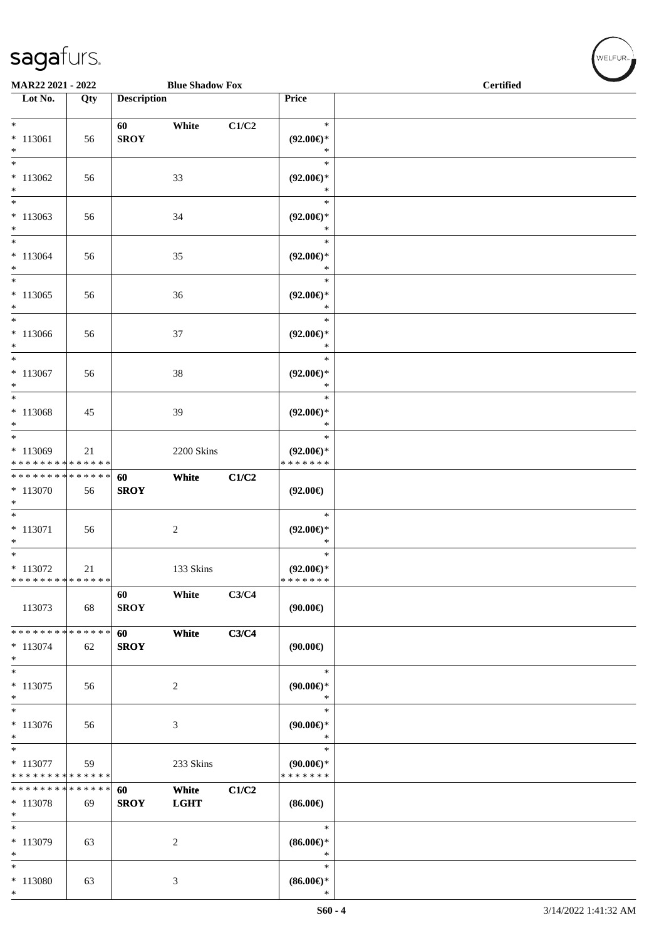\*

| MAR22 2021 - 2022                                 |     |                    | <b>Blue Shadow Fox</b> |       |                                                | <b>Certified</b> |  |  |  |
|---------------------------------------------------|-----|--------------------|------------------------|-------|------------------------------------------------|------------------|--|--|--|
| Lot No.                                           | Qty | <b>Description</b> |                        |       | Price                                          |                  |  |  |  |
| $*$<br>$* 113061$<br>$*$                          | 56  | 60<br><b>SROY</b>  | White                  | C1/C2 | $\ast$<br>$(92.00\epsilon)$ *<br>$\ast$        |                  |  |  |  |
| $\ast$<br>$*113062$<br>$*$                        | 56  |                    | 33                     |       | $\ast$<br>$(92.00\epsilon)$ *<br>$\ast$        |                  |  |  |  |
| $\ast$<br>$*113063$<br>$*$                        | 56  |                    | 34                     |       | $\ast$<br>$(92.00\epsilon)$ *<br>$\ast$        |                  |  |  |  |
| $*$<br>$* 113064$<br>$*$                          | 56  |                    | 35                     |       | $\ast$<br>$(92.00\epsilon)$ *<br>$\ast$        |                  |  |  |  |
| $\overline{\ast}$<br>$*113065$<br>$*$             | 56  |                    | 36                     |       | $\ast$<br>$(92.00\epsilon)$ *<br>$\ast$        |                  |  |  |  |
| $\ast$<br>$*113066$<br>$*$                        | 56  |                    | 37                     |       | $\ast$<br>$(92.00\epsilon)$ *<br>$\ast$        |                  |  |  |  |
| $*$<br>$* 113067$<br>$*$                          | 56  |                    | 38                     |       | $\ast$<br>$(92.00\epsilon)$ *<br>$\ast$        |                  |  |  |  |
| $\ast$<br>$* 113068$<br>$*$                       | 45  |                    | 39                     |       | $\ast$<br>$(92.00\epsilon)$ *<br>$\ast$        |                  |  |  |  |
| $*$<br>* 113069<br>* * * * * * * * * * * * * *    | 21  |                    | 2200 Skins             |       | $\ast$<br>$(92.00\epsilon)$ *<br>* * * * * * * |                  |  |  |  |
| * * * * * * * * * * * * * *<br>* 113070<br>$\ast$ | 56  | 60<br><b>SROY</b>  | White                  | C1/C2 | $(92.00\epsilon)$                              |                  |  |  |  |
| $\overline{\ast}$<br>$* 113071$<br>$*$            | 56  |                    | $\overline{c}$         |       | $\ast$<br>$(92.00\epsilon)$ *<br>$\ast$        |                  |  |  |  |
| $*$<br>$* 113072$<br>* * * * * * * * * * * * * *  | 21  |                    | 133 Skins              |       | $\ast$<br>$(92.00\epsilon)$ *<br>* * * * * * * |                  |  |  |  |
| 113073                                            | 68  | 60<br><b>SROY</b>  | White                  | C3/C4 | (90.00)                                        |                  |  |  |  |
| ******** <mark>******</mark><br>$* 113074$<br>$*$ | 62  | 60<br><b>SROY</b>  | White                  | C3/C4 | $(90.00\epsilon)$                              |                  |  |  |  |
| $\ast$<br>$* 113075$<br>$\ast$                    | 56  |                    | $\overline{c}$         |       | $\ast$<br>$(90.00ε)$ *<br>$\ast$               |                  |  |  |  |
| $*$<br>$* 113076$<br>$\ast$                       | 56  |                    | 3                      |       | $\ast$<br>$(90.00ε)$ *<br>$\ast$               |                  |  |  |  |
| $*$<br>* 113077<br>* * * * * * * * * * * * * *    | 59  |                    | 233 Skins              |       | $\ast$<br>$(90.00ε)$ *<br>* * * * * * *        |                  |  |  |  |
| * * * * * * * * * * * * * *<br>* 113078<br>$*$    | 69  | 60<br><b>SROY</b>  | White<br><b>LGHT</b>   | C1/C2 | $(86.00\epsilon)$                              |                  |  |  |  |
| $\ast$<br>* 113079<br>$\ast$                      | 63  |                    | $\overline{c}$         |       | $\ast$<br>$(86.00ε)$ *<br>$\ast$               |                  |  |  |  |
| $\ast$<br>$* 113080$                              | 63  |                    | $\mathfrak{Z}$         |       | $\ast$<br>$(86.00\epsilon)$ *                  |                  |  |  |  |

 ${\begin{pmatrix} \text{WELFUR}_{\text{max}} \end{pmatrix}}$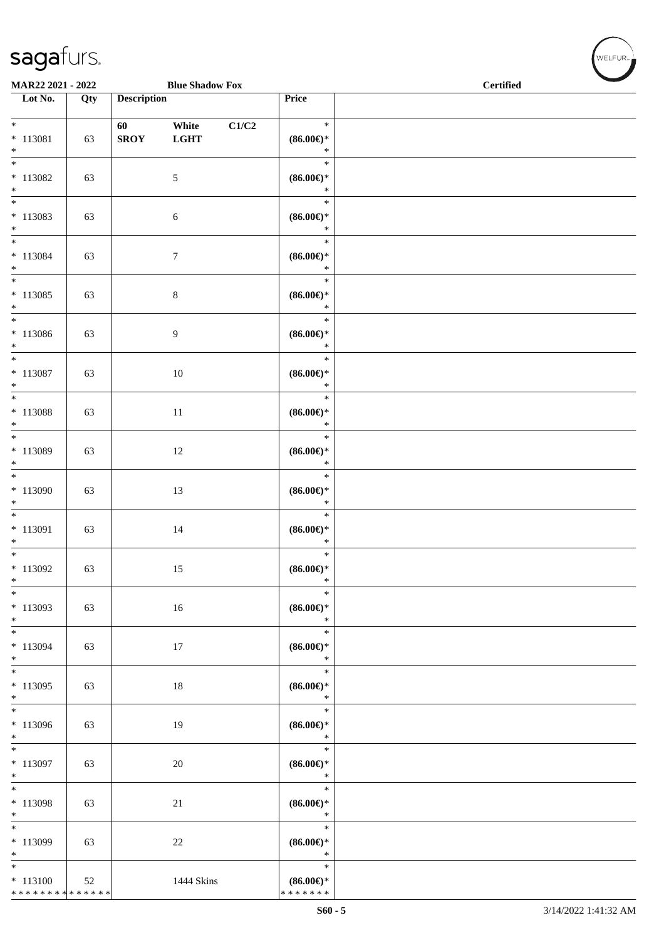\* \* \* \* \* \* \* \* \* \* \* \* \* \*

| <b>Blue Shadow Fox</b><br>MAR22 2021 - 2022     |     |                    |                      |       |                                                    |  | $\operatorname{\bf \mathbf{Certified}}$ | $\overline{\phantom{a}}$ |
|-------------------------------------------------|-----|--------------------|----------------------|-------|----------------------------------------------------|--|-----------------------------------------|--------------------------|
| Lot No.                                         | Qty | <b>Description</b> |                      |       | Price                                              |  |                                         |                          |
| $\ast$<br>$* 113081$<br>$*$                     | 63  | 60<br><b>SROY</b>  | White<br><b>LGHT</b> | C1/C2 | $\ast$<br>$(86.00\epsilon)$ *<br>$\ast$            |  |                                         |                          |
| $* 113082$<br>$*$                               | 63  |                    | 5                    |       | $\ast$<br>$(86.00\epsilon)$ *<br>$\ast$            |  |                                         |                          |
| $\overline{\phantom{0}}$<br>$* 113083$<br>$*$   | 63  |                    | 6                    |       | $\ast$<br>$(86.00\epsilon)$ *<br>$\ast$            |  |                                         |                          |
| $*$<br>$* 113084$<br>$*$                        | 63  |                    | $\tau$               |       | $\ast$<br>$(86.00\epsilon)$ *<br>$\ast$            |  |                                         |                          |
| $*$<br>$* 113085$<br>$*$                        | 63  |                    | $\,8\,$              |       | $\ast$<br>$(86.00\epsilon)$ *<br>$\ast$            |  |                                         |                          |
| $*$<br>$* 113086$<br>$*$                        | 63  |                    | 9                    |       | $\ast$<br>$(86.00\epsilon)$ *<br>$\ast$            |  |                                         |                          |
| $*$<br>$* 113087$<br>$*$                        | 63  |                    | 10                   |       | $\ast$<br>$(86.00\epsilon)$ *<br>$\ast$            |  |                                         |                          |
| * 113088<br>$*$                                 | 63  |                    | 11                   |       | $\ast$<br>$(86.00\epsilon)$ *<br>$\ast$            |  |                                         |                          |
| * 113089<br>$*$                                 | 63  |                    | 12                   |       | $\ast$<br>$(86.00\mathnormal{\infty})^*$<br>$\ast$ |  |                                         |                          |
| $*$<br>$*113090$<br>$*$                         | 63  |                    | 13                   |       | $\ast$<br>$(86.00\epsilon)$ *<br>$\ast$            |  |                                         |                          |
| $*$<br>$*$ 113091<br>$*$                        | 63  |                    | 14                   |       | $\ast$<br>$(86.00\epsilon)$ *<br>$\ast$            |  |                                         |                          |
| $\overline{\phantom{0}}$<br>$*113092$<br>$\ast$ | 63  |                    | 15                   |       | $\ast$<br>$(86.00\epsilon)$ *<br>$\ast$            |  |                                         |                          |
| $\ast$<br>$*113093$<br>$*$                      | 63  |                    | 16                   |       | $\ast$<br>$(86.00\epsilon)$ *<br>$\ast$            |  |                                         |                          |
| $*$<br>* 113094<br>$\ast$                       | 63  |                    | 17                   |       | $\ast$<br>$(86.00\epsilon)$ *<br>$\ast$            |  |                                         |                          |
| $\overline{\phantom{0}}$<br>$*113095$<br>$*$    | 63  |                    | $18\,$               |       | $\ast$<br>$(86.00\epsilon)$ *<br>$\ast$            |  |                                         |                          |
| $*113096$<br>$*$                                | 63  |                    | 19                   |       | $\ast$<br>$(86.00\epsilon)$ *<br>$\ast$            |  |                                         |                          |
| $* 113097$<br>$*$                               | 63  |                    | 20                   |       | $\ast$<br>$(86.00\epsilon)$ *<br>$\ast$            |  |                                         |                          |
| $* 113098$<br>$*$                               | 63  |                    | 21                   |       | $\ast$<br>$(86.00ε)$ *<br>$\ast$                   |  |                                         |                          |
| $\overline{\ast}$<br>* 113099<br>$*$            | 63  |                    | 22                   |       | $\ast$<br>$(86.00\epsilon)$ *<br>$\ast$            |  |                                         |                          |
| $*$<br>$* 113100$                               | 52  |                    | 1444 Skins           |       | $\ast$<br>$(86.00\epsilon)$ *                      |  |                                         |                          |

\* \* \* \* \* \* \*

WELFUR<sub>T</sub>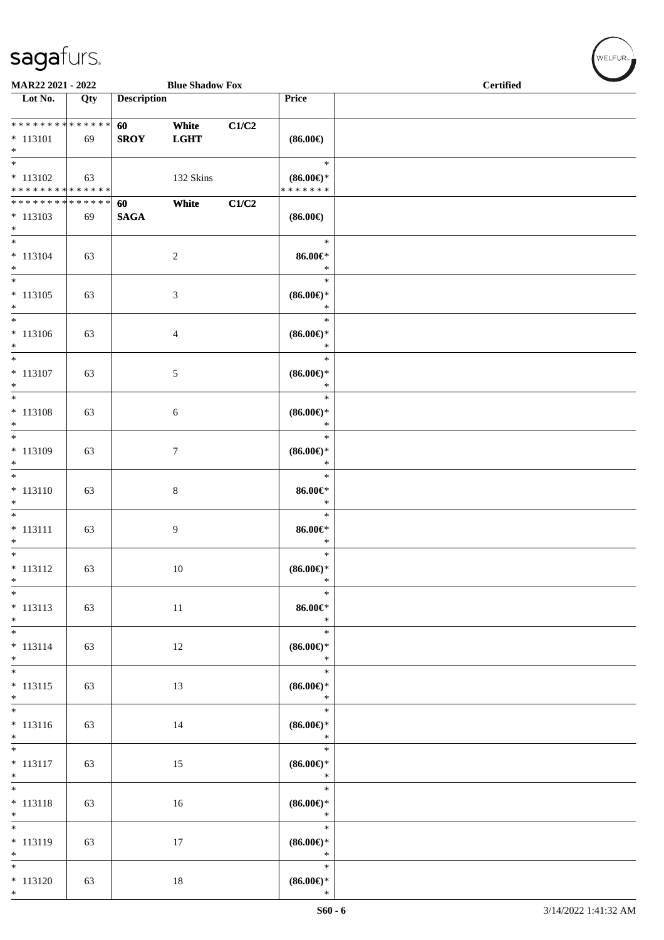\*

| MAR22 2021 - 2022                                              |     |                       | <b>Blue Shadow Fox</b> |       |                                                | <b>Certified</b> |
|----------------------------------------------------------------|-----|-----------------------|------------------------|-------|------------------------------------------------|------------------|
| Lot No.                                                        | Qty | <b>Description</b>    |                        |       | Price                                          |                  |
| ******** <mark>******</mark><br>$* 113101$<br>$*$              | 69  | 60<br><b>SROY</b>     | White<br><b>LGHT</b>   | C1/C2 | $(86.00\epsilon)$                              |                  |
| $\overline{\ast}$<br>$* 113102$<br>* * * * * * * * * * * * * * | 63  |                       | 132 Skins              |       | $\ast$<br>$(86.00\epsilon)$ *<br>* * * * * * * |                  |
| * * * * * * * * * * * * * *<br>$* 113103$<br>$*$               | 69  | 60<br>$\mathbf{SAGA}$ | White                  | C1/C2 | $(86.00\in)$                                   |                  |
| $\overline{\phantom{0}}$<br>$* 113104$<br>$*$                  | 63  |                       | $\sqrt{2}$             |       | $\ast$<br>$86.00 \in$<br>$\ast$                |                  |
| $\overline{\ast}$<br>$* 113105$<br>$*$                         | 63  |                       | $\mathfrak{Z}$         |       | $\ast$<br>$(86.00\epsilon)$ *<br>$\ast$        |                  |
| $*$<br>$* 113106$<br>$*$                                       | 63  |                       | $\overline{4}$         |       | $\ast$<br>$(86.00\epsilon)$ *<br>$\ast$        |                  |
| $\overline{\ast}$<br>$* 113107$<br>$\ast$                      | 63  |                       | 5                      |       | $\ast$<br>$(86.00\epsilon)$ *<br>$\ast$        |                  |
| $\overline{\ast}$<br>$* 113108$<br>$\ast$                      | 63  |                       | $\sqrt{6}$             |       | $\ast$<br>$(86.00\epsilon)$ *<br>$\ast$        |                  |
| $* 113109$<br>$*$                                              | 63  |                       | 7                      |       | $\ast$<br>$(86.00\epsilon)$ *<br>$\ast$        |                  |
| $\overline{\phantom{0}}$<br>$* 113110$<br>$\ast$               | 63  |                       | $\,8\,$                |       | $\ast$<br>$86.00 \in$<br>$\ast$                |                  |
| $\overline{\ }$<br>$* 113111$<br>$*$                           | 63  |                       | $\overline{9}$         |       | $\ast$<br>$86.00 \in$<br>$\ast$                |                  |
| $\overline{\phantom{0}}$<br>$* 113112$<br>$\ast$               | 63  |                       | 10                     |       | $\ast$<br>$(86.00\epsilon)$ *<br>$\ast$        |                  |
| $*$<br>$* 113113$<br>$*$                                       | 63  |                       | $11\,$                 |       | $\ast$<br>$86.00 \in$<br>$\ast$                |                  |
| $*$<br>$* 113114$<br>$\ast$                                    | 63  |                       | $12\,$                 |       | $\ast$<br>$(86.00\epsilon)$ *<br>$\ast$        |                  |
| $\overline{\phantom{0}}$<br>$* 113115$<br>$*$                  | 63  |                       | 13                     |       | $\ast$<br>$(86.00ε)$ *<br>$\ast$               |                  |
| $\overline{\phantom{0}}$<br>$* 113116$<br>$*$                  | 63  |                       | 14                     |       | $\ast$<br>$(86.00\epsilon)$ *<br>$\ast$        |                  |
| $\overline{\phantom{0}}$<br>$* 113117$<br>$*$                  | 63  |                       | 15                     |       | $\ast$<br>$(86.00\in)^\ast$<br>$\ast$          |                  |
| $*$<br>$* 113118$<br>$*$                                       | 63  |                       | 16                     |       | $\ast$<br>$(86.00\epsilon)$ *<br>$\ast$        |                  |
| $\overline{\phantom{0}}$<br>$* 113119$<br>$*$                  | 63  |                       | 17                     |       | $\ast$<br>$(86.00\epsilon)$ *<br>$\ast$        |                  |
| $*$<br>$* 113120$<br>$*$                                       | 63  |                       | $18\,$                 |       | $\ast$<br>$(86.00\epsilon)$ *<br>$\ast$        |                  |

 $(\forall ELFUR_{\text{max}})$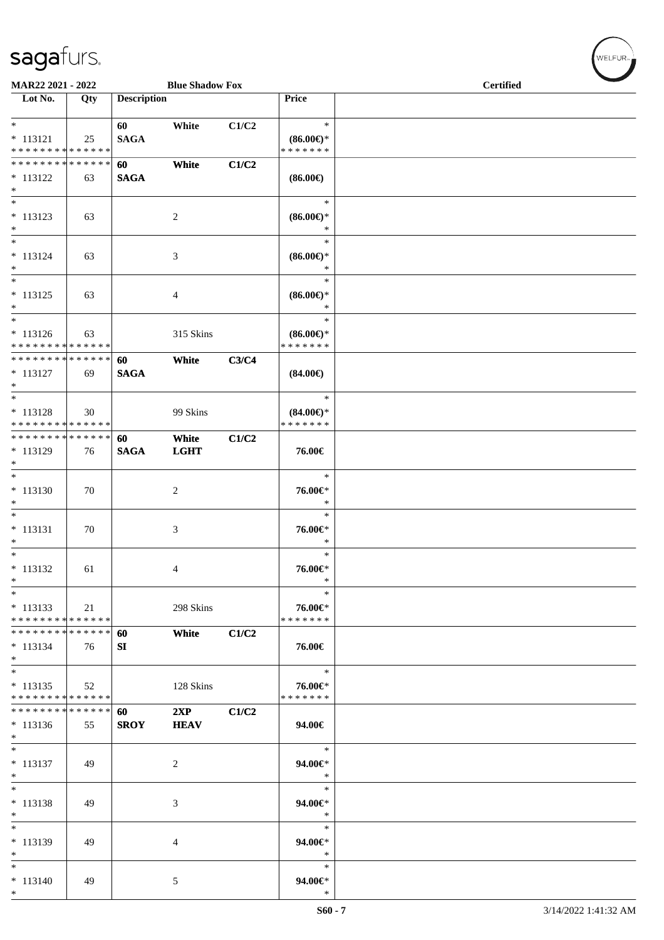\*

| MAR22 2021 - 2022<br>Lot No.               | Qty | <b>Description</b> | <b>Blue Shadow Fox</b> |       | Price                         | <b>Certified</b> |
|--------------------------------------------|-----|--------------------|------------------------|-------|-------------------------------|------------------|
|                                            |     |                    |                        |       |                               |                  |
| $*$                                        |     | 60                 | White                  | C1/C2 | $\ast$                        |                  |
| $* 113121$                                 | 25  | <b>SAGA</b>        |                        |       | $(86.00\epsilon)$ *           |                  |
| * * * * * * * * <mark>* * * * * * *</mark> |     |                    |                        |       | * * * * * * *                 |                  |
|                                            |     | 60                 | White                  | C1/C2 |                               |                  |
| $* 113122$                                 | 63  | <b>SAGA</b>        |                        |       | $(86.00\epsilon)$             |                  |
| $*$                                        |     |                    |                        |       |                               |                  |
| $*$                                        |     |                    |                        |       | $\ast$                        |                  |
| $* 113123$                                 | 63  |                    | $\overline{c}$         |       | $(86.00\epsilon)$ *           |                  |
| $\ast$<br>$\overline{\ast}$                |     |                    |                        |       | *                             |                  |
|                                            |     |                    |                        |       | $\ast$                        |                  |
| $* 113124$<br>$\ast$                       | 63  |                    | 3                      |       | $(86.00\epsilon)$ *<br>$\ast$ |                  |
| $\ast$                                     |     |                    |                        |       | $\ast$                        |                  |
| $* 113125$                                 | 63  |                    | 4                      |       | $(86.00\epsilon)$ *           |                  |
| $*$                                        |     |                    |                        |       | $\ast$                        |                  |
| $\ast$                                     |     |                    |                        |       | $\ast$                        |                  |
| $* 113126$                                 | 63  |                    | 315 Skins              |       | $(86.00\epsilon)$ *           |                  |
| * * * * * * * * <mark>* * * * * * *</mark> |     |                    |                        |       | * * * * * * *                 |                  |
| * * * * * * * * <mark>* * * * * * *</mark> |     | 60                 | White                  | C3/C4 |                               |                  |
| $* 113127$                                 | 69  | <b>SAGA</b>        |                        |       | $(84.00\epsilon)$             |                  |
| $*$                                        |     |                    |                        |       |                               |                  |
|                                            |     |                    |                        |       | $\ast$                        |                  |
| $* 113128$                                 | 30  |                    | 99 Skins               |       | $(84.00\epsilon)$ *           |                  |
| * * * * * * * * <mark>* * * * * * *</mark> |     |                    |                        |       | * * * * * * *                 |                  |
| * * * * * * * * <mark>* * * * * *</mark>   |     | 60                 | White                  | C1/C2 |                               |                  |
| * 113129<br>$\ast$                         | 76  | <b>SAGA</b>        | <b>LGHT</b>            |       | 76.00€                        |                  |
|                                            |     |                    |                        |       | $\ast$                        |                  |
| $* 113130$                                 | 70  |                    | 2                      |       | 76.00€*                       |                  |
| $\ast$                                     |     |                    |                        |       | $\ast$                        |                  |
| $*$                                        |     |                    |                        |       | $\ast$                        |                  |
| * 113131                                   | 70  |                    | 3                      |       | 76.00€*                       |                  |
| $\ast$                                     |     |                    |                        |       | *                             |                  |
| $\ast$                                     |     |                    |                        |       | $\ast$                        |                  |
| $* 113132$                                 | 61  |                    | 4                      |       | 76.00€*                       |                  |
| $\ast$                                     |     |                    |                        |       | $\ast$                        |                  |
| $*$                                        |     |                    |                        |       | $\ast$                        |                  |
| $* 113133$                                 | 21  |                    | 298 Skins              |       | 76.00€*                       |                  |
| * * * * * * * * <mark>* * * * * * *</mark> |     |                    |                        |       | * * * * * * *                 |                  |
| * * * * * * * * <mark>* * * * * *</mark>   |     | 60                 | White                  | C1/C2 |                               |                  |
| $* 113134$<br>$*$                          | 76  | SI                 |                        |       | 76.00€                        |                  |
| $*$                                        |     |                    |                        |       | $\ast$                        |                  |
| $* 113135$                                 | 52  |                    | 128 Skins              |       | 76.00€*                       |                  |
| * * * * * * * * <mark>* * * * * *</mark>   |     |                    |                        |       | * * * * * * *                 |                  |
| * * * * * * * * <mark>* * * * * * *</mark> |     | 60                 | 2XP                    | C1/C2 |                               |                  |
| $*113136$                                  | 55  | <b>SROY</b>        | <b>HEAV</b>            |       | 94.00€                        |                  |
| $*$                                        |     |                    |                        |       |                               |                  |
| $*$                                        |     |                    |                        |       | $\ast$                        |                  |
| $* 113137$                                 | 49  |                    | 2                      |       | 94.00€*                       |                  |
| $*$                                        |     |                    |                        |       | $\ast$                        |                  |
| $*$                                        |     |                    |                        |       | $\ast$                        |                  |
| * 113138                                   | 49  |                    | 3                      |       | 94.00€*                       |                  |
| $\ast$<br>$*$                              |     |                    |                        |       | $\ast$<br>$\ast$              |                  |
|                                            |     |                    |                        |       |                               |                  |
| $*113139$<br>$*$                           | 49  |                    | 4                      |       | 94.00€*<br>$\ast$             |                  |
| $*$                                        |     |                    |                        |       | $\ast$                        |                  |
| $* 113140$                                 | 49  |                    | 5                      |       | 94.00€*                       |                  |

 $(w$ ELFUR<sub><sup>n</sub></sub></sub></sup>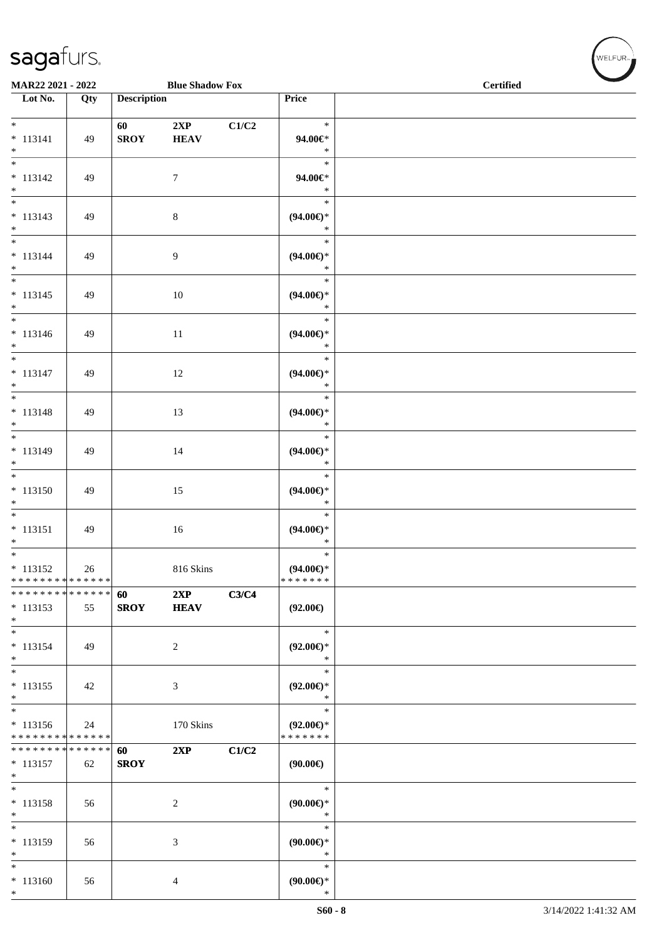#### Sa

\*

\*

\*

\*

\*

\*

\*

\*

\*

\*

\*

\*

\*

\*

\*

\*

\*

\*

\*

\* 113156

\* \* \* \* \* \* \* \* \* \* \* \* \* \*

**\* \* \* \* \* \* \* \* \* \* \* \* \* \*** \* 113157 | 62

\* 113152

\* \* \* \* \* \* \* \* \* \* \* \* \* \*

\* \* \* \* \* \* \* \* \* \* \* \* \* \* \* 113153 | 55

\* 113150 49 15

\* 113151 | 49 | 16

\* 113154 | 49 | 2

 $*$  113155 | 42 | 3

 $*$  113158 | 56 | 2

 $*$  113159 | 56 | 3

 $*$  113160 | 56 | 4

26 816 Skins

24 170 Skins

**SROY**

**SROY HEAV**

**60 2XP C3/C4**

**60 2XP C1/C2**

| MAR22 2021 - 2022                                |     |                    | <b>Blue Shadow Fox</b> |       |                                         | <b>Certified</b> |
|--------------------------------------------------|-----|--------------------|------------------------|-------|-----------------------------------------|------------------|
| $\overline{\phantom{1}}$ Lot No.                 | Qty | <b>Description</b> |                        |       | Price                                   |                  |
| $\ast$<br>$* 113141$<br>$\ast$                   | 49  | 60<br><b>SROY</b>  | 2XP<br><b>HEAV</b>     | C1/C2 | $\ast$<br>94.00€*<br>$\ast$             |                  |
| $_{\ast}$<br>$* 113142$<br>$\ast$                | 49  |                    | $\overline{7}$         |       | $\ast$<br>94.00€*<br>$\ast$             |                  |
| $\ast$<br>$* 113143$<br>$\ast$                   | 49  |                    | $8\,$                  |       | $\ast$<br>$(94.00\epsilon)$ *<br>$\ast$ |                  |
| $\ast$<br>$* 113144$<br>$\ast$                   | 49  |                    | 9                      |       | $\ast$<br>$(94.00\epsilon)$ *<br>$\ast$ |                  |
| $\ast$<br>$* 113145$<br>$\ast$                   | 49  |                    | $10\,$                 |       | $\ast$<br>$(94.00\epsilon)$ *<br>$\ast$ |                  |
| $\frac{1}{1}$<br>$* 113146$<br>$\ast$            | 49  |                    | $11\,$                 |       | $\ast$<br>$(94.00\epsilon)$ *<br>$\ast$ |                  |
| $\overline{\phantom{1}}$<br>$* 113147$<br>$\ast$ | 49  |                    | $12\,$                 |       | $\ast$<br>$(94.00\epsilon)$ *<br>$\ast$ |                  |
| $\ast$<br>$* 113148$<br>$\ast$                   | 49  |                    | 13                     |       | $\ast$<br>$(94.00\epsilon)$ *<br>$\ast$ |                  |
| $\overline{\phantom{a}^*}$<br>$* 113149$         | 49  |                    | 14                     |       | $\ast$<br>$(94.00\epsilon)$ *           |                  |

\*

\*

\*

\*

\*

\*

\*

\*

\*

\*

\* **(94.00€)** \*

\* **(94.00€)** \*

\* **(94.00€)** \* \* \* \* \* \* \*

**(92.00€)**

\* **(92.00€)** \*

\* **(92.00€)** \*

\* **(92.00€)** \* \* \* \* \* \* \*

**(90.00€)**

\* **(90.00€)** \*

\* **(90.00€)** \*

\* **(90.00€)**\*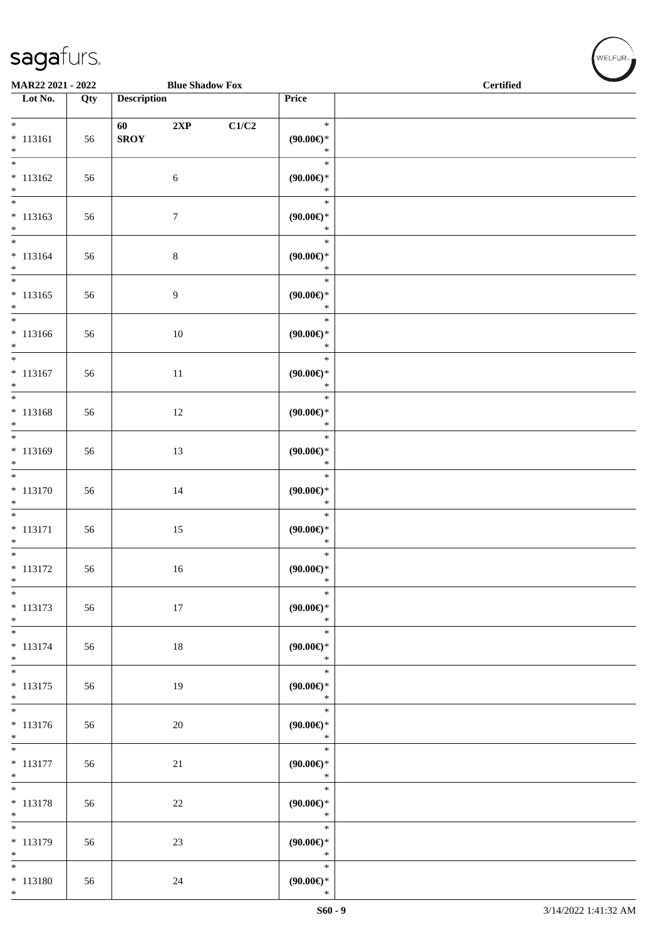#### sa

\*

\*

\* 113180 56 24

| gafurs.        |                            |  |
|----------------|----------------------------|--|
| רכמכ ורכמי פרו | $D$ las $C$ las Jam $E$ am |  |

| MAR22 2021 - 2022                                  |     |                          | <b>Blue Shadow Fox</b> |                                                         | <b>Certified</b> |
|----------------------------------------------------|-----|--------------------------|------------------------|---------------------------------------------------------|------------------|
| Lot No.                                            | Qty | <b>Description</b>       |                        | Price                                                   |                  |
| $*$<br>$* 113161$<br>$\ast$                        | 56  | 60<br>2XP<br><b>SROY</b> | C1/C2                  | $\ast$<br>(90.00)<br>$\ast$                             |                  |
| $\overline{\ast}$<br>$* 113162$<br>$\ast$          | 56  | 6                        |                        | $\ast$<br>$(90.00\epsilon)$ *<br>$\ast$                 |                  |
| $\overline{\phantom{0}}$<br>$* 113163$<br>$\ast$   | 56  | $\boldsymbol{7}$         |                        | $\ast$<br>(90.00)<br>$\ast$                             |                  |
| $*$<br>$* 113164$<br>$\ast$                        | 56  | $\,8\,$                  |                        | $\ast$<br>(90.00)<br>$\ast$                             |                  |
| $\overline{\ }$<br>$* 113165$<br>$\ast$            | 56  | $\overline{9}$           |                        | $\ast$<br>(90.00)<br>$\ast$                             |                  |
| $\overline{\phantom{1}}$<br>$* 113166$<br>$\ast$   | 56  | 10                       |                        | $\ast$<br>(90.00)<br>$\ast$                             |                  |
| $\ast$<br>$* 113167$<br>$\ast$                     | 56  | 11                       |                        | $\ast$<br>(90.00)<br>$\ast$                             |                  |
| $\ast$<br>$* 113168$<br>$\ast$                     | 56  | 12                       |                        | $\ast$<br>(90.00)<br>$\ast$                             |                  |
| $\overline{\phantom{a}^*}$<br>$* 113169$<br>$\ast$ | 56  | 13                       |                        | $\ast$<br>(90.00)<br>$\ast$                             |                  |
| $\overline{\phantom{1}}$<br>$* 113170$<br>$\ast$   | 56  | 14                       |                        | $\ast$<br>$(90.00\epsilon)$ *<br>$\ast$                 |                  |
| $\ast$<br>$* 113171$<br>$\ast$                     | 56  | 15                       |                        | $\ast$<br>(90.00)<br>$\ast$                             |                  |
| $\ast$<br>$* 113172$<br>$*$                        | 56  | 16                       |                        | $\ast$<br>(90.00)<br>$\ast$                             |                  |
| $*$<br>$* 113173$<br>$\ast$                        | 56  | 17                       |                        | $\ast$<br>(90.00)<br>$*$                                |                  |
| $\ast$<br>$* 113174$<br>$\ast$                     | 56  | 18                       |                        | $\ast$<br>$(90.00ε)$ *<br>$\rightarrow$                 |                  |
| $\ast$<br>$* 113175$<br>$*$                        | 56  | 19                       |                        | $\ast$<br>$(90.00\in)^\ast$<br>$\ast$                   |                  |
| $\overline{\phantom{0}}$<br>$* 113176$<br>$*$      | 56  | 20                       |                        | $\ast$<br>(90.00)<br>$\ast$                             |                  |
| $*$<br>$* 113177$<br>$*$                           | 56  | 21                       |                        | $\overline{\phantom{0}}$<br>$\ast$<br>(90.00)<br>$\ast$ |                  |
| $\ast$<br>$* 113178$<br>$\ast$                     | 56  | $22\,$                   |                        | $\ast$<br>$(90.00\epsilon)$ *<br>$\mathbb{R}^2$         |                  |
| $\ast$<br>$* 113179$<br>$*$                        | 56  | 23                       |                        | $\ast$<br>(90.00)<br>$\ast$                             |                  |

\*

\* **(90.00€)**

WELFUR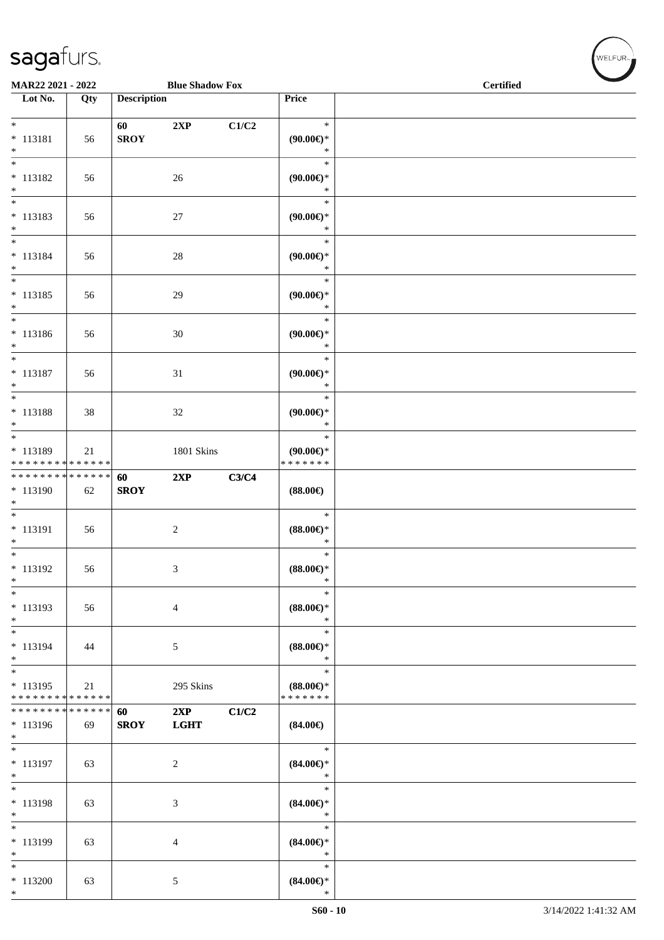\*

| MAR22 2021 - 2022                                  |                   | <b>Blue Shadow Fox</b> |                    |       | <b>Certified</b>                               |  |
|----------------------------------------------------|-------------------|------------------------|--------------------|-------|------------------------------------------------|--|
| Lot No.                                            | Qty               | <b>Description</b>     |                    |       | <b>Price</b>                                   |  |
| $\overline{\phantom{0}}$<br>$* 113181$<br>$\ast$   | 56                | 60<br><b>SROY</b>      | 2XP                | C1/C2 | $\ast$<br>$(90.00\epsilon)$ *<br>$\ast$        |  |
| $\overline{\phantom{1}}$<br>$* 113182$<br>$\ast$   | 56                |                        | $26\,$             |       | $\ast$<br>$(90.00\epsilon)$ *<br>$\ast$        |  |
| $\ast$<br>$* 113183$<br>$\ast$                     | 56                |                        | 27                 |       | $\ast$<br>$(90.00\epsilon)$ *<br>$\ast$        |  |
| $_{\ast}^{-}$<br>$* 113184$<br>$\ast$              | 56                |                        | 28                 |       | $\ast$<br>$(90.00\epsilon)$ *<br>$\ast$        |  |
| $_{\ast}^{-}$<br>$* 113185$<br>$\ast$              | 56                |                        | 29                 |       | $\ast$<br>$(90.00\epsilon)$ *<br>$\ast$        |  |
| $\ast$<br>$* 113186$<br>$\ast$                     | 56                |                        | 30                 |       | $\ast$<br>$(90.00\epsilon)$ *<br>$\ast$        |  |
| $\overline{\phantom{a}^*}$<br>$* 113187$<br>$\ast$ | 56                |                        | 31                 |       | $\ast$<br>$(90.00\epsilon)$ *<br>$\ast$        |  |
| $\overline{\phantom{1}}$<br>* 113188<br>$*$        | 38                |                        | $32\,$             |       | $\ast$<br>$(90.00\epsilon)$ *<br>$\ast$        |  |
| $*$<br>* 113189<br>* * * * * * * * * * * * * *     | 21                |                        | <b>1801 Skins</b>  |       | $\ast$<br>$(90.00\epsilon)$ *<br>* * * * * * * |  |
| **************<br>* 113190<br>$\ast$               | 62                | 60<br><b>SROY</b>      | 2XP                | C3/C4 | $(88.00\epsilon)$                              |  |
| $\ast$<br>$* 113191$<br>$\ast$                     | 56                |                        | $\sqrt{2}$         |       | $\ast$<br>$(88.00\epsilon)$ *<br>$\ast$        |  |
| $*$<br>$* 113192$<br>$\ast$                        | 56                |                        | $\mathfrak{Z}$     |       | $\ast$<br>$(88.00\epsilon)$ *<br>$\ast$        |  |
| $\ast$<br>* 113193<br>$\ast$                       | 56                |                        | $\overline{4}$     |       | $\ast$<br>$(88.00\epsilon)$ *<br>$\ast$        |  |
| $\frac{1}{1}$<br>$* 113194$<br>$*$                 | 44                |                        | $\mathfrak{S}$     |       | $\ast$<br>$(88.00\epsilon)$ *<br>$\ast$        |  |
| $*$<br>$* 113195$<br>* * * * * * * * * * * * * *   | 21                |                        | 295 Skins          |       | $\ast$<br>$(88.00\epsilon)$ *<br>* * * * * * * |  |
| ********<br>* 113196<br>$*$                        | * * * * * *<br>69 | 60<br><b>SROY</b>      | 2XP<br><b>LGHT</b> | C1/C2 | $(84.00\epsilon)$                              |  |
| $\ast$<br>* 113197<br>$\ast$                       | 63                |                        | $\overline{c}$     |       | $\ast$<br>$(84.00\epsilon)$ *<br>$\ast$        |  |
| $\ast$<br>* 113198<br>$\ast$                       | 63                |                        | $\mathfrak{Z}$     |       | $\ast$<br>$(84.00\epsilon)$ *<br>$\ast$        |  |
| $\overline{\phantom{1}}$<br>* 113199<br>$\ast$     | 63                |                        | $\overline{4}$     |       | $\ast$<br>$(84.00\epsilon)$ *<br>$\ast$        |  |
| $*$<br>$*113200$                                   | 63                |                        | $\mathfrak{S}$     |       | $\ast$<br>$(84.00\epsilon)$ *                  |  |

 $(\mathsf{WELFUR}_{\mathsf{P}})$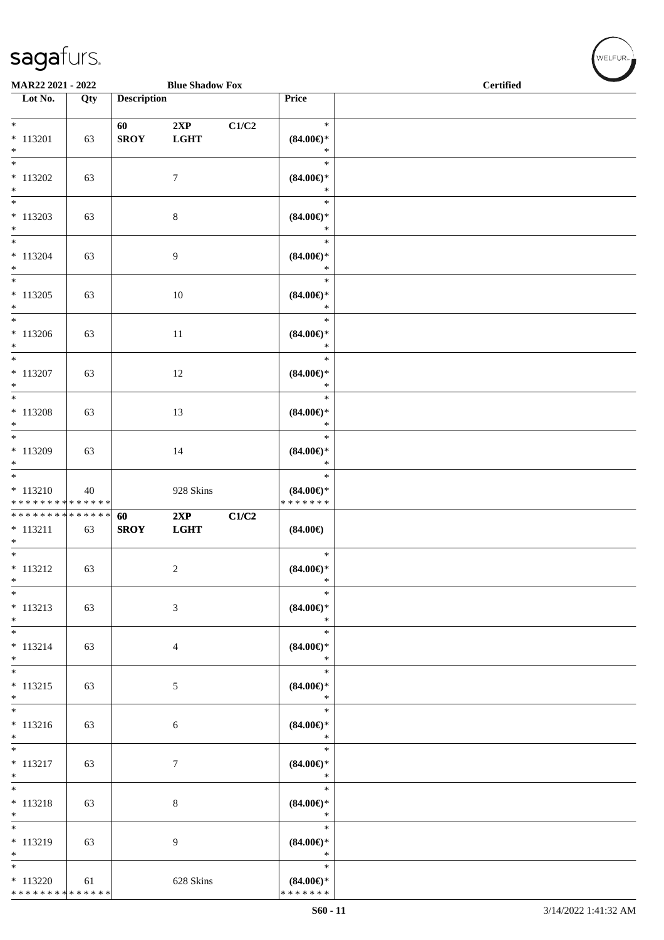| MAR22 2021 - 2022                                                                |     |                    | <b>Blue Shadow Fox</b> |       |                                                | <b>Certified</b> |
|----------------------------------------------------------------------------------|-----|--------------------|------------------------|-------|------------------------------------------------|------------------|
| $\overline{\phantom{1}}$ Lot No.                                                 | Qty | <b>Description</b> |                        |       | Price                                          |                  |
| $\ast$<br>$* 113201$<br>$\ast$                                                   | 63  | 60<br><b>SROY</b>  | 2XP<br><b>LGHT</b>     | C1/C2 | $\ast$<br>$(84.00\epsilon)$ *<br>$\ast$        |                  |
| $\overline{\phantom{a}^*}$<br>$* 113202$<br>$\ast$                               | 63  |                    | $7\phantom{.0}$        |       | $\ast$<br>$(84.00\epsilon)$ *<br>$\ast$        |                  |
| $\overline{\phantom{a}^*}$<br>$* 113203$<br>$\ast$                               | 63  |                    | $8\,$                  |       | $\ast$<br>$(84.00\epsilon)$ *<br>$\ast$        |                  |
| $_{\ast}$<br>$* 113204$<br>$\ast$<br>$\overline{\phantom{a}^*}$                  | 63  |                    | $\overline{9}$         |       | $\ast$<br>$(84.00\epsilon)$ *<br>$\ast$        |                  |
| $*113205$<br>$\ast$                                                              | 63  |                    | $10\,$                 |       | $\ast$<br>$(84.00\epsilon)$ *<br>$\ast$        |                  |
| $\overline{\phantom{a}^*}$<br>$*113206$<br>$\ast$                                | 63  |                    | $11\,$                 |       | $\ast$<br>$(84.00\epsilon)$ *<br>$\ast$        |                  |
| $\overline{\phantom{a}^*}$<br>$* 113207$<br>$\ast$<br>$\overline{\phantom{0}}$   | 63  |                    | 12                     |       | $\ast$<br>$(84.00\epsilon)$ *<br>$\ast$        |                  |
| $* 113208$<br>$\ast$<br>$\overline{\phantom{0}}$                                 | 63  |                    | 13                     |       | $\ast$<br>$(84.00\epsilon)$ *<br>$\ast$        |                  |
| * 113209<br>$\ast$<br>$\overline{\phantom{a}^*}$                                 | 63  |                    | 14                     |       | $\ast$<br>$(84.00\epsilon)$ *<br>$\ast$        |                  |
| $* 113210$<br>* * * * * * * * <mark>* * * * * * *</mark>                         | 40  |                    | 928 Skins              |       | $\ast$<br>$(84.00\epsilon)$ *<br>* * * * * * * |                  |
| **************<br>$* 113211$<br>$\ast$<br>$\overline{\phantom{0}}$               | 63  | 60<br><b>SROY</b>  | 2XP<br><b>LGHT</b>     | C1/C2 | $(84.00\epsilon)$                              |                  |
| $* 113212$<br>$\ast$<br>$\ast$                                                   | 63  |                    | $\sqrt{2}$             |       | $\ast$<br>$(84.00\epsilon)$ *<br>$\ast$        |                  |
| $* 113213$<br>$*$                                                                | 63  |                    | $\mathfrak{Z}$         |       | $\ast$<br>$(84.00\epsilon)$ *<br>$\ast$        |                  |
| $\ast$<br>$* 113214$<br>$*$<br>$\overline{\phantom{0}}$                          | 63  |                    | $\overline{4}$         |       | $\ast$<br>$(84.00\epsilon)$ *<br>$\ast$        |                  |
| $* 113215$<br>$\ast$<br>$\overline{\phantom{a}^*}$                               | 63  |                    | $\mathfrak{S}$         |       | $\ast$<br>$(84.00\epsilon)$ *<br>$\ast$        |                  |
| $* 113216$<br>$\ast$                                                             | 63  |                    | 6                      |       | $\ast$<br>$(84.00\epsilon)$ *<br>$\ast$        |                  |
| $\overline{\phantom{a}^*}$<br>$* 113217$<br>$\ast$<br>$\overline{\phantom{a}^*}$ | 63  |                    | $\boldsymbol{7}$       |       | $\ast$<br>$(84.00\epsilon)$ *<br>$\ast$        |                  |
| $* 113218$<br>$\ast$                                                             | 63  |                    | $8\,$                  |       | $\ast$<br>$(84.00\epsilon)$ *<br>$\ast$        |                  |
| $\overline{\phantom{1}}$<br>$* 113219$<br>$\ast$                                 | 63  |                    | 9                      |       | $\ast$<br>$(84.00\epsilon)$ *<br>$\ast$        |                  |
| $\ast$<br>$* 113220$<br>******** <mark>******</mark>                             | 61  |                    | 628 Skins              |       | $\ast$<br>$(84.00\epsilon)$ *<br>* * * * * * * |                  |

WELFUR<sub>"</sub>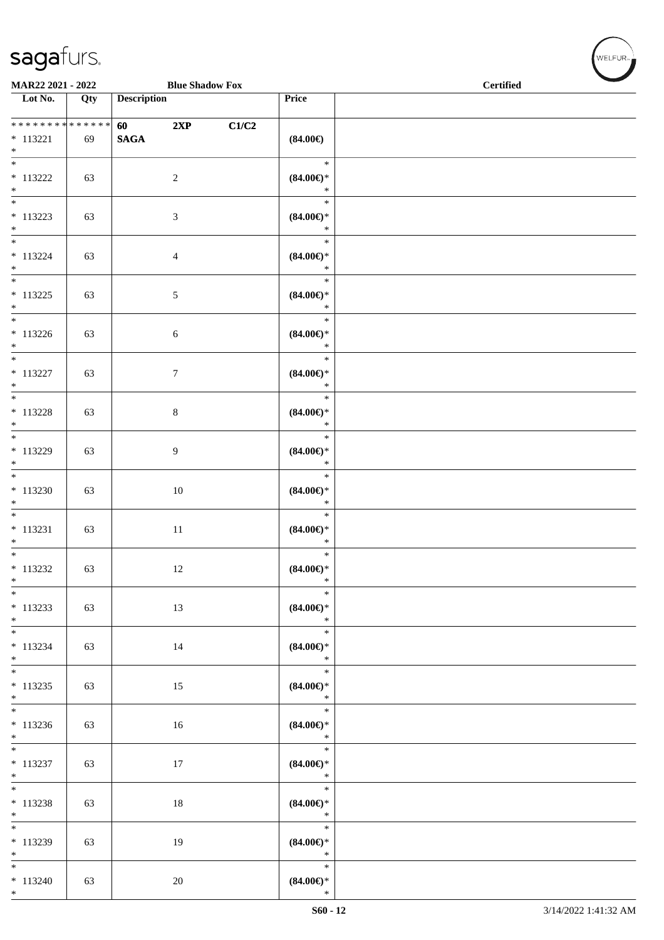$*$  113240 63  $20$ 

\*

| MAR22 2021 - 2022                                 |     |                    | <b>Blue Shadow Fox</b> |       |                                         | <b>Certified</b> |  |
|---------------------------------------------------|-----|--------------------|------------------------|-------|-----------------------------------------|------------------|--|
| $\overline{\phantom{1}}$ Lot No.                  | Qty | <b>Description</b> |                        |       | Price                                   |                  |  |
| ******** <mark>******</mark><br>$* 113221$<br>$*$ | 69  | 60<br><b>SAGA</b>  | 2XP                    | C1/C2 | $(84.00\epsilon)$                       |                  |  |
| $\overline{\phantom{0}}$<br>$* 113222$<br>$*$     | 63  |                    | $\overline{2}$         |       | $\ast$<br>$(84.00\epsilon)$ *<br>$\ast$ |                  |  |
| $* 113223$<br>$*$                                 | 63  |                    | 3                      |       | $\ast$<br>$(84.00\epsilon)$ *<br>$\ast$ |                  |  |
| $*$<br>$* 113224$<br>$*$                          | 63  |                    | $\overline{4}$         |       | $\ast$<br>$(84.00\epsilon)$ *<br>$\ast$ |                  |  |
| $* 113225$<br>$*$                                 | 63  |                    | $\mathfrak{S}$         |       | $\ast$<br>$(84.00\epsilon)$ *<br>$\ast$ |                  |  |
| $* 113226$<br>$*$                                 | 63  |                    | 6                      |       | $\ast$<br>$(84.00\epsilon)$ *<br>$\ast$ |                  |  |
| $*$<br>$* 113227$<br>$*$                          | 63  |                    | $\boldsymbol{7}$       |       | $\ast$<br>$(84.00\epsilon)$ *<br>$\ast$ |                  |  |
| $\overline{\ }$<br>$* 113228$<br>$*$              | 63  |                    | $\,8\,$                |       | $\ast$<br>$(84.00\epsilon)$ *<br>$\ast$ |                  |  |
| $* 113229$<br>$*$                                 | 63  |                    | 9                      |       | $\ast$<br>$(84.00\epsilon)$ *<br>$\ast$ |                  |  |
| $* 113230$<br>$*$                                 | 63  |                    | 10                     |       | $\ast$<br>$(84.00\epsilon)$ *<br>$\ast$ |                  |  |
| $\overline{\phantom{0}}$<br>$* 113231$<br>$*$     | 63  |                    | $11\,$                 |       | $\ast$<br>$(84.00\epsilon)$ *<br>$\ast$ |                  |  |
| $* 113232$<br>$\ast$                              | 63  |                    | 12                     |       | $\ast$<br>$(84.00\epsilon)$ *<br>$\ast$ |                  |  |
| $\overline{\ast}$<br>$* 113233$<br>$*$            | 63  |                    | 13                     |       | $\ast$<br>$(84.00\epsilon)$ *<br>$\ast$ |                  |  |
| $*$<br>$* 113234$<br>$*$                          | 63  |                    | 14                     |       | $\ast$<br>$(84.00\epsilon)$ *<br>$\ast$ |                  |  |
| $* 113235$<br>$*$                                 | 63  |                    | 15                     |       | $\ast$<br>$(84.00\epsilon)$ *<br>$\ast$ |                  |  |
| $* 113236$<br>$*$                                 | 63  |                    | 16                     |       | $\ast$<br>$(84.00\epsilon)$ *<br>$\ast$ |                  |  |
| $* 113237$<br>$*$                                 | 63  |                    | 17                     |       | $\ast$<br>$(84.00\epsilon)$ *<br>$\ast$ |                  |  |
| $\overline{\phantom{0}}$<br>$* 113238$<br>$*$     | 63  |                    | 18                     |       | $\ast$<br>$(84.00\epsilon)$ *<br>$\ast$ |                  |  |
| $\overline{\phantom{0}}$<br>* 113239<br>$*$       | 63  |                    | 19                     |       | $\ast$<br>$(84.00\epsilon)$ *<br>$\ast$ |                  |  |
| $\ast$                                            |     |                    |                        |       | $\ast$                                  |                  |  |

\* **(84.00€)**

,<br>WELFUR<sub>™</sub>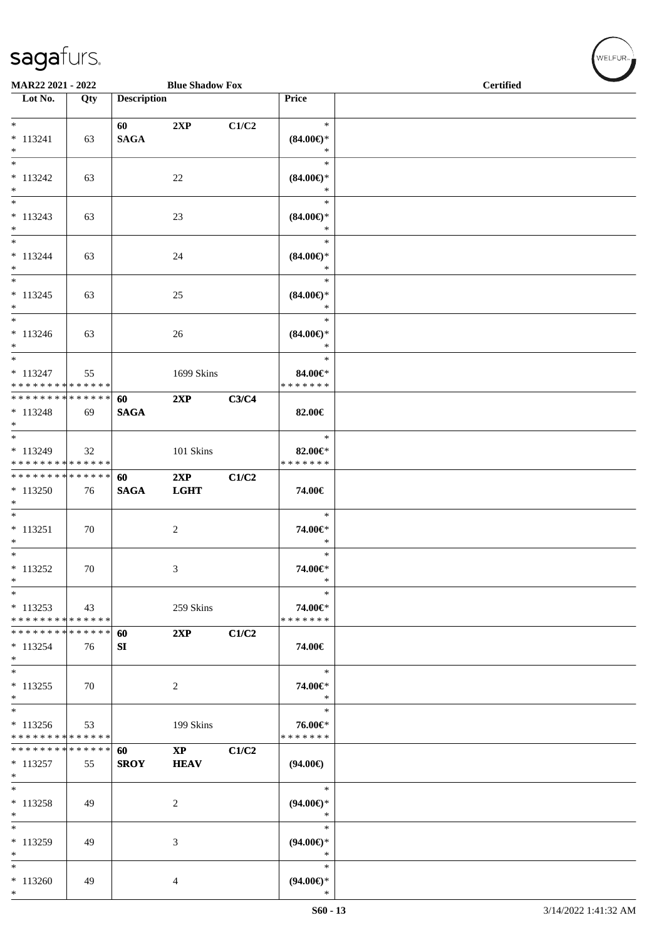| MAR22 2021 - 2022                                                   |     |                    | <b>Blue Shadow Fox</b>       |       |                                         | <b>Certified</b> |
|---------------------------------------------------------------------|-----|--------------------|------------------------------|-------|-----------------------------------------|------------------|
| $\overline{\phantom{1}}$ Lot No.                                    | Qty | <b>Description</b> |                              |       | Price                                   |                  |
| $*$                                                                 |     | 60                 | 2XP                          | C1/C2 | $\ast$                                  |                  |
| $* 113241$<br>$*$                                                   | 63  | <b>SAGA</b>        |                              |       | $(84.00\epsilon)$ *<br>$\ast$           |                  |
| $\ast$<br>$* 113242$<br>$\ast$                                      | 63  |                    | $22\,$                       |       | $\ast$<br>$(84.00\epsilon)$ *<br>$\ast$ |                  |
| $\ast$<br>$* 113243$<br>$*$                                         | 63  |                    | 23                           |       | $\ast$<br>$(84.00\epsilon)$ *<br>$\ast$ |                  |
| $\overline{\ast}$<br>$* 113244$<br>$\ast$                           | 63  |                    | 24                           |       | $\ast$<br>$(84.00\epsilon)$ *<br>$\ast$ |                  |
| $\ast$<br>$* 113245$<br>$\ast$                                      | 63  |                    | 25                           |       | $\ast$<br>$(84.00\epsilon)$ *<br>$\ast$ |                  |
| $\overline{\phantom{0}}$<br>$* 113246$<br>$*$                       | 63  |                    | 26                           |       | $\ast$<br>$(84.00\epsilon)$ *<br>$\ast$ |                  |
| $\overline{\ast}$<br>$* 113247$<br>* * * * * * * * * * * * * *      | 55  |                    | 1699 Skins                   |       | $\ast$<br>84.00€*<br>* * * * * * *      |                  |
| * * * * * * * * * * * * * *<br>$* 113248$<br>$*$                    | 69  | 60<br><b>SAGA</b>  | 2XP                          | C3/C4 | 82.00€                                  |                  |
| $\ast$<br>$*113249$<br>* * * * * * * * * * * * * *                  | 32  |                    | 101 Skins                    |       | $\ast$<br>82.00€*<br>* * * * * * *      |                  |
| * * * * * * * * * * * * * * *<br>* 113250<br>$*$                    | 76  | 60<br><b>SAGA</b>  | 2XP<br><b>LGHT</b>           | C1/C2 | 74.00€                                  |                  |
| $*$<br>$* 113251$<br>$*$                                            | 70  |                    | 2                            |       | $\ast$<br>74.00€*<br>$\ast$             |                  |
| $\overline{\phantom{0}}$<br>$* 113252$<br>$\ast$                    | 70  |                    | 3                            |       | $\ast$<br>74.00€*<br>$\ast$             |                  |
| $\ast$<br>$* 113253$<br>* * * * * * * * * * * * * *                 | 43  |                    | 259 Skins                    |       | $\ast$<br>74.00€*<br>* * * * * * *      |                  |
| * * * * * * * * * * * * * *<br>$* 113254$<br>$*$                    | 76  | 60<br>SI           | 2XP                          | C1/C2 | 74.00€                                  |                  |
| $*$<br>$* 113255$<br>$*$                                            | 70  |                    | 2                            |       | $\ast$<br>74.00€*<br>$\ast$             |                  |
| $\overline{\phantom{0}}$<br>* 113256<br>* * * * * * * * * * * * * * | 53  |                    | 199 Skins                    |       | $\ast$<br>76.00€*<br>* * * * * * *      |                  |
| * * * * * * * * * * * * * *<br>$* 113257$<br>$\ast$                 | 55  | 60<br><b>SROY</b>  | $\mathbf{XP}$<br><b>HEAV</b> | C1/C2 | $(94.00\epsilon)$                       |                  |
| $*$<br>$* 113258$<br>$\ast$                                         | 49  |                    | 2                            |       | $\ast$<br>$(94.00\epsilon)$ *<br>$\ast$ |                  |
| $\overline{\ast}$<br>* 113259<br>$\ast$                             | 49  |                    | 3                            |       | $\ast$<br>$(94.00ε)$ *<br>$\ast$        |                  |
| $\ast$<br>$*113260$<br>$*$                                          | 49  |                    | 4                            |       | $\ast$<br>$(94.00\epsilon)$ *<br>$\ast$ |                  |

WELFUR<sub>\*</sub>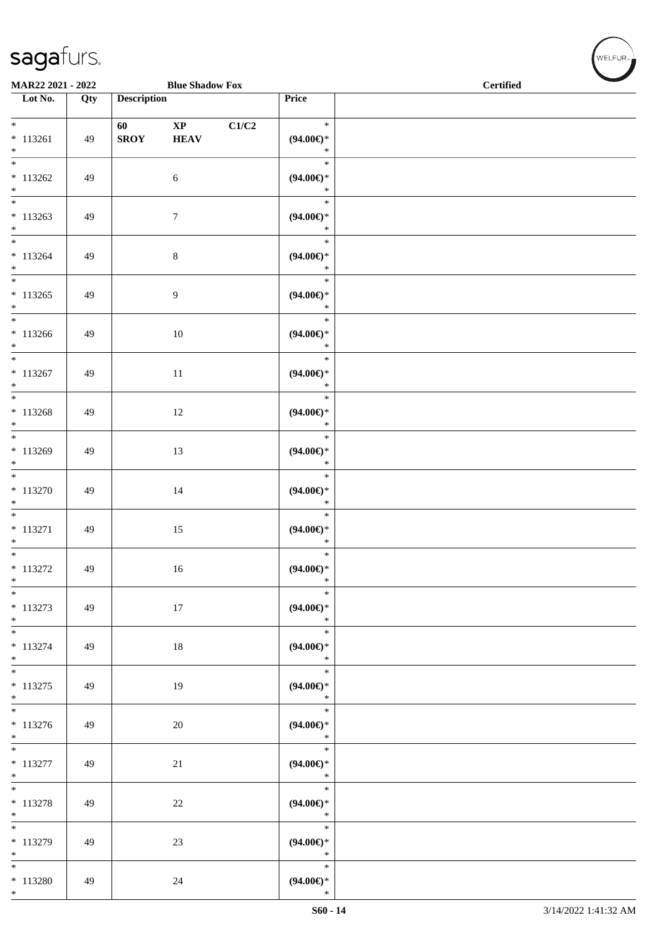\*

\*

\*

\* 113280 49 24

| $\overline{\phantom{a}}$<br>MAR22 2021 - 2022     |     |                    | <b>Blue Shadow Fox</b>                |       |                                         | <b>Certified</b> |
|---------------------------------------------------|-----|--------------------|---------------------------------------|-------|-----------------------------------------|------------------|
| $\overline{\phantom{1}}$ Lot No.                  | Qty | <b>Description</b> |                                       |       | Price                                   |                  |
| $*$<br>$* 113261$<br>$*$                          | 49  | 60<br><b>SROY</b>  | $\mathbf{X}\mathbf{P}$<br><b>HEAV</b> | C1/C2 | $\ast$<br>$(94.00ε)$ *<br>$\ast$        |                  |
| $* 113262$<br>$*$                                 | 49  |                    | 6                                     |       | $\ast$<br>$(94.00\epsilon)$ *<br>$\ast$ |                  |
| $\overline{\ast}$<br>$* 113263$<br>$*$            | 49  |                    | $\tau$                                |       | $\ast$<br>$(94.00\epsilon)$ *<br>$\ast$ |                  |
| $\overline{\phantom{0}}$<br>$* 113264$<br>$*$     | 49  |                    | $\,8\,$                               |       | $\ast$<br>$(94.00ε)$ *<br>$\ast$        |                  |
| $*$<br>$* 113265$<br>$*$                          | 49  |                    | $\overline{9}$                        |       | $\ast$<br>$(94.00ε)$ *<br>$\ast$        |                  |
| $* 113266$<br>$*$                                 | 49  |                    | 10                                    |       | $\ast$<br>$(94.00ε)$ *<br>$\ast$        |                  |
| $\overline{\phantom{0}}$<br>$* 113267$<br>$*$     | 49  |                    | 11                                    |       | $\ast$<br>$(94.00\epsilon)$ *<br>$\ast$ |                  |
| $\overline{\ }$<br>$* 113268$<br>$*$              | 49  |                    | 12                                    |       | $\ast$<br>$(94.00ε)$ *<br>$\ast$        |                  |
| $*$<br>$* 113269$<br>$*$                          | 49  |                    | 13                                    |       | $\ast$<br>$(94.00ε)$ *<br>$\ast$        |                  |
| $\overline{\phantom{0}}$<br>$* 113270$<br>$*$     | 49  |                    | 14                                    |       | $\ast$<br>$(94.00ε)$ *<br>$\ast$        |                  |
| $\ast$<br>$* 113271$<br>$*$                       | 49  |                    | 15                                    |       | $\ast$<br>$(94.00\in)^\ast$<br>$\ast$   |                  |
| $*$<br>$* 113272$<br>$*$ $*$                      | 49  |                    | 16                                    |       | $\ast$<br>$(94.00\epsilon)$ *<br>$\ast$ |                  |
| $\overline{\phantom{0}}$<br>$* 113273$<br>$*$ $-$ | 49  |                    | 17                                    |       | $\ast$<br>$(94.00\epsilon)$ *<br>$*$    |                  |
| $*$<br>$* 113274$<br>$*$                          | 49  |                    | 18                                    |       | $\ast$<br>$(94.00\epsilon)$ *<br>$\ast$ |                  |
| $*$<br>$* 113275$<br>$*$                          | 49  |                    | 19                                    |       | $\ast$<br>$(94.00ε)$ *<br>$\ast$        |                  |
| $*$<br>$* 113276$<br>$*$                          | 49  |                    | 20                                    |       | $\ast$<br>$(94.00\epsilon)$ *<br>$\ast$ |                  |
| $*$<br>$* 113277$<br>$*$ $*$                      | 49  |                    | 21                                    |       | $\ast$<br>$(94.00ε)$ *<br>$\ast$        |                  |
| $*$<br>$* 113278$<br>$*$                          | 49  |                    | 22                                    |       | $\ast$<br>$(94.00\epsilon)$ *<br>$\ast$ |                  |
| $*$<br>$* 113279$                                 | 49  |                    | 23                                    |       | $\ast$<br>$(94.00\epsilon)$ *           |                  |

\*

\*

\* **(94.00€)**

WELFUR<sub><sup>N</sup></sub>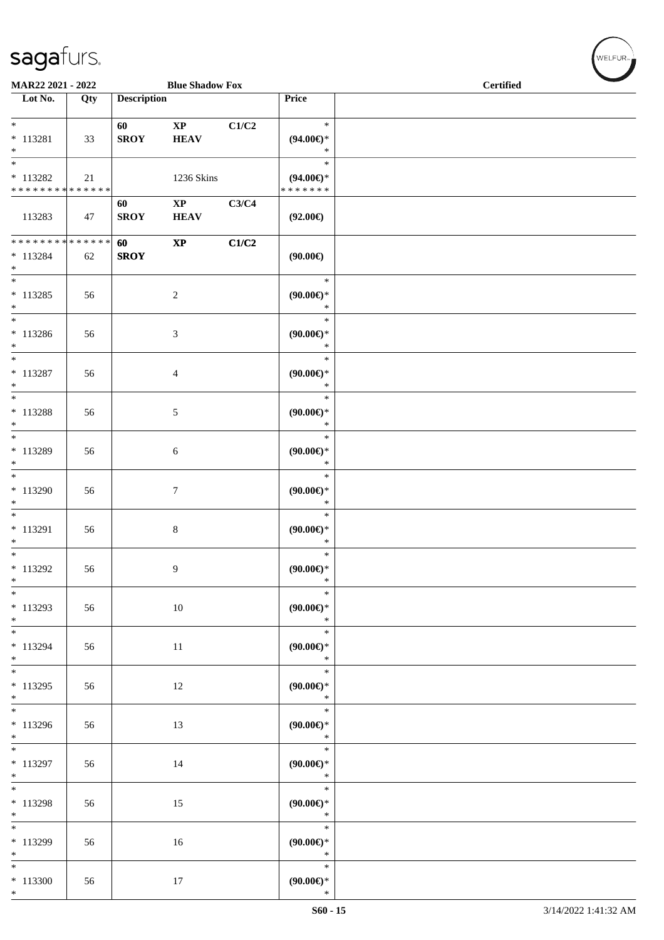|                             | MAR22 2021 - 2022 |                    | <b>Blue Shadow Fox</b> |       |                     | <b>Certified</b> |
|-----------------------------|-------------------|--------------------|------------------------|-------|---------------------|------------------|
| Lot No.                     | Qty               | <b>Description</b> |                        |       | Price               |                  |
| *                           |                   | 60                 | <b>XP</b>              | C1/C2 | $\ast$              |                  |
| $*113281$                   | 33                | <b>SROY</b>        | <b>HEAV</b>            |       | $(94.00\epsilon)$ * |                  |
| $\ast$                      |                   |                    |                        |       | ∗                   |                  |
| *                           |                   |                    |                        |       | $\ast$              |                  |
| $*113282$                   | 21                |                    | 1236 Skins             |       | $(94.00\epsilon)$ * |                  |
| * * * * * * * * * * * * * * |                   |                    |                        |       | *******             |                  |
|                             |                   | 60                 | <b>XP</b>              | C3/C4 |                     |                  |
| 113283                      | 47                | <b>SROY</b>        | <b>HEAV</b>            |       | $(92.00\epsilon)$   |                  |

\*

\*

\*

\*

\*

\*

\*

\*

\*

\*

\*

\*

\*

\*

\*

\*

\*

\*

\*

\*

\*

\* 113296 56 13

\* 113297 | 56 | 14

\* 113298 | 56 | 15

\* 113299 | 56 | 16

\* 113300 56 17

\*

| 113283                                                | 47 | SROY              | HEAV                   |       | $(92.00\epsilon)$                       |  |
|-------------------------------------------------------|----|-------------------|------------------------|-------|-----------------------------------------|--|
| * * * * * * * * * * * * * * *<br>$* 113284$<br>$\ast$ | 62 | 60<br><b>SROY</b> | $\mathbf{X}\mathbf{P}$ | C1/C2 | $(90.00\epsilon)$                       |  |
| $\overline{\ }$<br>$* 113285$<br>$*$                  | 56 |                   | $\overline{2}$         |       | $\ast$<br>$(90.00\epsilon)$ *<br>$\ast$ |  |
| $\overline{\ }$<br>* 113286<br>$\ast$                 | 56 |                   | $\mathfrak{Z}$         |       | $\ast$<br>$(90.00\epsilon)$ *<br>$\ast$ |  |
| $*$<br>$* 113287$<br>$\ast$                           | 56 |                   | $\overline{4}$         |       | $\ast$<br>$(90.00\epsilon)$ *<br>$\ast$ |  |
| * 113288<br>$\ast$                                    | 56 |                   | $\mathfrak{S}$         |       | $\ast$<br>(90.00)<br>$\ast$             |  |
| * 113289<br>$\ddot{\ast}$                             | 56 |                   | $6\,$                  |       | $\ast$<br>(90.00)<br>$\ast$             |  |
| $\overline{\ast}$<br>* 113290<br>$\ddot{\ast}$        | 56 |                   | $\boldsymbol{7}$       |       | $\ast$<br>(90.00)<br>$\ast$             |  |
| * 113291<br>$*$                                       | 56 |                   | $\,8\,$                |       | $\ast$<br>(90.00)<br>$\ast$             |  |
| $*$<br>* 113292<br>$*$                                | 56 |                   | $\overline{9}$         |       | $\ast$<br>(90.00)<br>$\ast$             |  |
| $*$<br>$*113293$<br>$*$                               | 56 |                   | 10                     |       | $\ast$<br>$(90.00\epsilon)$ *<br>$\ast$ |  |
| $* 113294$<br>$*$                                     | 56 |                   | 11                     |       | $\ast$<br>$(90.00\epsilon)$ *<br>$\ast$ |  |
| $*$<br>$*113295$<br>$*$                               | 56 |                   | 12                     |       | $\ast$<br>(90.00)<br>$\ast$             |  |
|                                                       |    |                   |                        |       |                                         |  |

WELFUR

\*

\*

\*

\*

\*

\* **(90.00€)** \*

\* **(90.00€)** \*

\* **(90.00€)** \*

\* **(90.00€)** \*

\* **(90.00€)**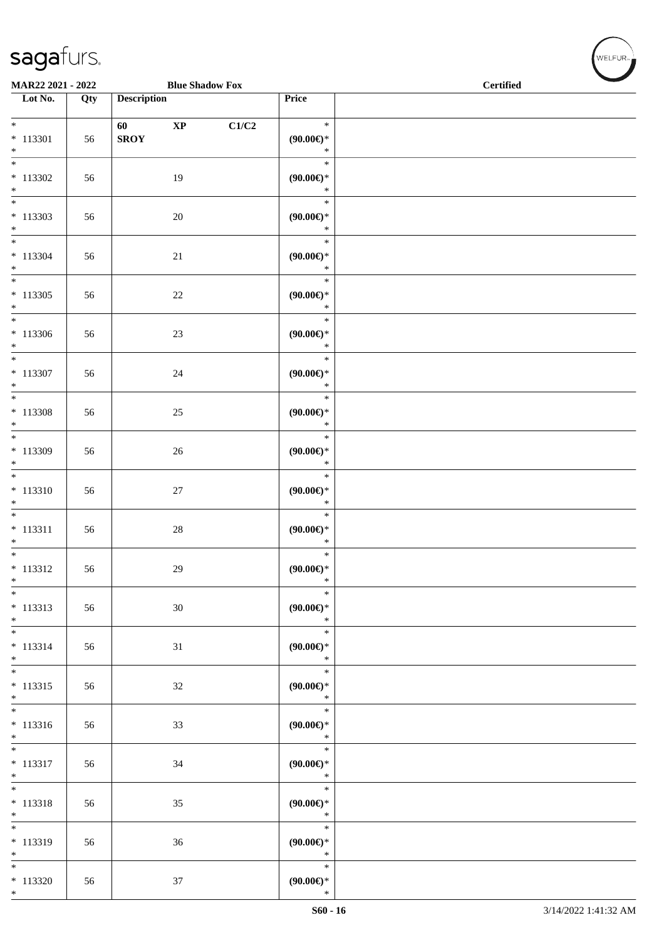| sagafurs.         |     |                    |                        |       |                     |  |
|-------------------|-----|--------------------|------------------------|-------|---------------------|--|
| MAR22 2021 - 2022 |     |                    | <b>Blue Shadow Fox</b> |       | <b>Certified</b>    |  |
| Lot No.           | Qty | <b>Description</b> |                        |       | <b>Price</b>        |  |
| $*$               |     | 60                 | <b>XP</b>              | C1/C2 | $\ast$              |  |
| 113301<br>*       | 56  | <b>SROY</b>        |                        |       | $(90.00\epsilon)$ * |  |
| $*$               |     |                    |                        |       | $*$                 |  |

| $* 113301$<br>$*$                          | 56 | <b>60</b><br>$\mathbf{X} \mathbf{P}$<br><b>SROY</b> | CI/C2 | $\mathcal{F}$<br>$(90.00*)$<br>$*$      |  |
|--------------------------------------------|----|-----------------------------------------------------|-------|-----------------------------------------|--|
| $*113302$<br>$*$                           | 56 | 19                                                  |       | $\ast$<br>$(90.00\epsilon)$ *<br>$\ast$ |  |
| $*113303$                                  | 56 | 20                                                  |       | $\ast$<br>$(90.00ε)$ *<br>$\ast$        |  |
| $*$<br>*<br>$* 113304$<br>$*$              | 56 | 21                                                  |       | $\ast$<br>$(90.00\epsilon)$ *<br>$*$    |  |
| $*113305$<br>$*$                           | 56 | 22                                                  |       | $\ast$<br>$(90.00\epsilon)$ *<br>$\ast$ |  |
| $\overline{\ast}$<br>$*113306$<br>$*$      | 56 | 23                                                  |       | $\ast$<br>$(90.00\epsilon)$ *<br>$\ast$ |  |
| $*$<br>$* 113307$<br>$*$                   | 56 | 24                                                  |       | $\ast$<br>$(90.00\epsilon)$ *<br>$\ast$ |  |
| $*$<br>* 113308<br>$*$                     | 56 | 25                                                  |       | $*$<br>$(90.00\epsilon)$ *<br>$\ast$    |  |
| $\ddot{x}$<br>* 113309<br>$*$<br>*         | 56 | 26                                                  |       | $\ast$<br>$(90.00\epsilon)$ *<br>$\ast$ |  |
| $* 113310$<br>$*$                          | 56 | 27                                                  |       | $\ast$<br>$(90.00\epsilon)$ *<br>$\ast$ |  |
| $* 113311$<br>$*$                          | 56 | 28                                                  |       | $\ast$<br>$(90.00\epsilon)$ *<br>$\ast$ |  |
| $\ddot{x}$<br>$* 113312$<br>$*$            | 56 | 29                                                  |       | $\ast$<br>$(90.00\epsilon)$ *<br>$\ast$ |  |
| $\overline{\ast}$<br>$* 113313$<br>$*$     | 56 | 30                                                  |       | $\ast$<br>$(90.00\epsilon)$ *<br>$\ast$ |  |
| $*$<br>$* 113314$<br>$*$                   | 56 | 31                                                  |       | $\ast$<br>$(90.00\in)^\ast$<br>$\ast$   |  |
| $\ast$<br>$* 113315$<br>$*$                | 56 | 32                                                  |       | $\ast$<br>(90.00)<br>$\ast$             |  |
| $* 113316$<br>$*$                          | 56 | 33                                                  |       | $\ast$<br>(90.00)<br>$\ast$             |  |
| $\overline{\ast}$<br>$* 113317$<br>$*$     | 56 | 34                                                  |       | $\ast$<br>(90.00)<br>$\ast$             |  |
| $\ddot{x}$<br>* 113318<br>$\ast$           | 56 | 35                                                  |       | $\ast$<br>$(90.00\epsilon)$ *<br>$\ast$ |  |
| $\overline{\cdot}$<br>$* 113319$<br>$\ast$ | 56 | 36                                                  |       | $\ast$<br>(90.00)<br>$\ast$             |  |
| $\overline{\ast}$<br>$*113320$<br>$*$      | 56 | 37                                                  |       | $\ast$<br>(90.00)<br>$\ast$             |  |

.<br>Nei eur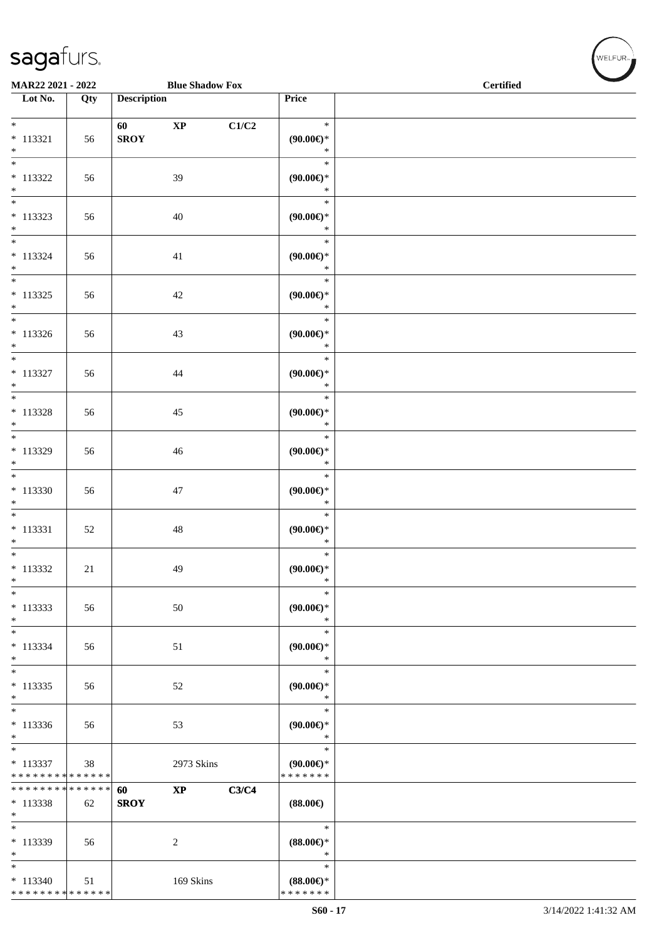\* \* \* \* \* \* \* \* \* \* \* \* \* \* \*

| MAR22 2021 - 2022                      |     |                    | <b>Blue Shadow Fox</b> |       |                               | <b>Certified</b> |  |  |  |
|----------------------------------------|-----|--------------------|------------------------|-------|-------------------------------|------------------|--|--|--|
| $\overline{\phantom{1}}$ Lot No.       | Qty | <b>Description</b> |                        |       | Price                         |                  |  |  |  |
| $*$                                    |     | 60 000             | $\bold{XP}$            | C1/C2 | $\ast$                        |                  |  |  |  |
| $* 113321$                             | 56  | <b>SROY</b>        |                        |       | $(90.00\epsilon)$ *           |                  |  |  |  |
| $\ast$<br>$\overline{\phantom{1}}$     |     |                    |                        |       | $\ast$                        |                  |  |  |  |
| $* 113322$                             | 56  |                    | 39                     |       | $\ast$<br>$(90.00\epsilon)$ * |                  |  |  |  |
| $\ast$                                 |     |                    |                        |       | $\ast$                        |                  |  |  |  |
| $\overline{\phantom{0}}$               |     |                    |                        |       | $\ast$                        |                  |  |  |  |
| $* 113323$<br>$\ast$                   | 56  |                    | 40                     |       | (90.00)<br>$\ast$             |                  |  |  |  |
| $\overline{\phantom{0}}$               |     |                    |                        |       | $\ast$                        |                  |  |  |  |
| $* 113324$                             | 56  |                    | 41                     |       | (90.00)<br>$\ast$             |                  |  |  |  |
| $*$<br>$\overline{\phantom{1}}$        |     |                    |                        |       | $\ast$                        |                  |  |  |  |
| $* 113325$                             | 56  |                    | 42                     |       | (90.00)                       |                  |  |  |  |
| $*$<br>$\overline{\phantom{0}}$        |     |                    |                        |       | $\ast$<br>$\ast$              |                  |  |  |  |
| $* 113326$                             | 56  |                    | 43                     |       | $(90.00\epsilon)$ *           |                  |  |  |  |
| $*$                                    |     |                    |                        |       | $\ast$                        |                  |  |  |  |
| $\overline{\phantom{a}^*}$             |     |                    |                        |       | $\ast$                        |                  |  |  |  |
| $* 113327$<br>$\ast$                   | 56  |                    | 44                     |       | $(90.00\epsilon)$ *<br>$\ast$ |                  |  |  |  |
| $\ast$                                 |     |                    |                        |       | $\ast$                        |                  |  |  |  |
| $* 113328$<br>$\ast$                   | 56  |                    | $45\,$                 |       | $(90.00\epsilon)$ *<br>$\ast$ |                  |  |  |  |
| $\overline{\phantom{0}}$               |     |                    |                        |       | $\ast$                        |                  |  |  |  |
| * 113329                               | 56  |                    | 46                     |       | (90.00)                       |                  |  |  |  |
| $\ast$<br>$\overline{\phantom{a}^*}$   |     |                    |                        |       | $\ast$<br>$\ast$              |                  |  |  |  |
| $* 113330$                             | 56  |                    | $47\,$                 |       | (90.00)                       |                  |  |  |  |
| $\ast$<br>$\overline{\phantom{1}}$     |     |                    |                        |       | $\ast$                        |                  |  |  |  |
| $* 113331$                             | 52  |                    | $\sqrt{48}$            |       | $\ast$<br>$(90.00\epsilon)$ * |                  |  |  |  |
| $\ast$                                 |     |                    |                        |       | $\ast$                        |                  |  |  |  |
| $\overline{\phantom{a}^*}$             |     |                    |                        |       | $\ast$                        |                  |  |  |  |
| $* 113332$<br>$*$                      | 21  |                    | 49                     |       | $(90.00\epsilon)$ *<br>$\ast$ |                  |  |  |  |
| $\overline{\phantom{1}}$               |     |                    |                        |       | $\ast$                        |                  |  |  |  |
| $* 113333$<br>$*$                      | 56  |                    | $50\,$                 |       | $(90.00\epsilon)$ *<br>$\ast$ |                  |  |  |  |
| $\ast$                                 |     |                    |                        |       | $\ast$                        |                  |  |  |  |
| $* 113334$                             | 56  |                    | 51                     |       | $(90.00\epsilon)$ *           |                  |  |  |  |
| $\ast$<br>$\overline{\ast}$            |     |                    |                        |       | $\ast$<br>$\ast$              |                  |  |  |  |
| $* 113335$                             | 56  |                    | 52                     |       | (90.00)                       |                  |  |  |  |
| $\ast$<br>$_{\ast}^{-}$                |     |                    |                        |       | $\ast$<br>$\ast$              |                  |  |  |  |
| $* 113336$                             | 56  |                    | 53                     |       | (90.00)                       |                  |  |  |  |
| $\ast$                                 |     |                    |                        |       | $\ast$                        |                  |  |  |  |
| $\overline{\phantom{a}}$<br>$* 113337$ | 38  |                    | 2973 Skins             |       | $\ast$<br>$(90.00\epsilon)$ * |                  |  |  |  |
| * * * * * * * * * * * * * *            |     |                    |                        |       | * * * * * * *                 |                  |  |  |  |
| * * * * * * * * * * * * * *            |     | 60                 | $\mathbf{XP}$          | C3/C4 |                               |                  |  |  |  |
| $*113338$<br>$\ast$                    | 62  | <b>SROY</b>        |                        |       | $(88.00\epsilon)$             |                  |  |  |  |
| $\overline{\ast}$                      |     |                    |                        |       | $\ast$                        |                  |  |  |  |
| $*113339$<br>$\ast$                    | 56  |                    | $\overline{c}$         |       | $(88.00\epsilon)$ *<br>$\ast$ |                  |  |  |  |
| $\ast$                                 |     |                    |                        |       | $\ast$                        |                  |  |  |  |
| $* 113340$                             | 51  |                    | 169 Skins              |       | $(88.00\epsilon)$ *           |                  |  |  |  |

\* \* \* \* \* \* \*

WELFUR<sub><sup>N</sub></sub></sub></sup>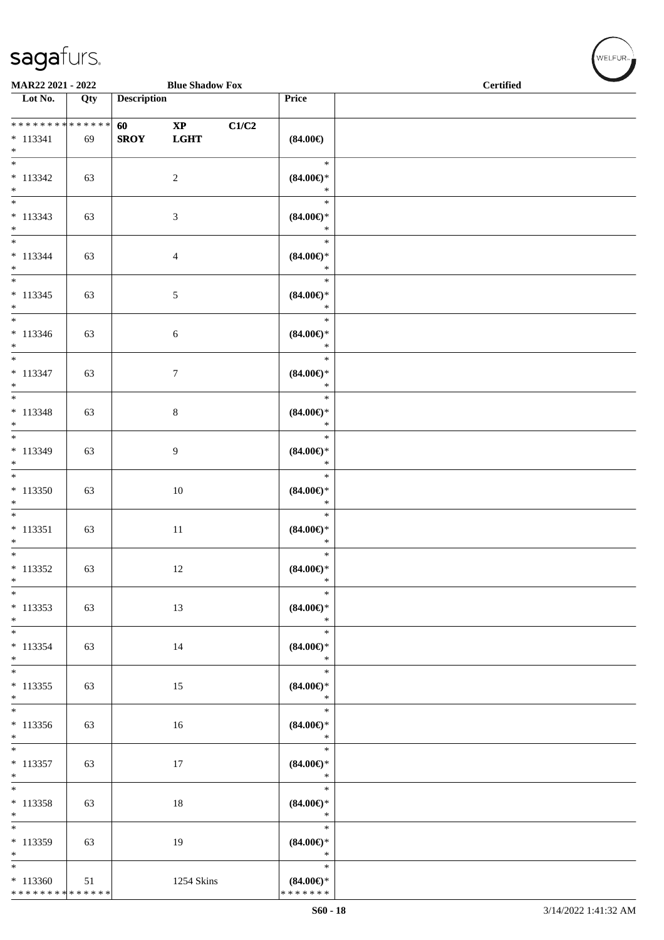\* \* \* \* \* \* \* \* \* \* \* \* \* \* \*

| MAR22 2021 - 2022                               |     |                    | <b>Blue Shadow Fox</b>                |       |                                                    | <b>Certified</b> |
|-------------------------------------------------|-----|--------------------|---------------------------------------|-------|----------------------------------------------------|------------------|
| Lot No.                                         | Qty | <b>Description</b> |                                       |       | Price                                              |                  |
| **************<br>$* 113341$<br>$\ast$          | 69  | 60<br><b>SROY</b>  | $\mathbf{X}\mathbf{P}$<br><b>LGHT</b> | C1/C2 | $(84.00\epsilon)$                                  |                  |
| $\overline{\phantom{0}}$<br>$* 113342$<br>$*$   | 63  |                    | $\sqrt{2}$                            |       | $\ast$<br>$(84.00\epsilon)$ *<br>$\ast$            |                  |
| $\overline{\phantom{0}}$<br>$* 113343$<br>$*$   | 63  |                    | $\mathfrak{Z}$                        |       | $\ast$<br>$(84.00\epsilon)$ *<br>$\ast$            |                  |
| $\overline{\phantom{0}}$<br>$* 113344$<br>$*$   | 63  |                    | $\overline{4}$                        |       | $\ast$<br>$(84.00\mathnormal{\infty})^*$<br>$\ast$ |                  |
| $\overline{\phantom{0}}$<br>$* 113345$<br>$*$   | 63  |                    | $\sqrt{5}$                            |       | $\ast$<br>$(84.00\epsilon)$ *<br>$\ast$            |                  |
| $*$<br>$* 113346$<br>$*$                        | 63  |                    | $\sqrt{6}$                            |       | $\ast$<br>$(84.00\epsilon)$ *<br>$\ast$            |                  |
| $*$<br>$* 113347$<br>$\ast$                     | 63  |                    | $7\phantom{.0}$                       |       | $\ast$<br>$(84.00\epsilon)$ *<br>$\ast$            |                  |
| $\overline{\ast}$<br>$* 113348$<br>$\ast$       | 63  |                    | $8\,$                                 |       | $\ast$<br>$(84.00\epsilon)$ *<br>$\ast$            |                  |
| $\overline{\ast}$<br>$* 113349$<br>$*$          | 63  |                    | $\overline{9}$                        |       | $\ast$<br>$(84.00\epsilon)$ *<br>$\ast$            |                  |
| $*$<br>$* 113350$<br>$\ast$                     | 63  |                    | $10\,$                                |       | $\ast$<br>$(84.00\epsilon)$ *<br>$\ast$            |                  |
| $\overline{\phantom{0}}$<br>$* 113351$<br>$*$   | 63  |                    | $11\,$                                |       | $\ast$<br>$(84.00\epsilon)$ *<br>$\ast$            |                  |
| $\overline{\ast}$<br>$* 113352$<br>$*$          | 63  |                    | 12                                    |       | $\ast$<br>$(84.00\epsilon)$ *<br>$\ast$            |                  |
| $\ast$<br>$* 113353$<br>$*$                     | 63  |                    | 13                                    |       | $\ast$<br>$(84.00\epsilon)$ *<br>$\ast$            |                  |
| $\overline{\phantom{0}}$<br>$* 113354$<br>$*$   | 63  |                    | 14                                    |       | $\ast$<br>$(84.00\epsilon)$ *<br>$\ast$            |                  |
| $\overline{\phantom{0}}$<br>$* 113355$<br>$*$   | 63  |                    | 15                                    |       | $\ast$<br>$(84.00\epsilon)$ *<br>$\ast$            |                  |
| $\overline{\phantom{0}}$<br>$* 113356$<br>$*$   | 63  |                    | 16                                    |       | $\ast$<br>$(84.00\epsilon)$ *<br>$\ast$            |                  |
| $\overline{\phantom{0}}$<br>$* 113357$<br>$*$   | 63  |                    | 17                                    |       | $\ast$<br>$(84.00\epsilon)$ *<br>$\ast$            |                  |
| $\ast$<br>* 113358<br>$*$                       | 63  |                    | 18                                    |       | $\ast$<br>$(84.00\epsilon)$ *<br>$\ast$            |                  |
| $\overline{\phantom{0}}$<br>$*113359$<br>$\ast$ | 63  |                    | 19                                    |       | $\ast$<br>$(84.00\epsilon)$ *<br>$\ast$            |                  |
| $*$<br>$*113360$                                | 51  |                    | 1254 Skins                            |       | $\ast$<br>$(84.00\epsilon)$ *                      |                  |

\* \* \* \* \* \* \*

WELFUR-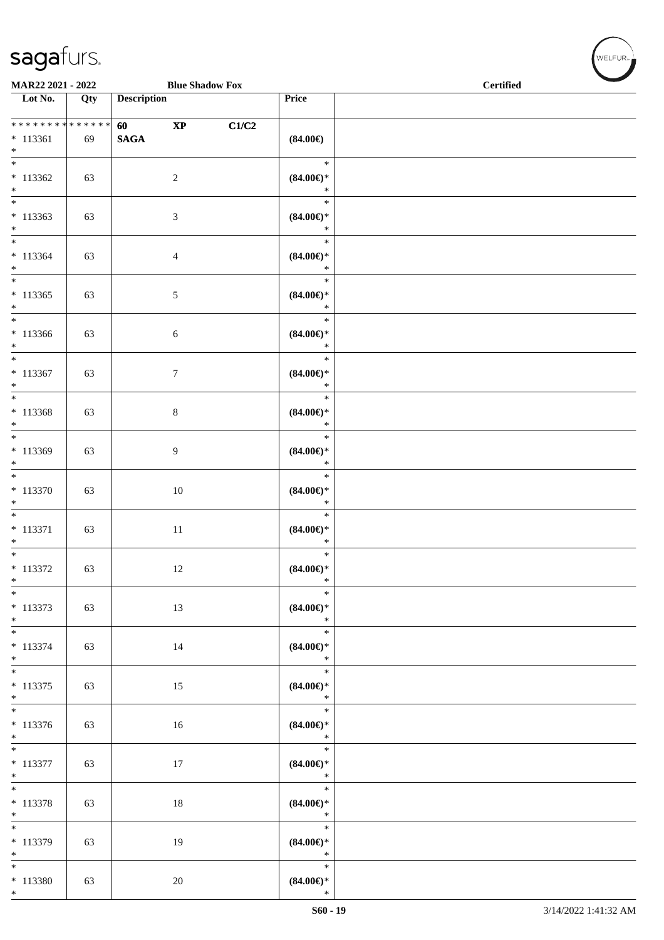$*$  113380 63  $20$ 

\*

| MAR22 2021 - 2022                                    |     |                                        | <b>Blue Shadow Fox</b> |       |                                         | <b>Certified</b> |  |  |
|------------------------------------------------------|-----|----------------------------------------|------------------------|-------|-----------------------------------------|------------------|--|--|
| $\overline{\phantom{1}}$ Lot No.                     | Qty | <b>Description</b>                     |                        |       | Price                                   |                  |  |  |
| * * * * * * * * * * * * * *<br>$* 113361$            | 69  | <b>60</b> and <b>60</b><br><b>SAGA</b> | $\bold{XP}$            | C1/C2 | $(84.00\epsilon)$                       |                  |  |  |
| $*$<br>$\overline{\phantom{0}}$<br>$* 113362$<br>$*$ | 63  |                                        | $\sqrt{2}$             |       | $\ast$<br>$(84.00\epsilon)$ *<br>$\ast$ |                  |  |  |
| $\overline{\ast}$<br>$*113363$<br>$*$                | 63  |                                        | $\mathfrak{Z}$         |       | $\ast$<br>$(84.00\epsilon)$ *<br>$\ast$ |                  |  |  |
| $* 113364$<br>$*$                                    | 63  |                                        | $\overline{4}$         |       | $\ast$<br>$(84.00\epsilon)$ *<br>$\ast$ |                  |  |  |
| $\overline{\phantom{0}}$<br>$*113365$<br>$*$         | 63  |                                        | $5\,$                  |       | $\ast$<br>$(84.00\epsilon)$ *<br>$\ast$ |                  |  |  |
| $\overline{\ast}$<br>$*113366$<br>$*$                | 63  |                                        | $\sqrt{6}$             |       | $\ast$<br>$(84.00\epsilon)$ *<br>$\ast$ |                  |  |  |
| $*$<br>$* 113367$<br>$*$                             | 63  |                                        | $\boldsymbol{7}$       |       | $\ast$<br>$(84.00\epsilon)$ *<br>$\ast$ |                  |  |  |
| $\overline{\ }$<br>$* 113368$<br>$*$                 | 63  |                                        | $8\,$                  |       | $\ast$<br>$(84.00\epsilon)$ *<br>$\ast$ |                  |  |  |
| $*$<br>$* 113369$<br>$\ast$                          | 63  |                                        | $\overline{9}$         |       | $\ast$<br>$(84.00\epsilon)$ *<br>$\ast$ |                  |  |  |
| $* 113370$<br>$\ast$                                 | 63  |                                        | $10\,$                 |       | $\ast$<br>$(84.00\epsilon)$ *<br>$\ast$ |                  |  |  |
| $\overline{\phantom{0}}$<br>* 113371<br>$*$          | 63  |                                        | 11                     |       | $\ast$<br>$(84.00\epsilon)$ *<br>$\ast$ |                  |  |  |
| $\overline{\phantom{0}}$<br>$* 113372$<br>$\ast$     | 63  |                                        | $12\,$                 |       | $\ast$<br>$(84.00\epsilon)$ *<br>$\ast$ |                  |  |  |
| $\ast$<br>$* 113373$<br>$*$                          | 63  |                                        | 13                     |       | $\ast$<br>$(84.00\epsilon)$ *<br>$\ast$ |                  |  |  |
| $*$<br>$* 113374$<br>$*$                             | 63  |                                        | 14                     |       | $\ast$<br>$(84.00\epsilon)$ *<br>$\ast$ |                  |  |  |
| $*$<br>$* 113375$<br>$*$                             | 63  |                                        | 15                     |       | $\ast$<br>$(84.00\epsilon)$ *<br>$\ast$ |                  |  |  |
| $* 113376$<br>$*$                                    | 63  |                                        | 16                     |       | $\ast$<br>$(84.00\epsilon)$ *<br>$\ast$ |                  |  |  |
| $\overline{\ast}$<br>$* 113377$<br>$*$               | 63  |                                        | 17                     |       | $\ast$<br>$(84.00\epsilon)$ *<br>$\ast$ |                  |  |  |
| $* 113378$<br>$*$<br>$\overline{\phantom{0}}$        | 63  |                                        | $18\,$                 |       | $\ast$<br>$(84.00\epsilon)$ *<br>$\ast$ |                  |  |  |
| $* 113379$<br>$\ast$                                 | 63  |                                        | 19                     |       | $\ast$<br>$(84.00\epsilon)$ *<br>$\ast$ |                  |  |  |
| $\ast$                                               |     |                                        |                        |       | $\ast$                                  |                  |  |  |

\* **(84.00€)**

√<br>WELFUR<sub>™</sub>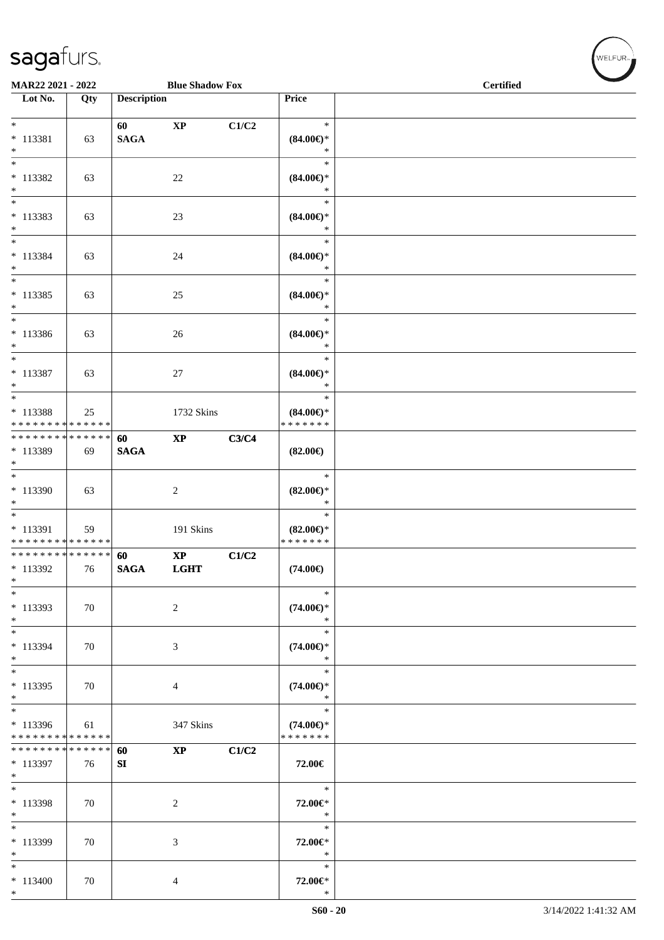\*

|                                                               | MAR22 2021 - 2022<br><b>Blue Shadow Fox</b> |                    |                                       |       |                                                | <b>Certified</b> |
|---------------------------------------------------------------|---------------------------------------------|--------------------|---------------------------------------|-------|------------------------------------------------|------------------|
| $\overline{\phantom{1}}$ Lot No.                              | Qty                                         | <b>Description</b> |                                       |       | Price                                          |                  |
| $*$<br>$* 113381$<br>$*$                                      | 63                                          | 60<br><b>SAGA</b>  | $\bold{XP}$                           | C1/C2 | $\ast$<br>$(84.00\epsilon)$ *<br>$\ast$        |                  |
| $\ast$<br>* 113382<br>$*$                                     | 63                                          |                    | $22\,$                                |       | $\ast$<br>$(84.00\epsilon)$ *<br>$\ast$        |                  |
| $\ast$<br>$* 113383$<br>$*$                                   | 63                                          |                    | 23                                    |       | $\ast$<br>$(84.00\epsilon)$ *<br>$\ast$        |                  |
| $\overline{\phantom{0}}$<br>* 113384<br>$*$                   | 63                                          |                    | 24                                    |       | $\ast$<br>$(84.00\epsilon)$ *<br>$\ast$        |                  |
| $\overline{\phantom{0}}$<br>$* 113385$<br>$*$                 | 63                                          |                    | $25\,$                                |       | $\ast$<br>$(84.00\epsilon)$ *<br>$\ast$        |                  |
| $*$<br>$* 113386$<br>$*$                                      | 63                                          |                    | 26                                    |       | $\ast$<br>$(84.00\epsilon)$ *<br>$\ast$        |                  |
| $*$<br>$* 113387$<br>$*$                                      | 63                                          |                    | 27                                    |       | $\ast$<br>$(84.00\epsilon)$ *<br>$\ast$        |                  |
| $*$<br>* 113388<br>* * * * * * * * * * * * * *                | 25                                          |                    | 1732 Skins                            |       | $\ast$<br>$(84.00\epsilon)$ *<br>* * * * * * * |                  |
| ******** <mark>******</mark><br>* 113389<br>$*$               | 69                                          | 60<br><b>SAGA</b>  | $\bold{XP}$                           | C3/C4 | $(82.00\epsilon)$                              |                  |
| $*$<br>$*113390$<br>$\ast$                                    | 63                                          |                    | 2                                     |       | $\ast$<br>$(82.00\epsilon)$ *<br>$\ast$        |                  |
| * 113391<br>* * * * * * * * * * * * * *                       | 59                                          |                    | 191 Skins                             |       | $\ast$<br>$(82.00\epsilon)$ *<br>* * * * * * * |                  |
| ******** <mark>******</mark><br>* 113392<br>$\ast$            | 76                                          | 60<br><b>SAGA</b>  | $\mathbf{X}\mathbf{P}$<br><b>LGHT</b> | C1/C2 | $(74.00\epsilon)$                              |                  |
| $*$<br>* 113393<br>$*$                                        | 70                                          |                    | $\overline{2}$                        |       | $\ast$<br>$(74.00\epsilon)$ *<br>$\ast$        |                  |
| $*$<br>* 113394<br>$*$                                        | 70                                          |                    | 3                                     |       | $\ast$<br>$(74.00\epsilon)$ *<br>$\ast$        |                  |
| $*$<br>* 113395<br>$*$                                        | 70                                          |                    | 4                                     |       | $\ast$<br>$(74.00\epsilon)$ *<br>$\ast$        |                  |
| $*$<br>* 113396<br>* * * * * * * * <mark>* * * * * * *</mark> | 61                                          |                    | 347 Skins                             |       | $\ast$<br>$(74.00\epsilon)$ *<br>* * * * * * * |                  |
| * * * * * * * * * * * * * * *<br>* 113397<br>$*$              | 76                                          | 60<br>SI           | $\bold{XP}$                           | C1/C2 | 72.00€                                         |                  |
| $*$<br>* 113398<br>$*$                                        | 70                                          |                    | $\overline{c}$                        |       | $\ast$<br>72.00€*<br>$\ast$                    |                  |
| $*$<br>* 113399<br>$*$                                        | 70                                          |                    | $\mathfrak{Z}$                        |       | $\ast$<br>72.00€*<br>$\ast$                    |                  |
| $*$<br>$* 113400$<br>$*$                                      | 70                                          |                    | $\overline{4}$                        |       | $\ast$<br>72.00€*<br>$\ast$                    |                  |

 $(\forall ELFUR$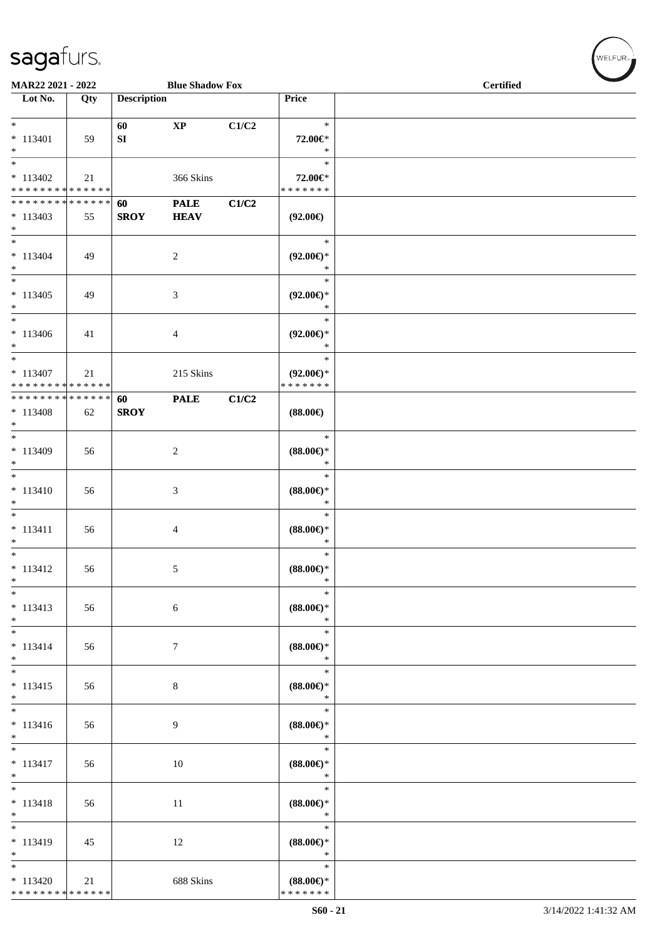| MAR22 2021 - 2022                                                            |     |                    | <b>Blue Shadow Fox</b>     |       |                                                   | <b>Certified</b> |  |
|------------------------------------------------------------------------------|-----|--------------------|----------------------------|-------|---------------------------------------------------|------------------|--|
| Lot No.                                                                      | Qty | <b>Description</b> |                            |       | Price                                             |                  |  |
| $*$<br>$* 113401$<br>$*$                                                     | 59  | 60<br>SI           | $\bold{XP}$                | C1/C2 | $\ast$<br>72.00€*<br>$\ast$                       |                  |  |
| $\overline{\ }$<br>$* 113402$<br>* * * * * * * * * * * * * *                 | 21  |                    | 366 Skins                  |       | $\ast$<br>72.00€*<br>* * * * * * *                |                  |  |
| * * * * * * * * * * * * * * *<br>$* 113403$<br>$*$                           | 55  | 60<br><b>SROY</b>  | <b>PALE</b><br><b>HEAV</b> | C1/C2 | $(92.00\epsilon)$                                 |                  |  |
| $*$<br>$* 113404$<br>$*$                                                     | 49  |                    | $\boldsymbol{2}$           |       | $\ast$<br>$(92.00\epsilon)$ *<br>$\ast$           |                  |  |
| $*$<br>$* 113405$<br>$*$<br>$\overline{\phantom{0}}$                         | 49  |                    | 3                          |       | $\ast$<br>$(92.00\epsilon)$ *<br>$\ast$           |                  |  |
| $* 113406$<br>$*$                                                            | 41  |                    | 4                          |       | $\ast$<br>$(92.00\epsilon)$ *<br>$\ast$           |                  |  |
| $*$<br>$* 113407$<br>* * * * * * * * * * * * * *                             | 21  |                    | 215 Skins                  |       | $\ast$<br>$(92.00\epsilon)$ *<br>* * * * * * *    |                  |  |
| * * * * * * * * * * * * * * *<br>* 113408<br>$*$<br>$\overline{\phantom{0}}$ | 62  | 60<br><b>SROY</b>  | <b>PALE</b>                | C1/C2 | $(88.00\epsilon)$                                 |                  |  |
| $* 113409$<br>$*$<br>$*$                                                     | 56  |                    | $\overline{c}$             |       | $\ast$<br>$(88.00\epsilon)$ *<br>$\ast$           |                  |  |
| $* 113410$<br>$*$<br>$*$                                                     | 56  |                    | 3                          |       | $\ast$<br>$(88.00\epsilon)$ *<br>$\ast$<br>$\ast$ |                  |  |
| $* 113411$<br>$\ast$<br>$\overline{\ast}$                                    | 56  |                    | 4                          |       | $(88.00\epsilon)$ *<br>$\ast$<br>$\ast$           |                  |  |
| $* 113412$<br>$\ast$<br>$\ast$                                               | 56  |                    | 5                          |       | $(88.00\epsilon)$ *<br>$\ast$<br>$\ast$           |                  |  |
| $* 113413$<br>$*$<br>$*$                                                     | 56  |                    | 6                          |       | $(88.00\epsilon)$ *<br>$\ast$<br>$\ast$           |                  |  |
| $* 113414$<br>$*$<br>$\overline{\ast}$                                       | 56  |                    | 7                          |       | $(88.00\epsilon)$ *<br>$\ast$<br>$\ast$           |                  |  |
| $* 113415$<br>$*$<br>$\overline{\ }$                                         | 56  |                    | $\,8\,$                    |       | $(88.00\epsilon)$ *<br>$\ast$<br>$\ast$           |                  |  |
| $* 113416$<br>$*$<br>$\overline{\phantom{0}}$                                | 56  |                    | 9                          |       | $(88.00\mathnormal{\infty})^*$<br>$\ast$          |                  |  |
| $* 113417$<br>$*$                                                            | 56  |                    | 10                         |       | $\ast$<br>$(88.00\epsilon)$ *<br>$\ast$<br>$\ast$ |                  |  |
| $* 113418$<br>$*$<br>$*$                                                     | 56  |                    | 11                         |       | $(88.00\epsilon)$ *<br>$\ast$                     |                  |  |
| $* 113419$<br>$*$                                                            | 45  |                    | 12                         |       | $\ast$<br>$(88.00\epsilon)$ *<br>$\ast$           |                  |  |
| $*$<br>$* 113420$<br>* * * * * * * * <mark>* * * * * * *</mark>              | 21  |                    | 688 Skins                  |       | $\ast$<br>$(88.00\epsilon)$ *<br>* * * * * * *    |                  |  |

WELFUR<sub>"</sub>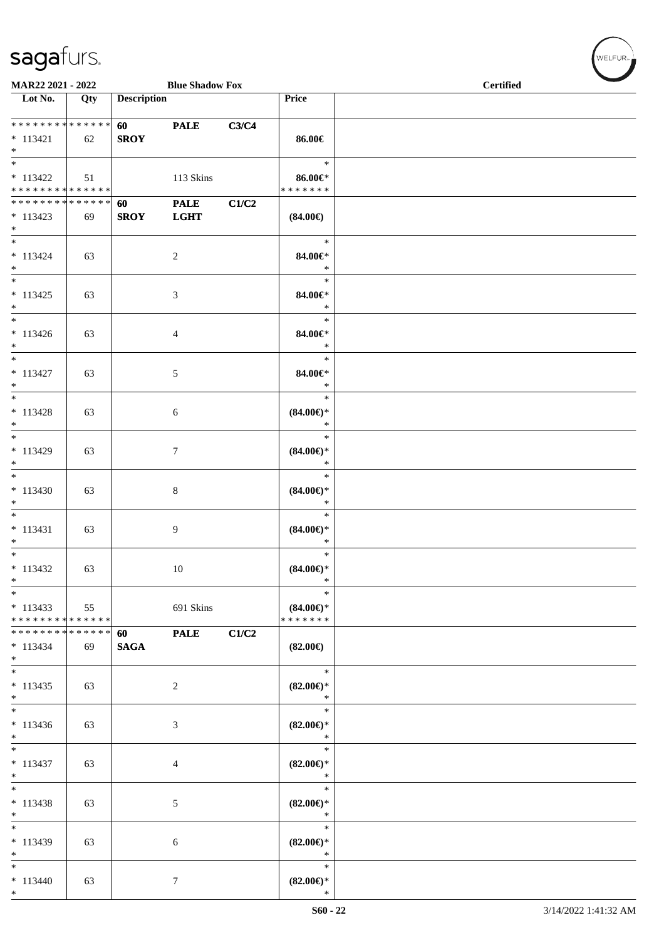|                                                               | MAR22 2021 - 2022<br><b>Blue Shadow Fox</b> |                                        |                            |       |                                                | <b>Certified</b> |  |  |
|---------------------------------------------------------------|---------------------------------------------|----------------------------------------|----------------------------|-------|------------------------------------------------|------------------|--|--|
| $\overline{\phantom{1}}$ Lot No.                              | Qty                                         | <b>Description</b>                     |                            |       | Price                                          |                  |  |  |
| ___<br>******** <mark>******</mark><br>$* 113421$<br>$*$      | 62                                          | <b>60</b> and <b>60</b><br><b>SROY</b> | <b>PALE</b>                | C3/C4 | 86.00€                                         |                  |  |  |
| $* 113422$<br>* * * * * * * * <mark>* * * * * * *</mark>      | 51                                          |                                        | 113 Skins                  |       | $\ast$<br>$86.00 \in$<br>* * * * * * *         |                  |  |  |
| ******** <mark>******</mark><br>$* 113423$<br>$*$             | 69                                          | 60<br><b>SROY</b>                      | <b>PALE</b><br><b>LGHT</b> | C1/C2 | $(84.00\epsilon)$                              |                  |  |  |
| $*$<br>$* 113424$<br>$*$                                      | 63                                          |                                        | $\overline{2}$             |       | $\ast$<br>84.00€*<br>$\ast$                    |                  |  |  |
| $*$<br>$* 113425$<br>$*$                                      | 63                                          |                                        | 3                          |       | $\ast$<br>84.00€*<br>$\ast$                    |                  |  |  |
| $*$<br>$* 113426$<br>$*$                                      | 63                                          |                                        | $\overline{4}$             |       | $\ast$<br>84.00€*<br>$\ast$                    |                  |  |  |
| $*$<br>$* 113427$<br>$*$                                      | 63                                          |                                        | 5                          |       | $\ast$<br>84.00€*<br>$\ast$                    |                  |  |  |
| $*$<br>$* 113428$<br>$*$                                      | 63                                          |                                        | 6                          |       | $\ast$<br>$(84.00\epsilon)$ *<br>$\ast$        |                  |  |  |
| $* 113429$<br>$*$                                             | 63                                          |                                        | $\tau$                     |       | $\ast$<br>$(84.00\epsilon)$ *<br>$\ast$        |                  |  |  |
| $* 113430$<br>$*$                                             | 63                                          |                                        | $\,8\,$                    |       | $\ast$<br>$(84.00\epsilon)$ *<br>$\ast$        |                  |  |  |
| $*$<br>$* 113431$<br>$*$                                      | 63                                          |                                        | 9                          |       | $\ast$<br>$(84.00\epsilon)$ *<br>$\ast$        |                  |  |  |
| $*$<br>$* 113432$<br>$\ast$                                   | 63                                          |                                        | 10                         |       | $\ast$<br>$(84.00\epsilon)$ *<br>$\ast$        |                  |  |  |
| $*113433$<br>* * * * * * * * * * * * * *                      | 55                                          |                                        | 691 Skins                  |       | $\ast$<br>$(84.00\epsilon)$ *<br>* * * * * * * |                  |  |  |
| * * * * * * * * <mark>* * * * * *</mark><br>$* 113434$<br>$*$ | 69                                          | 60<br><b>SAGA</b>                      | <b>PALE</b>                | C1/C2 | $(82.00\epsilon)$                              |                  |  |  |
| $* 113435$<br>$*$                                             | 63                                          |                                        | 2                          |       | $\ast$<br>$(82.00\epsilon)$ *<br>$\ast$        |                  |  |  |
| $* 113436$<br>$*$                                             | 63                                          |                                        | 3                          |       | $\ast$<br>$(82.00\epsilon)$ *<br>$\ast$        |                  |  |  |
| $\ast$<br>$* 113437$<br>$*$                                   | 63                                          |                                        | 4                          |       | $\ast$<br>$(82.00\epsilon)$ *<br>$\ast$        |                  |  |  |
| $*$<br>$* 113438$<br>$\ast$                                   | 63                                          |                                        | 5                          |       | $\ast$<br>$(82.00\epsilon)$ *<br>$\ast$        |                  |  |  |
| $\overline{\phantom{0}}$<br>$* 113439$<br>$*$                 | 63                                          |                                        | 6                          |       | $\ast$<br>$(82.00\epsilon)$ *<br>$\ast$        |                  |  |  |
| $*$<br>$* 113440$<br>$*$                                      | 63                                          |                                        | 7                          |       | $\ast$<br>$(82.00\epsilon)$ *<br>$\ast$        |                  |  |  |

 $(w$ ELFUR<sub><sup>n</sub></sub></sub></sup>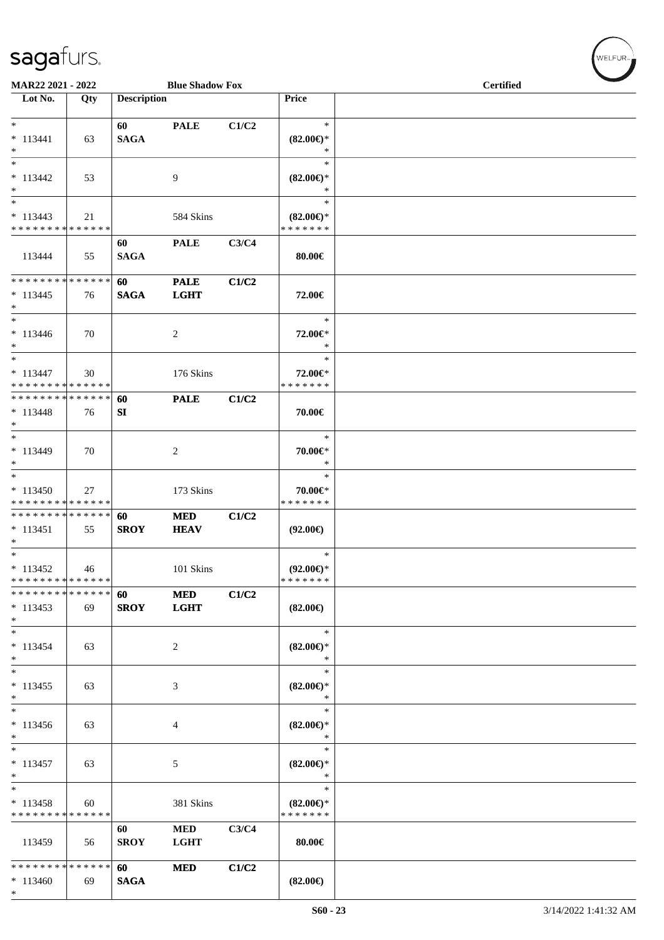\*

| MAR22 2021 - 2022                                                     |     |                    | <b>Blue Shadow Fox</b>     |       |                                                | <b>Certified</b> |
|-----------------------------------------------------------------------|-----|--------------------|----------------------------|-------|------------------------------------------------|------------------|
| Lot No.                                                               | Qty | <b>Description</b> |                            |       | Price                                          |                  |
| $*$<br>$* 113441$<br>$*$                                              | 63  | 60<br><b>SAGA</b>  | <b>PALE</b>                | C1/C2 | $\ast$<br>$(82.00\epsilon)$ *<br>$\ast$        |                  |
| $\ast$<br>$* 113442$<br>$*$                                           | 53  |                    | 9                          |       | $\ast$<br>$(82.00\epsilon)$ *<br>$\ast$        |                  |
| $\ast$<br>$* 113443$<br>* * * * * * * * * * * * * *                   | 21  |                    | 584 Skins                  |       | $\ast$<br>$(82.00\epsilon)$ *<br>* * * * * * * |                  |
| 113444                                                                | 55  | 60<br><b>SAGA</b>  | <b>PALE</b>                | C3/C4 | 80.00€                                         |                  |
| * * * * * * * * * * * * * *<br>$* 113445$<br>$*$                      | 76  | 60<br><b>SAGA</b>  | <b>PALE</b><br><b>LGHT</b> | C1/C2 | 72.00€                                         |                  |
| $\ast$<br>$* 113446$<br>$*$                                           | 70  |                    | 2                          |       | $\ast$<br>72.00€*<br>$\ast$                    |                  |
| $\ast$<br>$* 113447$<br>* * * * * * * * * * * * * *                   | 30  |                    | 176 Skins                  |       | $\ast$<br>72.00€*<br>* * * * * * *             |                  |
| * * * * * * * * * * * * * *<br>$* 113448$<br>$*$                      | 76  | 60<br>SI           | <b>PALE</b>                | C1/C2 | 70.00€                                         |                  |
| $*$<br>$* 113449$<br>$*$                                              | 70  |                    | 2                          |       | $\ast$<br>70.00€*<br>$\ast$                    |                  |
| $*$<br>$* 113450$<br>* * * * * * * * * * * * * *                      | 27  |                    | 173 Skins                  |       | $\ast$<br>70.00€*<br>* * * * * * *             |                  |
| * * * * * * * * * * * * * *<br>$* 113451$<br>$*$                      | 55  | 60<br><b>SROY</b>  | <b>MED</b><br><b>HEAV</b>  | C1/C2 | $(92.00\epsilon)$                              |                  |
| $\overline{\phantom{0}}$<br>$* 113452$<br>* * * * * * * * * * * * * * | 46  |                    | 101 Skins                  |       | $\ast$<br>$(92.00\epsilon)$ *<br>* * * * * * * |                  |
| * * * * * * * * * * * * * *<br>$* 113453$<br>$*$                      | 69  | 60<br><b>SROY</b>  | $\bf MED$<br><b>LGHT</b>   | C1/C2 | $(82.00\epsilon)$                              |                  |
| $\ast$<br>$* 113454$<br>$\ast$                                        | 63  |                    | 2                          |       | $\ast$<br>$(82.00\epsilon)$ *<br>$\ast$        |                  |
| $\ast$<br>$* 113455$<br>$\ast$                                        | 63  |                    | 3                          |       | $\ast$<br>$(82.00\epsilon)$ *<br>$\ast$        |                  |
| $\overline{\phantom{0}}$<br>$* 113456$<br>$\ast$                      | 63  |                    | 4                          |       | $\ast$<br>$(82.00\epsilon)$ *<br>$\ast$        |                  |
| $\ast$<br>$* 113457$<br>$\ast$                                        | 63  |                    | 5                          |       | $\ast$<br>$(82.00\epsilon)$ *<br>$\ast$        |                  |
| $\ast$<br>$* 113458$<br>* * * * * * * * * * * * * *                   | 60  |                    | 381 Skins                  |       | $\ast$<br>$(82.00\epsilon)$ *<br>* * * * * * * |                  |
| 113459                                                                | 56  | 60<br><b>SROY</b>  | $\bf MED$<br><b>LGHT</b>   | C3/C4 | $80.00 \in$                                    |                  |
| * * * * * * * * * * * * * *<br>$* 113460$                             | 69  | 60<br><b>SAGA</b>  | <b>MED</b>                 | C1/C2 | $(82.00\epsilon)$                              |                  |

 $(\forall ELFUR_{\text{max}})$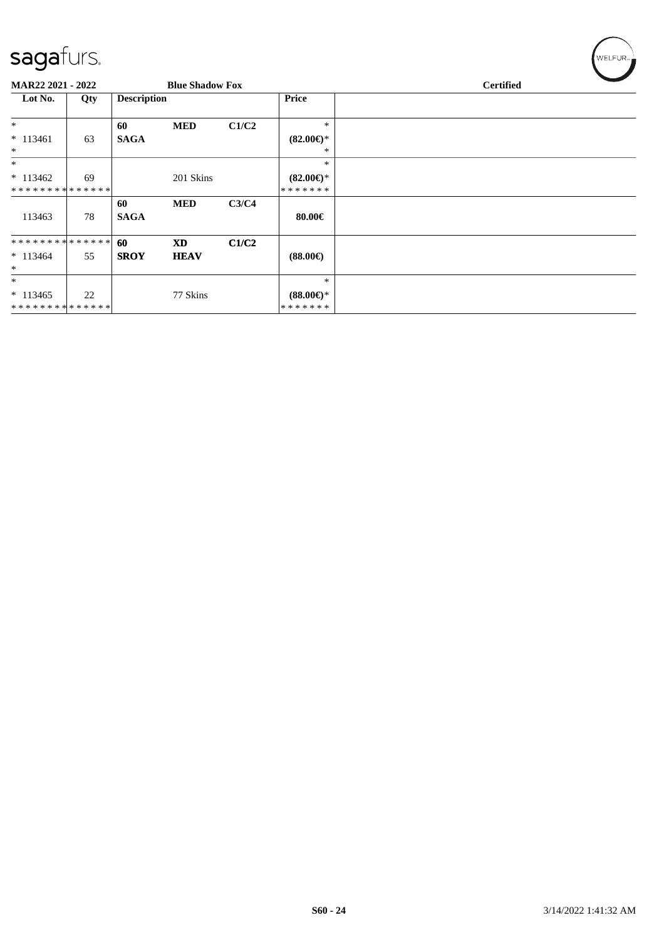| ◡                           |     |                    |                        |       |                     |                  |
|-----------------------------|-----|--------------------|------------------------|-------|---------------------|------------------|
| <b>MAR22 2021 - 2022</b>    |     |                    | <b>Blue Shadow Fox</b> |       |                     | <b>Certified</b> |
| Lot No.                     | Qty | <b>Description</b> |                        |       | <b>Price</b>        |                  |
| $*$                         |     | 60                 | <b>MED</b>             | C1/C2 | $\ast$              |                  |
| $* 113461$                  | 63  | <b>SAGA</b>        |                        |       | $(82.00\epsilon)$ * |                  |
| $\ast$                      |     |                    |                        |       | ∗                   |                  |
| $*$                         |     |                    |                        |       | $\ast$              |                  |
| $*113462$                   | 69  |                    | 201 Skins              |       | $(82.00\epsilon)$ * |                  |
| **************              |     |                    |                        |       | * * * * * * *       |                  |
|                             |     | 60                 | <b>MED</b>             | C3/C4 |                     |                  |
| 113463                      | 78  | <b>SAGA</b>        |                        |       | $80.00 \in$         |                  |
| **************              |     | 60                 | <b>XD</b>              | C1/C2 |                     |                  |
|                             |     |                    |                        |       |                     |                  |
| $* 113464$                  | 55  | <b>SROY</b>        | <b>HEAV</b>            |       | $(88.00\epsilon)$   |                  |
| $\ast$                      |     |                    |                        |       |                     |                  |
| $*$                         |     |                    |                        |       | $\ast$              |                  |
| $* 113465$                  | 22  |                    | 77 Skins               |       | $(88.00\epsilon)$ * |                  |
| * * * * * * * * * * * * * * |     |                    |                        |       | * * * * * * *       |                  |

 $(w$ ELFUR<sub><sup>n</sub></sub></sub></sup>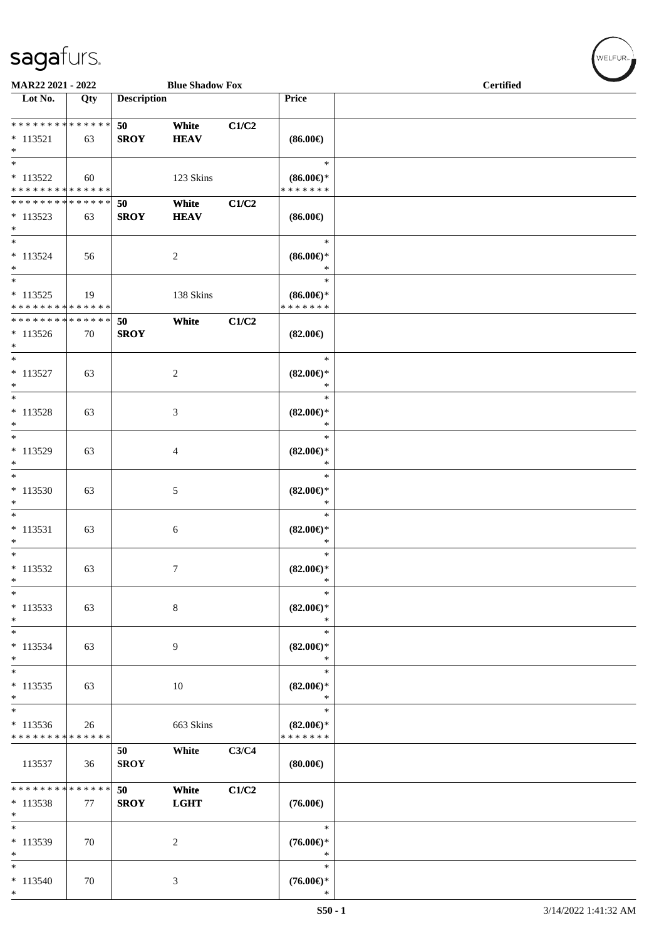\*

| MAR22 2021 - 2022                                   |              |                    | <b>Blue Shadow Fox</b> |       |                                                | <b>Certified</b> |
|-----------------------------------------------------|--------------|--------------------|------------------------|-------|------------------------------------------------|------------------|
| Lot No.                                             | Qty          | <b>Description</b> |                        |       | Price                                          |                  |
| ******** <mark>******</mark><br>$* 113521$<br>$*$   | 63           | 50<br><b>SROY</b>  | White<br><b>HEAV</b>   | C1/C2 | $(86.00\epsilon)$                              |                  |
| $\ast$<br>$* 113522$<br>* * * * * * * * * * * * * * | 60           |                    | 123 Skins              |       | $\ast$<br>$(86.00ε)$ *<br>* * * * * * *        |                  |
| * * * * * * * * * * * * * *<br>$*113523$<br>$*$     | 63           | 50<br><b>SROY</b>  | White<br><b>HEAV</b>   | C1/C2 | $(86.00\epsilon)$                              |                  |
| $*$<br>$* 113524$<br>$*$                            | 56           |                    | $\overline{c}$         |       | $\ast$<br>$(86.00ε)$ *<br>$\ast$               |                  |
| $* 113525$<br>* * * * * * * * * * * * * *           | 19           |                    | 138 Skins              |       | $\ast$<br>$(86.00\epsilon)$ *<br>* * * * * * * |                  |
| * * * * * * * * * * * * * *<br>$*113526$<br>$*$     | 70           | 50<br><b>SROY</b>  | White                  | C1/C2 | $(82.00\epsilon)$                              |                  |
| $*$<br>$* 113527$<br>$*$                            | 63           |                    | 2                      |       | $\ast$<br>$(82.00\epsilon)$ *<br>$\ast$        |                  |
| $*$<br>$* 113528$<br>$\ast$                         | 63           |                    | 3                      |       | $\ast$<br>$(82.00\epsilon)$ *<br>$\ast$        |                  |
| $\ast$<br>* 113529<br>$\ast$                        | 63           |                    | $\overline{4}$         |       | $\ast$<br>$(82.00\epsilon)$ *<br>$\ast$        |                  |
| $*$<br>* 113530<br>$\ast$                           | 63           |                    | 5                      |       | $\ast$<br>$(82.00\epsilon)$ *<br>$\ast$        |                  |
| $*$<br>$* 113531$<br>$\ast$                         | 63           |                    | 6                      |       | $\ast$<br>$(82.00\epsilon)$ *<br>$\ast$        |                  |
| $\ast$<br>$* 113532$<br>$\ast$                      | 63           |                    | $\tau$                 |       | $\ast$<br>$(82.00\epsilon)$ *<br>$\ast$        |                  |
| $\ast$<br>$* 113533$<br>$*$                         | 63           |                    | $\,8\,$                |       | $\ast$<br>$(82.00\epsilon)$ *<br>$\ast$        |                  |
| $\ast$<br>* 113534<br>$*$                           | 63           |                    | 9                      |       | $\ast$<br>$(82.00\epsilon)$ *<br>$\ast$        |                  |
| $\ast$<br>$* 113535$<br>$\ast$                      | 63           |                    | $10\,$                 |       | $\ast$<br>$(82.00\epsilon)$ *<br>$\ast$        |                  |
| $\ast$<br>* 113536<br>* * * * * * * *               | 26<br>****** |                    | 663 Skins              |       | $\ast$<br>$(82.00\epsilon)$ *<br>* * * * * * * |                  |
| 113537                                              | 36           | 50<br><b>SROY</b>  | White                  | C3/C4 | (80.00)                                        |                  |
| * * * * * * * * * * * * * *<br>* 113538<br>$\ast$   | 77           | 50<br><b>SROY</b>  | White<br><b>LGHT</b>   | C1/C2 | $(76.00\epsilon)$                              |                  |
| $\ast$<br>* 113539<br>$*$                           | 70           |                    | $\overline{c}$         |       | $\ast$<br>$(76.00\epsilon)$ *<br>$\ast$        |                  |
| $\ast$<br>$* 113540$<br>$\ast$                      | 70           |                    | 3                      |       | $\ast$<br>$(76.00\in)^\ast$<br>$\ast$          |                  |

 ${\begin{pmatrix} \text{WELFUR}_{\text{max}} \end{pmatrix}}$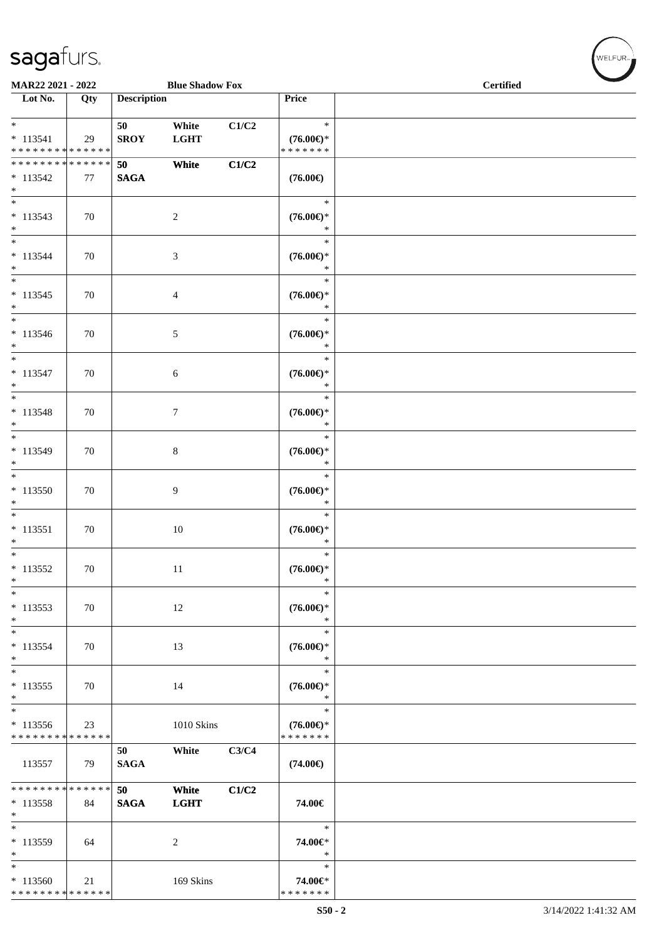|                                             | MAR22 2021 - 2022<br><b>Blue Shadow Fox</b> |                    |                      |       |                                                    | <b>Certified</b> |
|---------------------------------------------|---------------------------------------------|--------------------|----------------------|-------|----------------------------------------------------|------------------|
| Lot No.                                     | Qty                                         | <b>Description</b> |                      |       | Price                                              |                  |
|                                             |                                             |                    |                      |       |                                                    |                  |
| $\ast$                                      |                                             | 50                 | White                | C1/C2 | $\ast$                                             |                  |
| $* 113541$<br>* * * * * * * * * * * * * *   | 29                                          | <b>SROY</b>        | <b>LGHT</b>          |       | $(76.00\epsilon)$ *<br>* * * * * * *               |                  |
| * * * * * * * * * * * * * *                 |                                             | 50                 | White                | C1/C2 |                                                    |                  |
| $* 113542$                                  | 77                                          | <b>SAGA</b>        |                      |       | $(76.00\epsilon)$                                  |                  |
| $\ast$                                      |                                             |                    |                      |       |                                                    |                  |
| $\ast$                                      |                                             |                    |                      |       | $\ast$                                             |                  |
| $* 113543$                                  | 70                                          |                    | $\overline{2}$       |       | $(76.00\mathnormal{\in}\mathcal{)^{\! \! \times}}$ |                  |
| $\ast$<br>$\overline{\phantom{a}^*}$        |                                             |                    |                      |       | $\ast$<br>$\ast$                                   |                  |
| $* 113544$                                  | 70                                          |                    | $\mathfrak{Z}$       |       | $(76.00\mathnormal{\in}\mathcal{)^{\! \! \circ}}$  |                  |
| $\ast$                                      |                                             |                    |                      |       | $\ast$                                             |                  |
| $\overline{\phantom{a}^*}$                  |                                             |                    |                      |       | $\ast$                                             |                  |
| $* 113545$                                  | 70                                          |                    | $\overline{4}$       |       | $(76.00\epsilon)$ *                                |                  |
| $\ast$                                      |                                             |                    |                      |       | $\ast$                                             |                  |
| $\ast$<br>$* 113546$                        | 70                                          |                    | $\sqrt{5}$           |       | $\ast$<br>$(76.00\epsilon)$ *                      |                  |
| $\ast$                                      |                                             |                    |                      |       | $\ast$                                             |                  |
| $\frac{1}{*}$                               |                                             |                    |                      |       | $\ast$                                             |                  |
| $* 113547$                                  | 70                                          |                    | 6                    |       | $(76.00\epsilon)$ *                                |                  |
| $\ast$<br>$\overline{\ast}$                 |                                             |                    |                      |       | $\ast$                                             |                  |
|                                             |                                             |                    |                      |       | $\ast$                                             |                  |
| $* 113548$<br>$\ast$                        | 70                                          |                    | $\tau$               |       | $(76.00\mathnormal{\infty})^*$<br>$\ast$           |                  |
| $\ast$                                      |                                             |                    |                      |       | $\ast$                                             |                  |
| $* 113549$                                  | 70                                          |                    | $\,8\,$              |       | $(76.00\mathnormal{\in}\mathcal{)^{\! \! \times}}$ |                  |
| $\ast$<br>$\overline{\phantom{a}^*}$        |                                             |                    |                      |       | $\ast$                                             |                  |
|                                             |                                             |                    |                      |       | $\ast$                                             |                  |
| $* 113550$<br>$\ast$                        | 70                                          |                    | $\overline{9}$       |       | $(76.00\mathnormal{\infty})^*$<br>$\ast$           |                  |
| $\overline{\phantom{a}^*}$                  |                                             |                    |                      |       | $\ast$                                             |                  |
| $* 113551$                                  | 70                                          |                    | $10\,$               |       | $(76.00\mathnormal{\in}\mathcal{)^{\! \! \times}}$ |                  |
| $\ast$                                      |                                             |                    |                      |       | $\ast$                                             |                  |
| $\ast$                                      |                                             |                    |                      |       | $\ast$                                             |                  |
| $* 113552$<br>$\ast$                        | 70                                          |                    | 11                   |       | $(76.00\epsilon)$ *<br>$\ast$                      |                  |
| $\ast$                                      |                                             |                    |                      |       | $\ast$                                             |                  |
| $* 113553$                                  | 70                                          |                    | 12                   |       | $(76.00\epsilon)$ *                                |                  |
| $\ast$                                      |                                             |                    |                      |       | $\ast$                                             |                  |
| $\ast$                                      |                                             |                    |                      |       | $\ast$                                             |                  |
| $* 113554$<br>$\ast$                        | 70                                          |                    | 13                   |       | $(76.00\epsilon)$ *<br>$\ast$                      |                  |
| $\ast$                                      |                                             |                    |                      |       | $\ast$                                             |                  |
| $* 113555$                                  | 70                                          |                    | 14                   |       | $(76.00\epsilon)$ *                                |                  |
| $\ast$<br>$\overline{\phantom{0}}$          |                                             |                    |                      |       | $\ast$                                             |                  |
|                                             |                                             |                    |                      |       | $\ast$                                             |                  |
| * 113556<br>* * * * * * * * * * * * * *     | 23                                          |                    | 1010 Skins           |       | $(76.00\epsilon)$ *<br>* * * * * * *               |                  |
|                                             |                                             | 50                 | White                | C3/C4 |                                                    |                  |
| 113557                                      | 79                                          | <b>SAGA</b>        |                      |       | $(74.00\epsilon)$                                  |                  |
|                                             |                                             |                    |                      |       |                                                    |                  |
| ******** <mark>*****</mark> *<br>$* 113558$ |                                             | 50<br><b>SAGA</b>  | White<br><b>LGHT</b> | C1/C2 | 74.00€                                             |                  |
| $\ast$                                      | 84                                          |                    |                      |       |                                                    |                  |
| $\ast$                                      |                                             |                    |                      |       | $\ast$                                             |                  |
| * 113559                                    | 64                                          |                    | $\overline{c}$       |       | 74.00€*                                            |                  |
| $\ast$                                      |                                             |                    |                      |       | $\ast$                                             |                  |
| $\ast$<br>$*113560$                         | 21                                          |                    | 169 Skins            |       | $\ast$<br>74.00€*                                  |                  |
| **************                              |                                             |                    |                      |       | * * * * * * *                                      |                  |

WELFUR<sub>"</sub>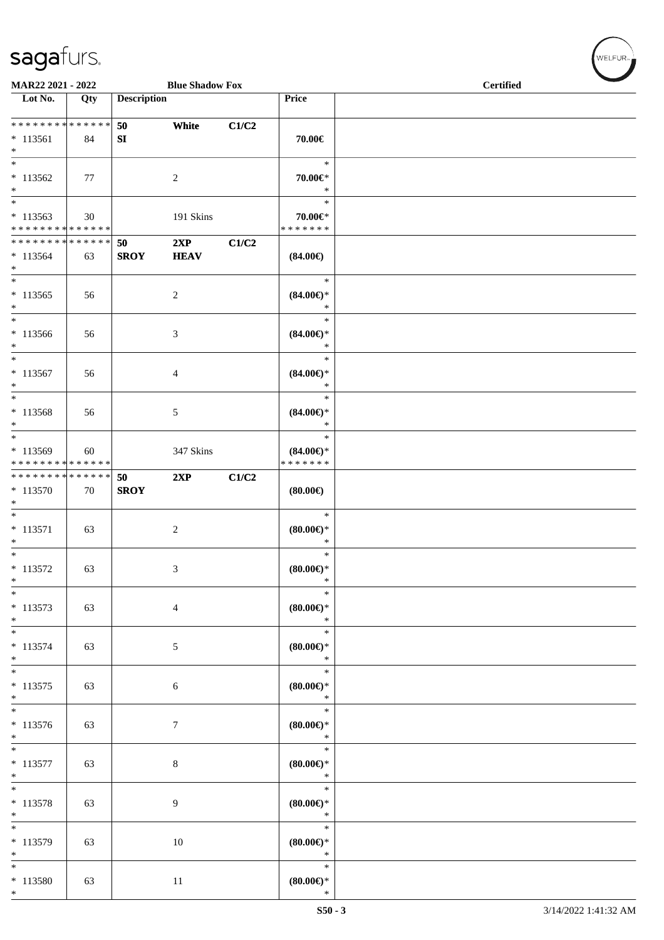| MAR22 2021 - 2022                                             |     |                    | <b>Blue Shadow Fox</b> |       |                                                | <b>Certified</b> |  |  |
|---------------------------------------------------------------|-----|--------------------|------------------------|-------|------------------------------------------------|------------------|--|--|
| Lot No.                                                       | Qty | <b>Description</b> |                        |       | Price                                          |                  |  |  |
| ******** <mark>******</mark><br>$*113561$<br>$*$              | 84  | 50<br>SI           | White                  | C1/C2 | 70.00€                                         |                  |  |  |
| $*113562$<br>$*$                                              | 77  |                    | 2                      |       | $\ast$<br>70.00€*<br>$\ast$                    |                  |  |  |
| $\overline{\ast}$<br>$*113563$<br>* * * * * * * * * * * * * * | 30  |                    | 191 Skins              |       | $\ast$<br>70.00€*<br>* * * * * * *             |                  |  |  |
| * * * * * * * * * * * * * * *<br>$*113564$<br>$*$             | 63  | 50<br><b>SROY</b>  | 2XP<br><b>HEAV</b>     | C1/C2 | $(84.00\epsilon)$                              |                  |  |  |
| $*$<br>$* 113565$<br>$\ast$                                   | 56  |                    | 2                      |       | $\ast$<br>$(84.00\epsilon)$ *<br>$\ast$        |                  |  |  |
| * 113566<br>$*$                                               | 56  |                    | 3                      |       | $\ast$<br>$(84.00\epsilon)$ *<br>$\ast$        |                  |  |  |
| $*$<br>$* 113567$<br>$\ast$                                   | 56  |                    | 4                      |       | $\ast$<br>$(84.00\epsilon)$ *<br>$\ast$        |                  |  |  |
| $\ast$<br>$* 113568$<br>$\ast$                                | 56  |                    | 5                      |       | $\ast$<br>$(84.00\epsilon)$ *<br>$\ast$        |                  |  |  |
| $*113569$<br>* * * * * * * * <mark>* * * * * * *</mark>       | 60  |                    | 347 Skins              |       | $\ast$<br>$(84.00\epsilon)$ *<br>* * * * * * * |                  |  |  |
| * * * * * * * * * * * * * * *<br>* 113570<br>$*$              | 70  | 50<br><b>SROY</b>  | 2XP                    | C1/C2 | (80.00)                                        |                  |  |  |
| $*$<br>$* 113571$<br>$\ast$                                   | 63  |                    | 2                      |       | $\ast$<br>$(80.00\epsilon)$ *<br>$\ast$        |                  |  |  |
| $\overline{\ast}$<br>$* 113572$<br>$\ast$                     | 63  |                    | 3                      |       | $\ast$<br>$(80.00\epsilon)$ *<br>$\ast$        |                  |  |  |
| $\ast$<br>$* 113573$<br>$*$                                   | 63  |                    | $\overline{4}$         |       | $\ast$<br>$(80.00 \in )^*$<br>$\ast$           |                  |  |  |
| $*$<br>$* 113574$<br>$*$                                      | 63  |                    | 5                      |       | $\ast$<br>$(80.00\epsilon)$ *<br>$\ast$        |                  |  |  |
| $*$<br>$* 113575$<br>$*$                                      | 63  |                    | 6                      |       | $\ast$<br>$(80.00\epsilon)$ *<br>$\ast$        |                  |  |  |
| $*$<br>$* 113576$<br>$*$                                      | 63  |                    | $\tau$                 |       | $\ast$<br>$(80.00\epsilon)$ *<br>$\ast$        |                  |  |  |
| $*$<br>$* 113577$<br>$\ast$                                   | 63  |                    | $\,8\,$                |       | $\ast$<br>$(80.00\epsilon)$ *<br>$\ast$        |                  |  |  |
| $*$<br>$* 113578$<br>$*$                                      | 63  |                    | 9                      |       | $\ast$<br>(80.00)<br>$\ast$                    |                  |  |  |
| $\overline{\phantom{0}}$<br>$* 113579$<br>$*$                 | 63  |                    | 10                     |       | $\ast$<br>$(80.00 \in )^*$<br>$\ast$           |                  |  |  |
| $*$<br>$* 113580$<br>$\ast$                                   | 63  |                    | 11                     |       | $\ast$<br>$(80.00 \in )^*$<br>$\ast$           |                  |  |  |

 $w$ ELFUR-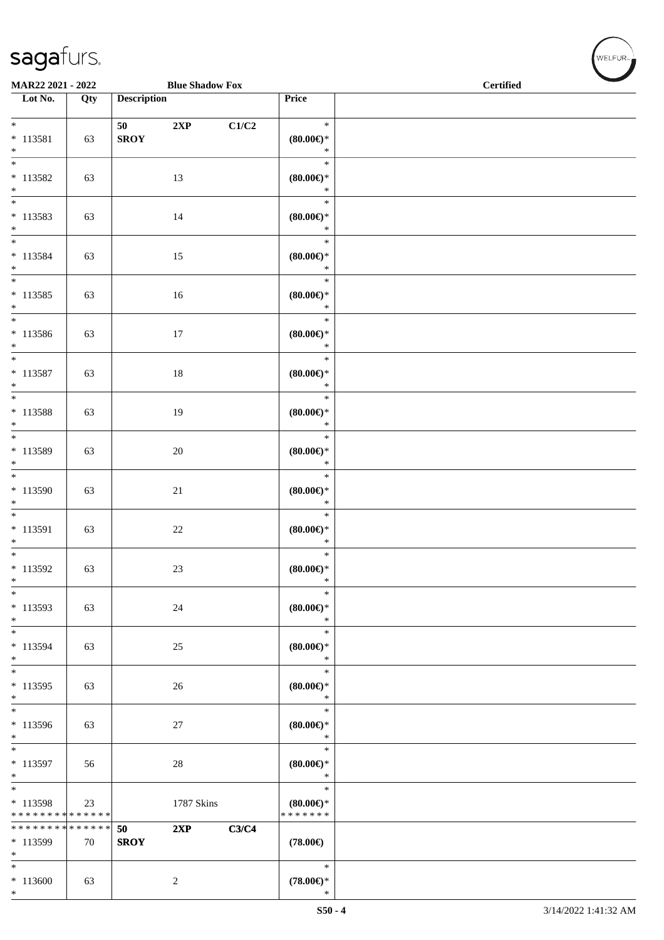\*

|                                                         | <b>Blue Shadow Fox</b><br>MAR22 2021 - 2022 |                    |                |       |                                                | <b>Certified</b> |
|---------------------------------------------------------|---------------------------------------------|--------------------|----------------|-------|------------------------------------------------|------------------|
| Lot No.                                                 | Qty                                         | <b>Description</b> |                |       | Price                                          |                  |
| $*$<br>$* 113581$<br>$*$                                | 63                                          | 50<br><b>SROY</b>  | 2XP            | C1/C2 | $\ast$<br>(80.00)<br>$\ast$                    |                  |
| $\overline{\ast}$<br>$* 113582$<br>$*$                  | 63                                          |                    | 13             |       | $\ast$<br>$(80.00\epsilon)$ *<br>$\ast$        |                  |
| $\overline{\ast}$<br>$* 113583$<br>$*$                  | 63                                          |                    | 14             |       | $\ast$<br>(80.00)<br>$\ast$                    |                  |
| $*$<br>$* 113584$<br>$*$                                | 63                                          |                    | 15             |       | $\ast$<br>(80.00)<br>$\ast$                    |                  |
| $\overline{\phantom{0}}$<br>$* 113585$<br>$*$           | 63                                          |                    | 16             |       | $\ast$<br>(80.00)<br>$\ast$                    |                  |
| $\ast$<br>$* 113586$<br>$*$                             | 63                                          |                    | 17             |       | $\ast$<br>(80.00)<br>$\ast$                    |                  |
| $*$<br>$* 113587$<br>$*$                                | 63                                          |                    | 18             |       | $\ast$<br>$(80.00\epsilon)$ *<br>$\ast$        |                  |
| $\overline{\ast}$<br>$* 113588$<br>$\ast$               | 63                                          |                    | 19             |       | $\ast$<br>$(80.00\epsilon)$ *<br>$\ast$        |                  |
| $\overline{\phantom{0}}$<br>$* 113589$<br>$\ast$        | 63                                          |                    | $20\,$         |       | $\ast$<br>$(80.00\epsilon)$ *<br>$\ast$        |                  |
| * 113590<br>$\ast$                                      | 63                                          |                    | $21\,$         |       | $\ast$<br>$(80.00\epsilon)$ *<br>$\ast$        |                  |
| $*$<br>$* 113591$<br>$\ast$                             | 63                                          |                    | $22\,$         |       | $\ast$<br>$(80.00\epsilon)$ *<br>$\ast$        |                  |
| $\overline{\ast}$<br>$* 113592$<br>$\ast$               | 63                                          |                    | $23\,$         |       | $\ast$<br>$(80.00\epsilon)$ *<br>$\ast$        |                  |
| $\ast$<br>$* 113593$<br>$*$                             | 63                                          |                    | $24\,$         |       | $\ast$<br>$(80.00\in)^\ast$<br>$\ast$          |                  |
| $\ast$<br>* 113594<br>$*$                               | 63                                          |                    | $25\,$         |       | $\ast$<br>$(80.00\epsilon)$ *<br>$\ast$        |                  |
| $*$<br>* 113595<br>$\ast$                               | 63                                          |                    | 26             |       | $\ast$<br>$(80.00\epsilon)$ *<br>$\ast$        |                  |
| $\overline{\phantom{0}}$<br>* 113596<br>$*$             | 63                                          |                    | $27\,$         |       | $\ast$<br>$(80.00\epsilon)$ *<br>$\ast$        |                  |
| $\overline{\ast}$<br>* 113597<br>$*$                    | 56                                          |                    | $28\,$         |       | $\ast$<br>$(80.00\epsilon)$ *<br>$\ast$        |                  |
| $\overline{\phantom{0}}$<br>* 113598<br>* * * * * * * * | 23<br>* * * * * *                           |                    | 1787 Skins     |       | $\ast$<br>$(80.00\epsilon)$ *<br>* * * * * * * |                  |
| * * * * * * * *<br>* 113599<br>$*$                      | * * * * * *<br>70                           | 50<br><b>SROY</b>  | 2XP            | C3/C4 | $(78.00\epsilon)$                              |                  |
| $\ast$<br>$*113600$<br>$*$                              | 63                                          |                    | $\overline{c}$ |       | $\ast$<br>$(78.00\epsilon)$ *<br>$\ast$        |                  |

 ${\begin{pmatrix} \text{WELFUR}_{\text{max}} \end{pmatrix}}$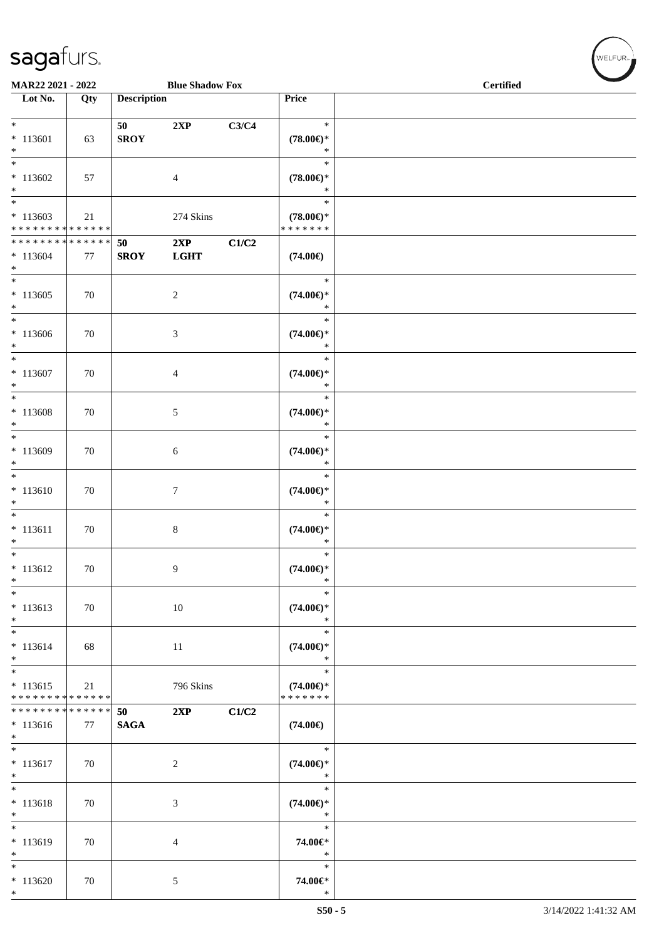\*

| <b>MAR22 2021 - 2022</b>                                              |     |                    | <b>Blue Shadow Fox</b> |       |                                                | <b>Certified</b> |  |  |
|-----------------------------------------------------------------------|-----|--------------------|------------------------|-------|------------------------------------------------|------------------|--|--|
| Lot No.                                                               | Qty | <b>Description</b> |                        |       | Price                                          |                  |  |  |
| $\ddot{x}$<br>$*113601$<br>$*$                                        | 63  | 50<br><b>SROY</b>  | 2XP                    | C3/C4 | $\ast$<br>$(78.00\epsilon)$ *<br>$\ast$        |                  |  |  |
| $*113602$                                                             | 57  |                    | $\overline{4}$         |       | $\ast$<br>$(78.00\epsilon)$ *<br>$\ast$        |                  |  |  |
| $*$<br>$*$<br>$*113603$<br>* * * * * * * * <mark>* * * * * * *</mark> | 21  |                    | 274 Skins              |       | $\ast$<br>$(78.00\epsilon)$ *<br>* * * * * * * |                  |  |  |
| * * * * * * * * <mark>* * * * * * *</mark><br>$* 113604$<br>$\ast$    | 77  | 50<br><b>SROY</b>  | 2XP<br><b>LGHT</b>     | C1/C2 | $(74.00\epsilon)$                              |                  |  |  |
| $*113605$<br>$\ast$                                                   | 70  |                    | 2                      |       | $\ast$<br>$(74.00\epsilon)$ *<br>$\ast$        |                  |  |  |
| $*113606$<br>$*$                                                      | 70  |                    | $\mathfrak{Z}$         |       | $\ast$<br>$(74.00\epsilon)$ *<br>$\ast$        |                  |  |  |
| $*$<br>$*113607$<br>$*$                                               | 70  |                    | $\overline{4}$         |       | $\ast$<br>$(74.00\epsilon)$ *<br>$\ast$        |                  |  |  |
| $\ddot{x}$<br>* 113608<br>$\ast$                                      | 70  |                    | 5                      |       | $\ast$<br>$(74.00\epsilon)$ *<br>$\ast$        |                  |  |  |
| $*113609$<br>$*$<br>$\overline{\ast}$                                 | 70  |                    | $6\phantom{1}6$        |       | $\ast$<br>$(74.00\epsilon)$ *<br>$\ast$        |                  |  |  |
| $* 113610$<br>$\ast$<br>$\overline{\phantom{0}}$                      | 70  |                    | $\tau$                 |       | $\ast$<br>$(74.00\epsilon)$ *<br>$\ast$        |                  |  |  |
| $* 113611$<br>$\ast$<br>$*$                                           | 70  |                    | $\,8\,$                |       | $\ast$<br>$(74.00\epsilon)$ *<br>$\ast$        |                  |  |  |
| $* 113612$<br>$\ast$                                                  | 70  |                    | $\overline{9}$         |       | $\ast$<br>$(74.00\epsilon)$ *<br>$\ast$        |                  |  |  |
| $\ast$<br>$* 113613$<br>$\ast$                                        | 70  |                    | 10                     |       | $\ast$<br>$(74.00\epsilon)$ *<br>$\ast$        |                  |  |  |
| $\ddot{x}$<br>$* 113614$<br>$\ast$<br>$\overline{\ast}$               | 68  |                    | 11                     |       | $\ast$<br>$(74.00\epsilon)$ *<br>$\ast$        |                  |  |  |
| $* 113615$<br>* * * * * * * * <mark>* * * * * * *</mark>              | 21  |                    | 796 Skins              |       | $\ast$<br>$(74.00\epsilon)$ *<br>* * * * * * * |                  |  |  |
| * * * * * * * * <mark>* * * * * * *</mark><br>$* 113616$<br>$\ast$    | 77  | 50<br><b>SAGA</b>  | 2XP                    | C1/C2 | $(74.00\epsilon)$                              |                  |  |  |
| $\overline{\phantom{0}}$<br>$* 113617$<br>$\ast$                      | 70  |                    | 2                      |       | $\ast$<br>$(74.00\epsilon)$ *<br>$\ast$        |                  |  |  |
| $*$<br>$* 113618$<br>$*$                                              | 70  |                    | $\mathbf{3}$           |       | $\ast$<br>$(74.00\epsilon)$ *<br>$\ast$        |                  |  |  |
| $\overline{\ast}$<br>$* 113619$<br>$\ast$                             | 70  |                    | $\overline{4}$         |       | $\ast$<br>74.00€*<br>$\ast$                    |                  |  |  |
| $\ast$<br>$*113620$<br>$\ast$                                         | 70  |                    | 5                      |       | $\ast$<br>74.00€*<br>$\ast$                    |                  |  |  |

 $(\sqrt{\text{WELFUR}_{\text{max}}})$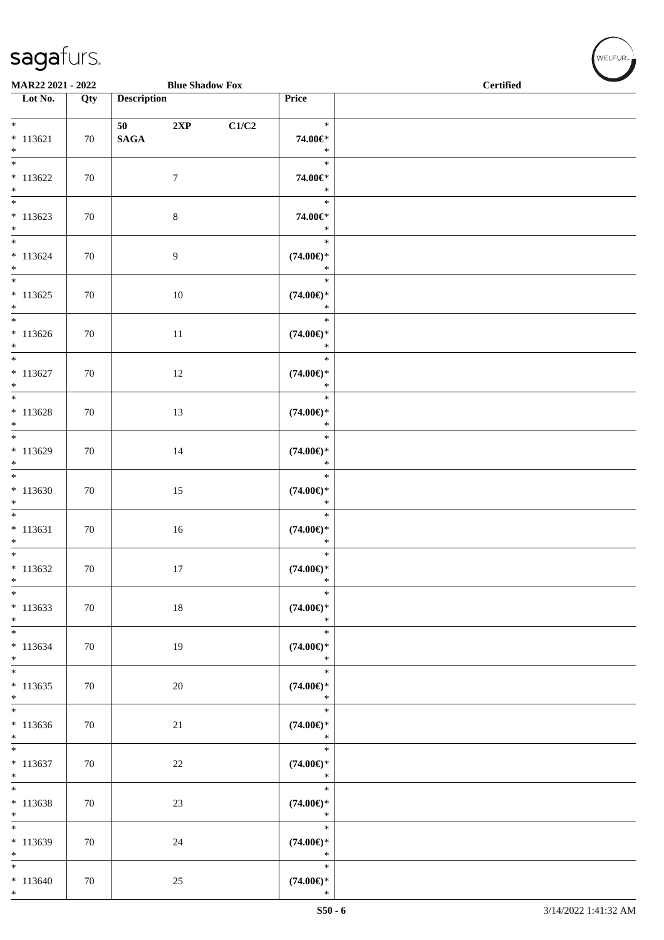|                                                         | MAR22 2021 - 2022<br><b>Blue Shadow Fox</b> |                    |                |       |                                         | <b>Certified</b> |  |
|---------------------------------------------------------|---------------------------------------------|--------------------|----------------|-------|-----------------------------------------|------------------|--|
| $\overline{\phantom{1}}$ Lot No.                        | Qty                                         | <b>Description</b> |                |       | Price                                   |                  |  |
| $*$<br>$* 113621$<br>$\ast$                             | 70                                          | <b>SAGA</b>        | 2XP            | C1/C2 | $\ast$<br>74.00€*<br>$\ast$             |                  |  |
| $\ast$<br>$* 113622$<br>$*$                             | 70                                          |                    | $\tau$         |       | $\ast$<br>74.00€*<br>$\ast$             |                  |  |
| $\overline{\phantom{0}}$<br>$* 113623$<br>$*$           | 70                                          |                    | $\,8\,$        |       | $\ast$<br>74.00€*<br>$\ast$             |                  |  |
| $\overline{\phantom{0}}$<br>$* 113624$<br>$*$<br>$\ast$ | 70                                          |                    | $\overline{9}$ |       | $\ast$<br>$(74.00\epsilon)$ *<br>$\ast$ |                  |  |
| $* 113625$<br>$*$<br>$\overline{\phantom{0}}$           | 70                                          |                    | 10             |       | $\ast$<br>$(74.00\epsilon)$ *<br>$\ast$ |                  |  |
| $* 113626$<br>$*$                                       | 70                                          |                    | $11\,$         |       | $\ast$<br>$(74.00\epsilon)$ *<br>$\ast$ |                  |  |
| $*$<br>$* 113627$<br>$\ast$                             | 70                                          |                    | 12             |       | $\ast$<br>$(74.00\epsilon)$ *<br>$\ast$ |                  |  |
| $\ast$<br>$* 113628$<br>$\ast$                          | 70                                          |                    | 13             |       | $\ast$<br>$(74.00\epsilon)$ *<br>$\ast$ |                  |  |
| $\overline{\phantom{0}}$<br>$*113629$<br>$*$            | 70                                          |                    | 14             |       | $\ast$<br>$(74.00\epsilon)$ *<br>$\ast$ |                  |  |
| $\overline{\phantom{0}}$<br>$*113630$<br>$\ast$         | 70                                          |                    | 15             |       | $\ast$<br>$(74.00\epsilon)$ *<br>$\ast$ |                  |  |
| $*$<br>$* 113631$<br>$*$                                | 70                                          |                    | 16             |       | $\ast$<br>$(74.00\epsilon)$ *<br>$\ast$ |                  |  |
| $\overline{\ast}$<br>$* 113632$<br>$\ast$               | 70                                          |                    | 17             |       | $\ast$<br>$(74.00\epsilon)$ *<br>$\ast$ |                  |  |
| $\overline{\ast}$<br>$* 113633$<br>$*$                  | 70                                          |                    | $18\,$         |       | $\ast$<br>$(74.00\epsilon)$ *<br>$\ast$ |                  |  |
| $\ast$<br>$* 113634$<br>$*$                             | 70                                          |                    | 19             |       | $\ast$<br>$(74.00\epsilon)$ *<br>$\ast$ |                  |  |
| $\overline{\phantom{0}}$<br>$*113635$<br>$*$            | 70                                          |                    | $20\,$         |       | $\ast$<br>$(74.00\epsilon)$ *<br>$\ast$ |                  |  |
| $\overline{\phantom{0}}$<br>$* 113636$<br>$*$           | 70                                          |                    | 21             |       | $\ast$<br>$(74.00\in)^\ast$<br>$\ast$   |                  |  |
| $*$<br>$* 113637$<br>$\ast$                             | 70                                          |                    | $22\,$         |       | $\ast$<br>$(74.00\epsilon)$ *<br>$\ast$ |                  |  |
| $\ast$<br>$*113638$<br>$*$                              | 70                                          |                    | 23             |       | $\ast$<br>$(74.00\epsilon)$ *<br>$\ast$ |                  |  |
| $\overline{\ast}$<br>$*113639$<br>$\ast$                | 70                                          |                    | 24             |       | $\ast$<br>$(74.00\epsilon)$ *<br>$\ast$ |                  |  |
| $\ast$<br>$* 113640$<br>$*$                             | 70                                          |                    | $25\,$         |       | $\ast$<br>$(74.00\epsilon)$ *<br>$\ast$ |                  |  |

WELFUR<sub>"</sub>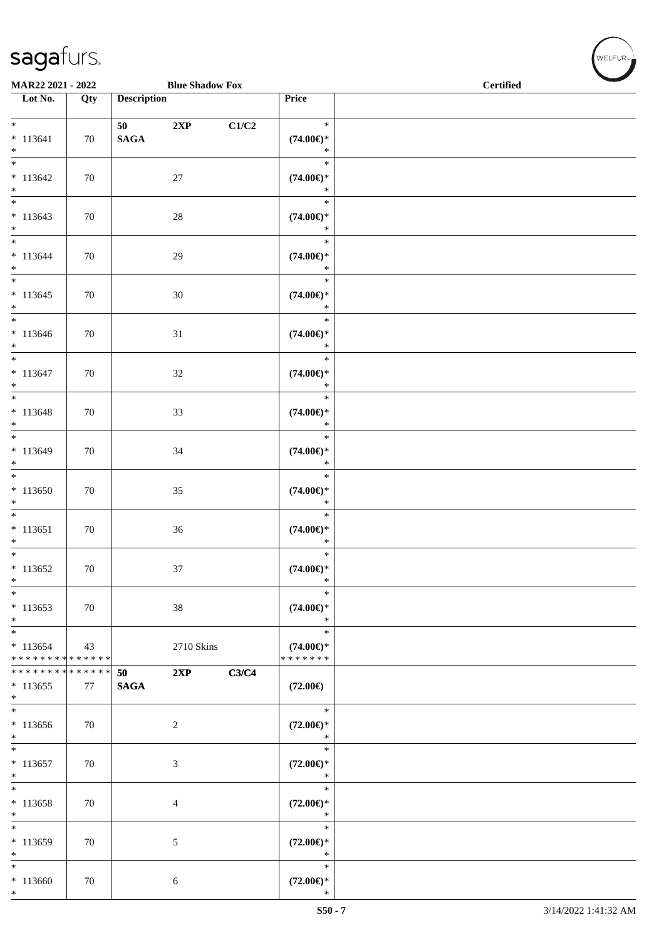| MAR22 2021 - 2022                                   |     |                       | <b>Blue Shadow Fox</b> |                           |                                                | <b>Certified</b> |  |
|-----------------------------------------------------|-----|-----------------------|------------------------|---------------------------|------------------------------------------------|------------------|--|
| $\overline{\phantom{1}}$ Lot No.                    | Qty | <b>Description</b>    |                        |                           | Price                                          |                  |  |
| $*$<br>$* 113641$<br>$\ast$                         | 70  | 50<br>$\mathbf{SAGA}$ | 2XP                    | $\mathbf{C1}/\mathbf{C2}$ | $\ast$<br>$(74.00\epsilon)$ *<br>$\ast$        |                  |  |
| $\overline{\phantom{a}^*}$<br>$* 113642$<br>$*$     | 70  |                       | 27                     |                           | $\ast$<br>$(74.00\epsilon)$ *<br>$\ast$        |                  |  |
| $\overline{\phantom{0}}$<br>$* 113643$<br>$\ast$    | 70  |                       | $28\,$                 |                           | $\ast$<br>$(74.00\epsilon)$ *<br>$\ast$        |                  |  |
| $\overline{\ast}$<br>$* 113644$<br>$*$              | 70  |                       | 29                     |                           | $\ast$<br>$(74.00\epsilon)$ *<br>$\ast$        |                  |  |
| $\overline{\phantom{0}}$<br>$* 113645$<br>$*$       | 70  |                       | $30\,$                 |                           | $\ast$<br>$(74.00\epsilon)$ *<br>$\ast$        |                  |  |
| $*$<br>$* 113646$<br>$*$                            | 70  |                       | 31                     |                           | $\ast$<br>$(74.00\epsilon)$ *<br>$\ast$        |                  |  |
| $\ast$<br>$* 113647$<br>$*$                         | 70  |                       | $32\,$                 |                           | $\ast$<br>$(74.00\epsilon)$ *<br>$\ast$        |                  |  |
| $\overline{\phantom{0}}$<br>$* 113648$<br>$*$       | 70  |                       | 33                     |                           | $\ast$<br>$(74.00\epsilon)$ *<br>$\ast$        |                  |  |
| $*$<br>$* 113649$<br>$\ast$                         | 70  |                       | 34                     |                           | $\ast$<br>$(74.00\epsilon)$ *<br>$\ast$        |                  |  |
| $\ast$<br>$*113650$<br>$\ast$                       | 70  |                       | 35                     |                           | $\ast$<br>$(74.00\epsilon)$ *<br>$\ast$        |                  |  |
| $\overline{\phantom{0}}$<br>$* 113651$<br>$*$       | 70  |                       | 36                     |                           | $\ast$<br>$(74.00\epsilon)$ *<br>$\ast$        |                  |  |
| $*$<br>$*113652$<br>$\ast$                          | 70  |                       | 37                     |                           | $\ast$<br>$(74.00ε)$ *<br>$\ast$               |                  |  |
| $\ast$<br>$* 113653$<br>$\ast$                      | 70  |                       | $38\,$                 |                           | $\ast$<br>$(74.00\epsilon)$ *<br>$\ast$        |                  |  |
| $\ast$<br>$* 113654$<br>* * * * * * * * * * * * * * | 43  |                       | 2710 Skins             |                           | $\ast$<br>$(74.00\epsilon)$ *<br>* * * * * * * |                  |  |
| * * * * * * * * * * * * * *<br>$*113655$<br>$\ast$  | 77  | 50<br><b>SAGA</b>     | 2XP                    | C3/C4                     | $(72.00\epsilon)$                              |                  |  |
| $\ast$<br>$*113656$<br>$\ast$                       | 70  |                       | $\boldsymbol{2}$       |                           | $\ast$<br>$(72.00\epsilon)$ *<br>$\ast$        |                  |  |
| $\overline{\ast}$<br>$* 113657$<br>$\ast$           | 70  |                       | $\mathfrak{Z}$         |                           | $\ast$<br>$(72.00\epsilon)$ *<br>$\ast$        |                  |  |
| $\ast$<br>$*113658$<br>$\ast$                       | 70  |                       | $\overline{4}$         |                           | $\ast$<br>$(72.00\epsilon)$ *<br>$\ast$        |                  |  |
| $\ast$<br>$*113659$<br>$\ast$                       | 70  |                       | 5                      |                           | $\ast$<br>$(72.00\in)^\ast$<br>$\ast$          |                  |  |
| $\ast$<br>* 113660<br>$\ast$                        | 70  |                       | 6                      |                           | $\ast$<br>$(72.00\epsilon)$ *<br>$\ast$        |                  |  |

 $(\forall ELFUR_{\text{max}})$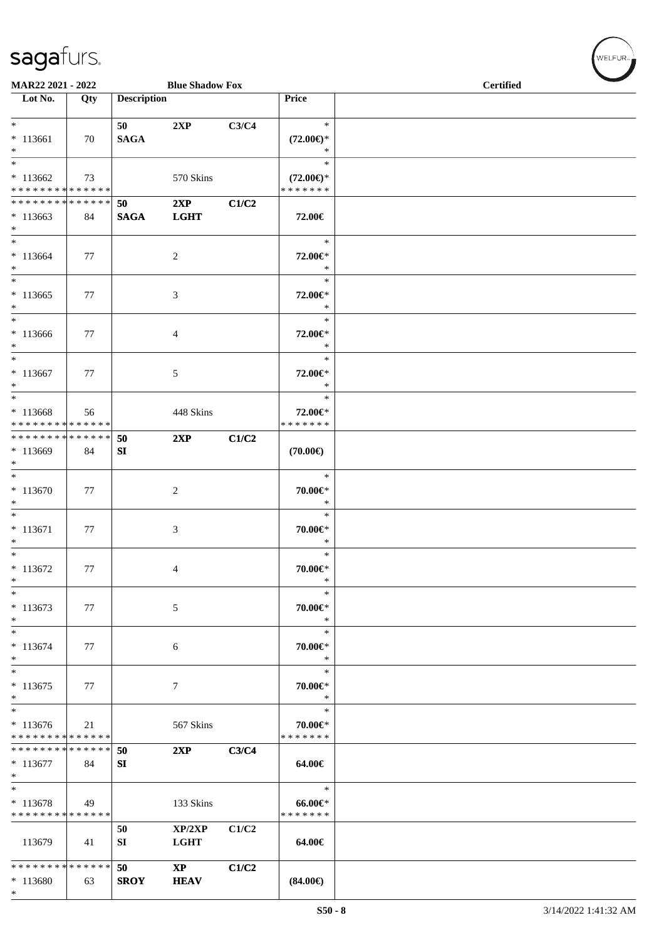\*

|                                                      | MAR22 2021 - 2022<br><b>Blue Shadow Fox</b> |                    |                                       |       |                                                | <b>Certified</b> |
|------------------------------------------------------|---------------------------------------------|--------------------|---------------------------------------|-------|------------------------------------------------|------------------|
| Lot No.                                              | Qty                                         | <b>Description</b> |                                       |       | Price                                          |                  |
| $*$<br>$* 113661$<br>$*$                             | 70                                          | 50<br><b>SAGA</b>  | 2XP                                   | C3/C4 | $\ast$<br>$(72.00\epsilon)$ *<br>$\ast$        |                  |
| $\ast$<br>$*113662$<br>* * * * * * * * * * * * * * * | 73                                          |                    | 570 Skins                             |       | $\ast$<br>$(72.00\epsilon)$ *<br>* * * * * * * |                  |
| * * * * * * * * * * * * * * *<br>$*113663$<br>$*$    | 84                                          | 50<br><b>SAGA</b>  | 2XP<br><b>LGHT</b>                    | C1/C2 | 72.00€                                         |                  |
| $*$<br>$* 113664$<br>$\ast$                          | 77                                          |                    | 2                                     |       | $\ast$<br>72.00€*<br>$\ast$                    |                  |
| $*$<br>$*113665$<br>$\ast$<br>$*$                    | 77                                          |                    | 3                                     |       | $\ast$<br>72.00€*<br>$\ast$                    |                  |
| $*113666$<br>$*$<br>$\ast$                           | 77                                          |                    | $\overline{4}$                        |       | $\ast$<br>72.00€*<br>$\ast$<br>$\ast$          |                  |
| $* 113667$<br>$*$<br>$*$                             | 77                                          |                    | $\sqrt{5}$                            |       | 72.00€*<br>$\ast$                              |                  |
| $* 113668$<br>* * * * * * * * * * * * * *            | 56                                          |                    | 448 Skins                             |       | $\ast$<br>72.00€*<br>* * * * * * *             |                  |
| ******** <mark>******</mark><br>* 113669<br>$\ast$   | 84                                          | 50<br>SI           | 2XP                                   | C1/C2 | $(70.00\epsilon)$                              |                  |
| $*$<br>$* 113670$<br>$\ast$                          | 77                                          |                    | $\overline{c}$                        |       | $\ast$<br>70.00€*<br>$\ast$                    |                  |
| $*$<br>$* 113671$<br>$\ast$                          | 77                                          |                    | $\mathfrak{Z}$                        |       | $\ast$<br>70.00€*<br>$\ast$                    |                  |
| $*$<br>$* 113672$<br>$\ast$                          | 77                                          |                    | $\overline{4}$                        |       | $\ast$<br>$70.00 \in$<br>$\ast$                |                  |
| $\ast$<br>$* 113673$<br>$\ast$                       | 77                                          |                    | $\sqrt{5}$                            |       | $\ast$<br>70.00€*<br>$\ast$                    |                  |
| $\ast$<br>$* 113674$<br>$\ast$                       | 77                                          |                    | 6                                     |       | $\ast$<br>70.00€*<br>$\ast$                    |                  |
| $\ast$<br>$* 113675$<br>$\ast$                       | 77                                          |                    | 7                                     |       | $\ast$<br>70.00€*<br>$\ast$                    |                  |
| $\ast$<br>* 113676<br>* * * * * * * * * * * * * *    | 21                                          |                    | 567 Skins                             |       | $\ast$<br>70.00€*<br>* * * * * * *             |                  |
| * * * * * * * * * * * * * *<br>* 113677<br>$*$       | 84                                          | 50<br>SI           | 2XP                                   | C3/C4 | 64.00€                                         |                  |
| $*$<br>$* 113678$<br>* * * * * * * * * * * * * *     | 49                                          |                    | 133 Skins                             |       | $\ast$<br>$66.00 \in$<br>* * * * * * *         |                  |
| 113679                                               | 41                                          | 50<br>SI           | XP/2XP<br><b>LGHT</b>                 | C1/C2 | 64.00€                                         |                  |
| * * * * * * * * * * * * * *<br>$*113680$             | 63                                          | 50<br><b>SROY</b>  | $\mathbf{X}\mathbf{P}$<br><b>HEAV</b> | C1/C2 | $(84.00\epsilon)$                              |                  |

 $(\forall ELFUR_{\text{max}})$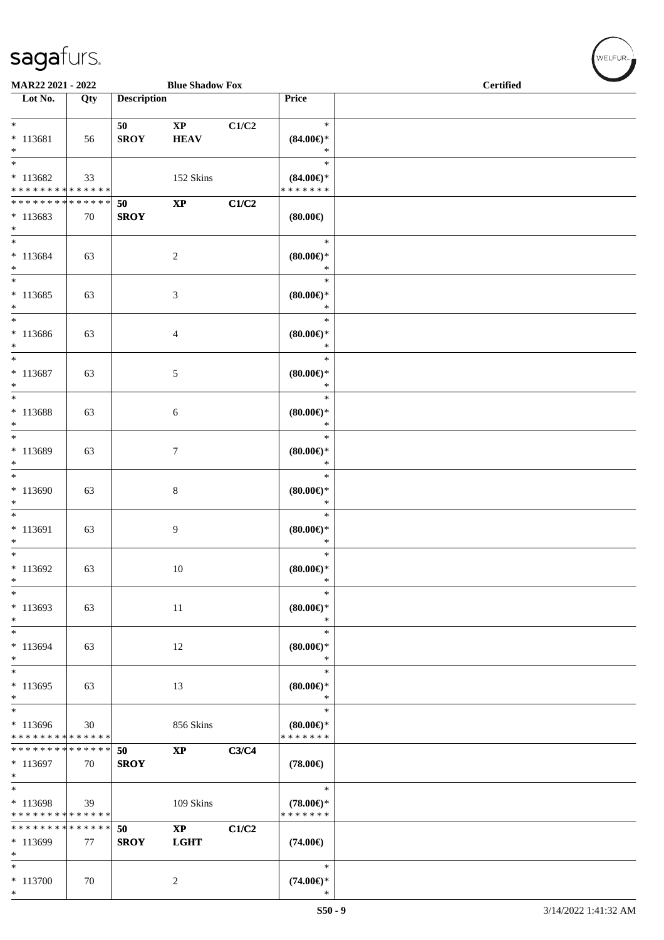\*

| MAR22 2021 - 2022<br><b>Blue Shadow Fox</b>                                        |     |                    |                                       |       |                                                | <b>Certified</b> |
|------------------------------------------------------------------------------------|-----|--------------------|---------------------------------------|-------|------------------------------------------------|------------------|
| Lot No.                                                                            | Qty | <b>Description</b> |                                       |       | <b>Price</b>                                   |                  |
| $*$<br>$* 113681$<br>$*$                                                           | 56  | 50<br><b>SROY</b>  | $\mathbf{X}\mathbf{P}$<br><b>HEAV</b> | C1/C2 | $\ast$<br>$(84.00\epsilon)$ *<br>$\ast$        |                  |
| $\overline{\ast}$<br>$*113682$<br>* * * * * * * * <mark>* * * * * * *</mark>       | 33  |                    | 152 Skins                             |       | $\ast$<br>$(84.00\epsilon)$ *<br>* * * * * * * |                  |
| * * * * * * * * <mark>* * * * * *</mark><br>$*113683$<br>$*$                       | 70  | 50<br><b>SROY</b>  | $\mathbf{XP}$                         | C1/C2 | $(80.00\epsilon)$                              |                  |
| $*$<br>* 113684<br>$*$                                                             | 63  |                    | $\sqrt{2}$                            |       | $\ast$<br>(80.00)<br>$\ast$                    |                  |
| $*$<br>$* 113685$<br>$*$                                                           | 63  |                    | 3                                     |       | $\ast$<br>$(80.00\epsilon)$ *<br>$\ast$        |                  |
| $\ast$<br>* 113686<br>$*$                                                          | 63  |                    | $\overline{4}$                        |       | $\ast$<br>$(80.00\epsilon)$ *<br>$\ast$        |                  |
| $*$<br>$* 113687$<br>$*$                                                           | 63  |                    | 5                                     |       | $\ast$<br>$(80.00\epsilon)$ *<br>$\ast$        |                  |
| $*$<br>* 113688<br>$*$                                                             | 63  |                    | 6                                     |       | $\ast$<br>$(80.00\epsilon)$ *<br>$\ast$        |                  |
| * 113689<br>$*$                                                                    | 63  |                    | $\tau$                                |       | $\ast$<br>$(80.00\epsilon)$ *<br>$\ast$        |                  |
| $* 113690$<br>$*$                                                                  | 63  |                    | $\,8\,$                               |       | $\ast$<br>$(80.00\epsilon)$ *<br>$\ast$        |                  |
| $*$<br>$* 113691$<br>$*$                                                           | 63  |                    | 9                                     |       | $\ast$<br>$(80.00\epsilon)$ *<br>$\ast$        |                  |
| $*$<br>$*113692$<br>*                                                              | 63  |                    | 10                                    |       | $\ast$<br>$(80.00\epsilon)$ *<br>$\ast$        |                  |
| $\ast$<br>* 113693<br>$*$                                                          | 63  |                    | 11                                    |       | $\ast$<br>$(80.00\epsilon)$ *<br>$\ast$        |                  |
| $*$<br>$* 113694$<br>*                                                             | 63  |                    | 12                                    |       | $\ast$<br>$(80.00\epsilon)$ *<br>$\ast$        |                  |
| $\ast$<br>$*113695$<br>$\ast$                                                      | 63  |                    | 13                                    |       | $\ast$<br>$(80.00 \in )^*$<br>$\ast$           |                  |
| $\overline{\phantom{0}}$<br>* 113696<br>* * * * * * * * <mark>* * * * * * *</mark> | 30  |                    | 856 Skins                             |       | $\ast$<br>$(80.00 \in )^*$<br>* * * * * * *    |                  |
| * * * * * * * * <mark>* * * * * * *</mark><br>$*113697$<br>$*$                     | 70  | 50<br><b>SROY</b>  | $\bold{XP}$                           | C3/C4 | $(78.00\epsilon)$                              |                  |
| $*$<br>* 113698<br>* * * * * * * * * * * * * *                                     | 39  |                    | 109 Skins                             |       | $\ast$<br>$(78.00\epsilon)$ *<br>* * * * * * * |                  |
| * * * * * * * * * * * * * *<br>$* 113699$<br>$*$                                   | 77  | 50<br><b>SROY</b>  | $\mathbf{X}\mathbf{P}$<br><b>LGHT</b> | C1/C2 | $(74.00\epsilon)$                              |                  |
| $\ast$<br>$* 113700$<br>$\ast$                                                     | 70  |                    | $\overline{c}$                        |       | $\ast$<br>$(74.00\epsilon)$ *<br>$\ast$        |                  |

 $(w$ ELFUR<sub>m</sub>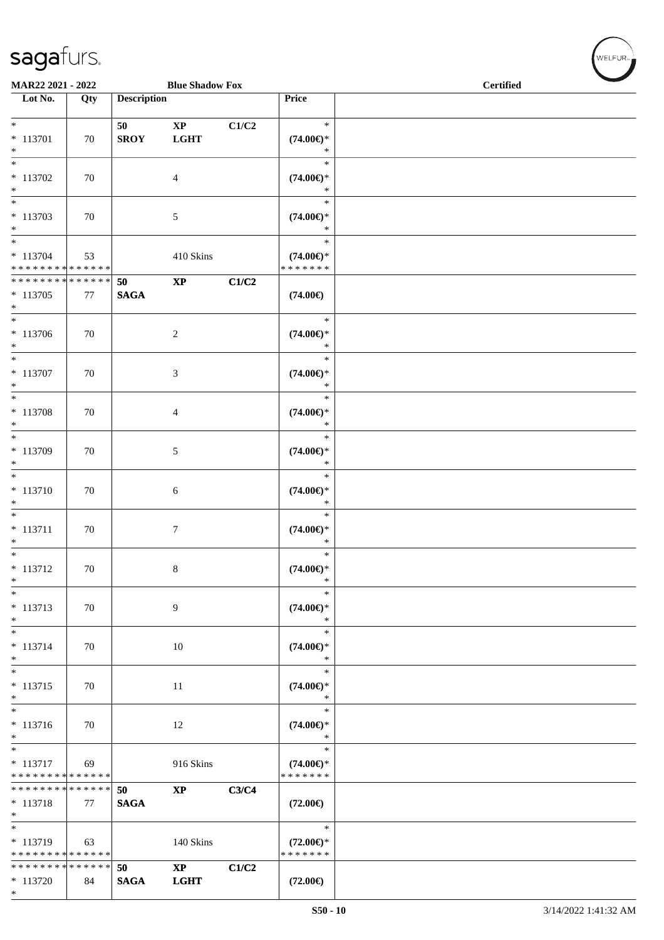\*

| MAR22 2021 - 2022                                   |     |                    | <b>Blue Shadow Fox</b>                |       |                                                | <b>Certified</b> |  |
|-----------------------------------------------------|-----|--------------------|---------------------------------------|-------|------------------------------------------------|------------------|--|
| Lot No.                                             | Qty | <b>Description</b> |                                       |       | Price                                          |                  |  |
| * 113701<br>$*$                                     | 70  | 50<br><b>SROY</b>  | $\mathbf{X}\mathbf{P}$<br><b>LGHT</b> | C1/C2 | $\ast$<br>$(74.00\epsilon)$ *<br>$\ast$        |                  |  |
| $\overline{\phantom{0}}$<br>$* 113702$<br>$*$       | 70  |                    | $\overline{4}$                        |       | $\ast$<br>$(74.00\epsilon)$ *<br>$\ast$        |                  |  |
| $\ast$<br>* 113703<br>$*$                           | 70  |                    | $\mathfrak{S}$                        |       | $\ast$<br>$(74.00\epsilon)$ *<br>$\ast$        |                  |  |
| $\ast$<br>$* 113704$<br>* * * * * * * * * * * * * * | 53  |                    | 410 Skins                             |       | $\ast$<br>$(74.00\epsilon)$ *<br>* * * * * * * |                  |  |
| * * * * * * * * * * * * * *<br>$* 113705$<br>$*$    | 77  | 50<br><b>SAGA</b>  | $\bold{XP}$                           | C1/C2 | $(74.00\epsilon)$                              |                  |  |
| $*$<br>$* 113706$<br>$*$                            | 70  |                    | $\sqrt{2}$                            |       | $\ast$<br>$(74.00\epsilon)$ *<br>$\ast$        |                  |  |
| $\ast$<br>$* 113707$<br>$*$                         | 70  |                    | $\mathfrak{Z}$                        |       | $\ast$<br>$(74.00\epsilon)$ *<br>$\ast$        |                  |  |
| $*$<br>$* 113708$<br>$*$                            | 70  |                    | $\overline{4}$                        |       | $\ast$<br>$(74.00\epsilon)$ *<br>$\ast$        |                  |  |
| $*$<br>$* 113709$<br>$*$                            | 70  |                    | 5                                     |       | $\ast$<br>$(74.00\epsilon)$ *<br>$\ast$        |                  |  |
| $*$<br>$* 113710$<br>$\ast$                         | 70  |                    | 6                                     |       | $\ast$<br>$(74.00\epsilon)$ *<br>$\ast$        |                  |  |
| $*$<br>$* 113711$<br>$\ast$                         | 70  |                    | $\tau$                                |       | $\ast$<br>$(74.00\epsilon)$ *<br>$\ast$        |                  |  |
| $* 113712$<br>$\ast$                                | 70  |                    | $\,8\,$                               |       | $\ast$<br>$(74.00\epsilon)$ *<br>$\ast$        |                  |  |
| $\ast$<br>* 113713<br>$*$                           | 70  |                    | 9                                     |       | $\ast$<br>$(74.00\epsilon)$ *<br>$\ast$        |                  |  |
| $*$<br>$* 113714$<br>$*$                            | 70  |                    | 10                                    |       | $\ast$<br>$(74.00€)$ *<br>$\ast$               |                  |  |
| $*$<br>$* 113715$<br>$*$                            | 70  |                    | 11                                    |       | $\ast$<br>$(74.00\epsilon)$ *<br>$\ast$        |                  |  |
| $*$<br>* 113716<br>$\ast$                           | 70  |                    | 12                                    |       | $\ast$<br>$(74.00\epsilon)$ *<br>$\ast$        |                  |  |
| $*$<br>* 113717<br>* * * * * * * * * * * * * *      | 69  |                    | 916 Skins                             |       | $\ast$<br>$(74.00\epsilon)$ *<br>* * * * * * * |                  |  |
| * * * * * * * * * * * * * *<br>$* 113718$<br>$*$    | 77  | 50<br><b>SAGA</b>  | $\bold{XP}$                           | C3/C4 | $(72.00\epsilon)$                              |                  |  |
| $*$<br>* 113719<br>* * * * * * * * * * * * * *      | 63  |                    | 140 Skins                             |       | $\ast$<br>$(72.00\epsilon)$ *<br>* * * * * * * |                  |  |
| * * * * * * * * * * * * * *<br>$* 113720$           | 84  | 50<br><b>SAGA</b>  | $\mathbf{X}\mathbf{P}$<br><b>LGHT</b> | C1/C2 | $(72.00\epsilon)$                              |                  |  |

 $(\sqrt{\text{WELFUR}_{\text{max}}})$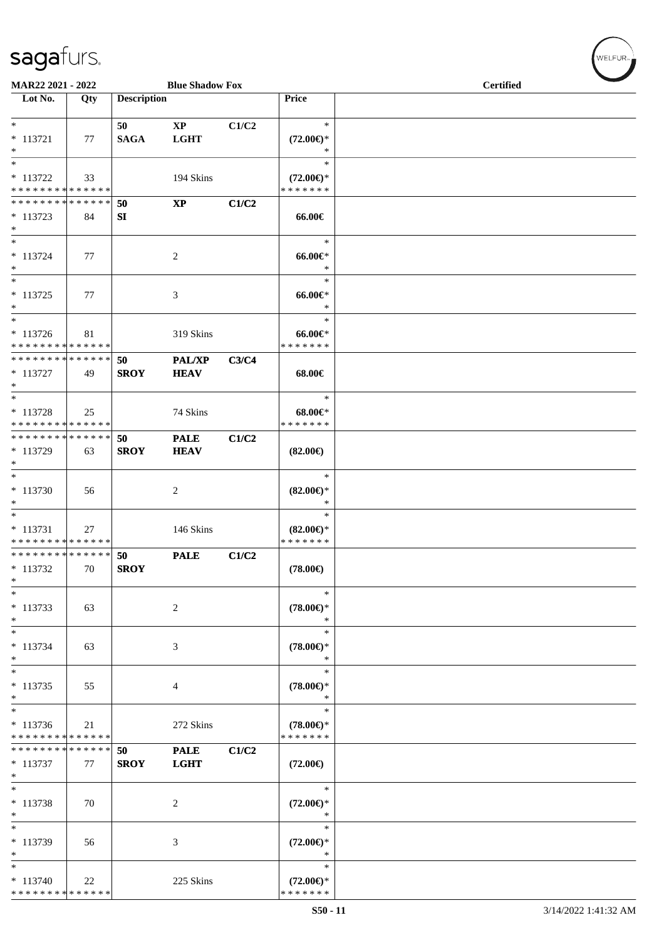\* \* \* \* \* \* \* \* \* \* \* \* \* \*

| MAR22 2021 - 2022                                                                  |     |                    | <b>Blue Shadow Fox</b>                |       |                                                | <b>Certified</b> |  |  |  |  |
|------------------------------------------------------------------------------------|-----|--------------------|---------------------------------------|-------|------------------------------------------------|------------------|--|--|--|--|
| Lot No.                                                                            | Qty | <b>Description</b> |                                       |       | Price                                          |                  |  |  |  |  |
| $*$<br>$* 113721$<br>$\ast$                                                        | 77  | 50<br><b>SAGA</b>  | $\mathbf{X}\mathbf{P}$<br><b>LGHT</b> | C1/C2 | $\ast$<br>$(72.00\epsilon)$ *<br>*             |                  |  |  |  |  |
| $*$<br>$* 113722$<br>* * * * * * * * * * * * * * *                                 | 33  |                    | 194 Skins                             |       | $\ast$<br>$(72.00\epsilon)$ *<br>* * * * * * * |                  |  |  |  |  |
| * * * * * * * * * * * * * * *<br>$* 113723$<br>$*$                                 | 84  | 50<br>SI           | $\bold{XP}$                           | C1/C2 | 66.00€                                         |                  |  |  |  |  |
| $*$<br>$* 113724$<br>$*$                                                           | 77  |                    | 2                                     |       | $\ast$<br>$66.00 \in$<br>$\ast$                |                  |  |  |  |  |
| $* 113725$<br>$*$                                                                  | 77  |                    | 3                                     |       | $\ast$<br>$66.00 \text{E}$<br>$\ast$           |                  |  |  |  |  |
| $\overline{\phantom{0}}$<br>* 113726<br>* * * * * * * * <mark>* * * * * * *</mark> | 81  |                    | 319 Skins                             |       | $\ast$<br>$66.00 \in$<br>* * * * * * *         |                  |  |  |  |  |
| * * * * * * * * <mark>* * * * * *</mark><br>$* 113727$<br>$*$                      | 49  | 50<br><b>SROY</b>  | PAL/XP<br><b>HEAV</b>                 | C3/C4 | 68.00€                                         |                  |  |  |  |  |
| $* 113728$<br>* * * * * * * * <mark>* * * * * * *</mark>                           | 25  |                    | 74 Skins                              |       | $\ast$<br>$68.00 \in$<br>* * * * * * *         |                  |  |  |  |  |
| * * * * * * * * <mark>* * * * * *</mark><br>* 113729<br>$*$                        | 63  | 50<br><b>SROY</b>  | <b>PALE</b><br><b>HEAV</b>            | C1/C2 | $(82.00\epsilon)$                              |                  |  |  |  |  |
| $*$<br>$* 113730$<br>$*$                                                           | 56  |                    | 2                                     |       | $\ast$<br>$(82.00\epsilon)$ *<br>∗             |                  |  |  |  |  |
| $*$<br>$* 113731$<br>* * * * * * * * <mark>* * * * * * *</mark>                    | 27  |                    | 146 Skins                             |       | $\ast$<br>$(82.00\epsilon)$ *<br>* * * * * * * |                  |  |  |  |  |
| * * * * * * * * <mark>* * * * * * *</mark><br>$* 113732$<br>$\ast$                 | 70  | 50<br><b>SROY</b>  | <b>PALE</b>                           | C1/C2 | $(78.00\epsilon)$                              |                  |  |  |  |  |
| $\ast$<br>$* 113733$<br>$*$                                                        | 63  |                    | $\sqrt{2}$                            |       | $\ast$<br>$(78.00\in)^\ast$<br>$\ast$          |                  |  |  |  |  |
| $*$<br>$* 113734$<br>*                                                             | 63  |                    | 3                                     |       | $\ast$<br>$(78.00\epsilon)$ *<br>$\ast$        |                  |  |  |  |  |
| $*$<br>$* 113735$<br>$*$                                                           | 55  |                    | 4                                     |       | $\ast$<br>$(78.00\epsilon)$ *<br>$\ast$        |                  |  |  |  |  |
| $*$<br>$* 113736$<br>* * * * * * * * <mark>* * * * * * *</mark>                    | 21  |                    | 272 Skins                             |       | $\ast$<br>$(78.00\epsilon)$ *<br>* * * * * * * |                  |  |  |  |  |
| * * * * * * * * <mark>* * * * * *</mark><br>$*113737$<br>$\ast$                    | 77  | 50<br><b>SROY</b>  | <b>PALE</b><br><b>LGHT</b>            | C1/C2 | $(72.00\epsilon)$                              |                  |  |  |  |  |
| $\overline{\phantom{0}}$<br>* 113738<br>$\ast$                                     | 70  |                    | 2                                     |       | $\ast$<br>$(72.00\epsilon)$ *<br>∗             |                  |  |  |  |  |
| $*$<br>* 113739<br>$\ast$                                                          | 56  |                    | 3                                     |       | $\ast$<br>$(72.00\epsilon)$ *<br>$\ast$        |                  |  |  |  |  |
| $*$<br>$* 113740$                                                                  | 22  |                    | 225 Skins                             |       | $\ast$<br>$(72.00\epsilon)$ *                  |                  |  |  |  |  |

\* \* \* \* \* \* \*

 $w$ ELFUR-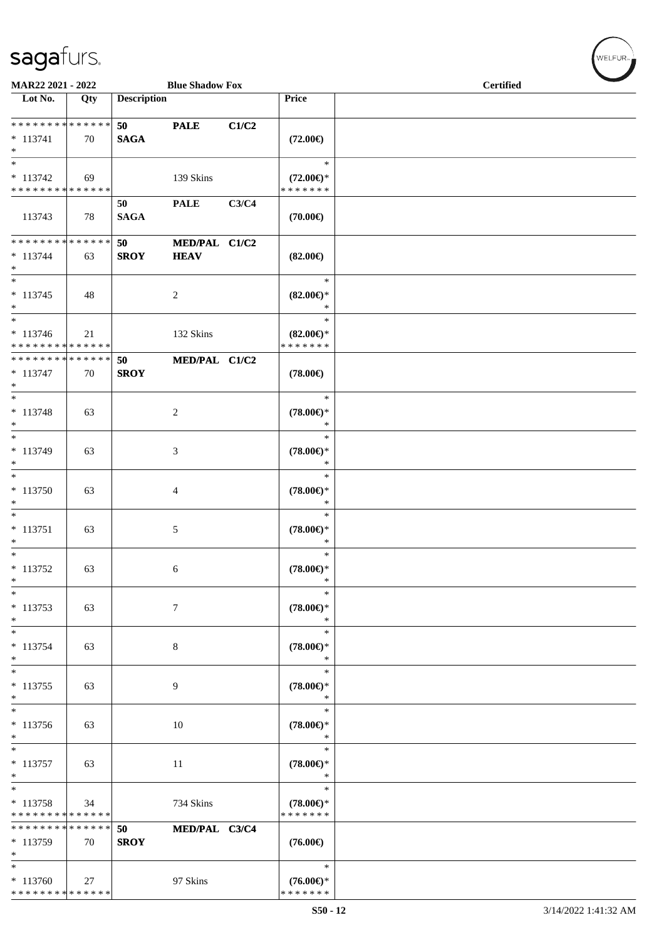\* \* \* \* \* \* \* \* \* \* \* \* \* \*

| MAR22 2021 - 2022                                          |     |                    | <b>Blue Shadow Fox</b>       |       |                                                | <b>Certified</b> |  |  |  |  |
|------------------------------------------------------------|-----|--------------------|------------------------------|-------|------------------------------------------------|------------------|--|--|--|--|
| Lot No.                                                    | Qty | <b>Description</b> |                              |       | Price                                          |                  |  |  |  |  |
| * * * * * * * * * * * * * *<br>$* 113741$<br>$*$           | 70  | 50<br><b>SAGA</b>  | <b>PALE</b>                  | C1/C2 | $(72.00\epsilon)$                              |                  |  |  |  |  |
| $* 113742$<br>* * * * * * * * <mark>* * * * * *</mark>     | 69  |                    | 139 Skins                    |       | $\ast$<br>$(72.00\epsilon)$ *<br>* * * * * * * |                  |  |  |  |  |
| 113743                                                     | 78  | 50<br><b>SAGA</b>  | <b>PALE</b>                  | C3/C4 | $(70.00\epsilon)$                              |                  |  |  |  |  |
| * * * * * * * * * * * * * *<br>$* 113744$<br>$*$           | 63  | 50<br><b>SROY</b>  | MED/PAL C1/C2<br><b>HEAV</b> |       | $(82.00\epsilon)$                              |                  |  |  |  |  |
| $_{*}$<br>$* 113745$<br>$*$                                | 48  |                    | $\overline{c}$               |       | $\ast$<br>$(82.00\epsilon)$ *<br>$\ast$        |                  |  |  |  |  |
| $*$<br>$* 113746$<br>* * * * * * * * * * * * * *           | 21  |                    | 132 Skins                    |       | $\ast$<br>$(82.00\epsilon)$ *<br>* * * * * * * |                  |  |  |  |  |
| * * * * * * * * * * * * * *<br>$* 113747$<br>$*$           | 70  | 50<br><b>SROY</b>  | MED/PAL C1/C2                |       | $(78.00\epsilon)$                              |                  |  |  |  |  |
| $*$<br>$* 113748$<br>$*$                                   | 63  |                    | 2                            |       | $\ast$<br>$(78.00\epsilon)$ *                  |                  |  |  |  |  |
| * 113749<br>$*$                                            | 63  |                    | 3                            |       | $\ast$<br>$(78.00\epsilon)$ *<br>$\ast$        |                  |  |  |  |  |
| $\overline{\phantom{0}}$<br>$* 113750$<br>$*$              | 63  |                    | 4                            |       | $\ast$<br>$(78.00\epsilon)$ *<br>$\ast$        |                  |  |  |  |  |
| $*$<br>$* 113751$<br>$*$                                   | 63  |                    | $\sqrt{5}$                   |       | $\ast$<br>$(78.00\epsilon)$ *<br>$\ast$        |                  |  |  |  |  |
| $*$<br>$* 113752$<br>$\ast$                                | 63  |                    | 6                            |       | $\ast$<br>$(78.00\epsilon)$ *<br>$\ast$        |                  |  |  |  |  |
| $*$<br>$* 113753$<br>$\ast$                                | 63  |                    | $\tau$                       |       | $\ast$<br>$(78.00\epsilon)$ *<br>$\ast$        |                  |  |  |  |  |
| $\ast$<br>$* 113754$<br>$\ast$                             | 63  |                    | $\,8\,$                      |       | $\ast$<br>$(78.00\epsilon)$ *<br>$\ast$        |                  |  |  |  |  |
| $\overline{\ast}$<br>* 113755<br>$*$                       | 63  |                    | 9                            |       | $\ast$<br>$(78.00\epsilon)$ *<br>$\ast$        |                  |  |  |  |  |
| * 113756<br>$*$                                            | 63  |                    | 10                           |       | $\ast$<br>$(78.00\epsilon)$ *<br>$\ast$        |                  |  |  |  |  |
| $*$<br>$* 113757$<br>$*$                                   | 63  |                    | 11                           |       | $\ast$<br>$(78.00\epsilon)$ *<br>$\ast$        |                  |  |  |  |  |
| $\overline{\ }$<br>* 113758<br>* * * * * * * * * * * * * * | 34  |                    | 734 Skins                    |       | $\ast$<br>$(78.00\epsilon)$ *<br>* * * * * * * |                  |  |  |  |  |
| * * * * * * * * * * * * * *<br>$* 113759$<br>$\ast$        | 70  | 50<br><b>SROY</b>  | MED/PAL C3/C4                |       | $(76.00\epsilon)$                              |                  |  |  |  |  |
| $*$<br>$* 113760$                                          | 27  |                    | 97 Skins                     |       | $\ast$<br>$(76.00\epsilon)$ *                  |                  |  |  |  |  |

\* \* \* \* \* \* \*

 $w$ elfur<sub>m</sub>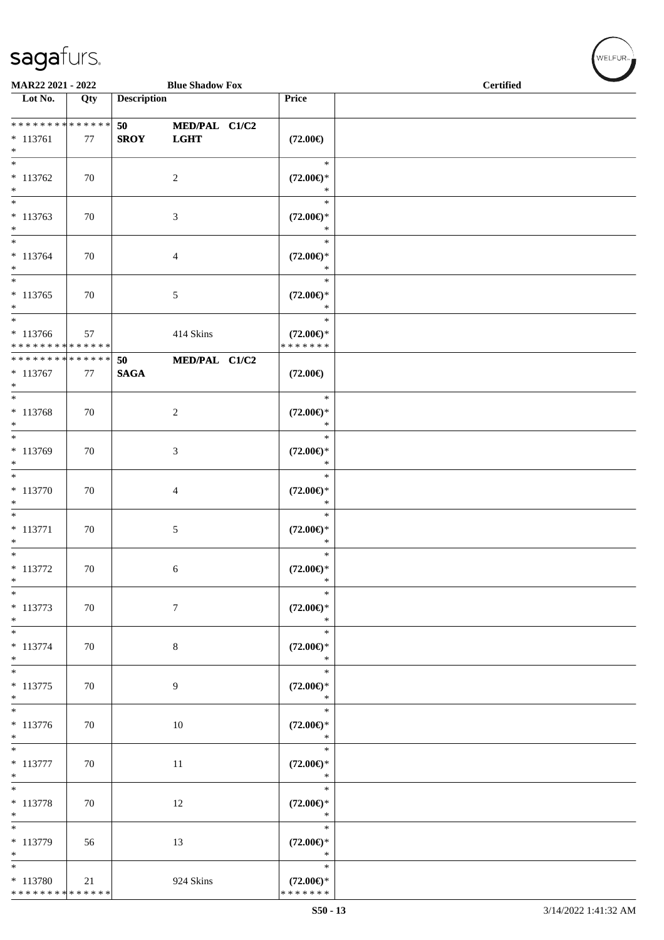| MAR22 2021 - 2022                                          |     |                    | <b>Blue Shadow Fox</b>       |                                                   | <b>Certified</b> |  |
|------------------------------------------------------------|-----|--------------------|------------------------------|---------------------------------------------------|------------------|--|
| Lot No.                                                    | Qty | <b>Description</b> |                              | Price                                             |                  |  |
| **************<br>$* 113761$<br>$\ast$                     | 77  | 50<br><b>SROY</b>  | MED/PAL C1/C2<br><b>LGHT</b> | $(72.00\epsilon)$                                 |                  |  |
| $\ast$<br>$* 113762$<br>$\ast$                             | 70  |                    | $\sqrt{2}$                   | $\ast$<br>$(72.00\epsilon)$ *<br>$\ast$           |                  |  |
| $\ast$<br>$* 113763$<br>$\ast$                             | 70  |                    | 3                            | $\ast$<br>$(72.00\epsilon)$ *<br>$\ast$           |                  |  |
| $\overline{\phantom{a}^*}$<br>$* 113764$<br>$\ast$         | 70  |                    | $\overline{4}$               | $\ast$<br>$(72.00\epsilon)$ *<br>$\ast$           |                  |  |
| $\overline{\phantom{a}}$<br>$* 113765$<br>$\ast$           | 70  |                    | $\sqrt{5}$                   | $\ast$<br>$(72.00\epsilon)$ *<br>$\ast$           |                  |  |
| $\ast$<br>$* 113766$<br>* * * * * * * * * * * * * *        | 57  |                    | 414 Skins                    | $\ast$<br>$(72.00\epsilon)$ *<br>* * * * * * *    |                  |  |
| ******** <mark>******</mark><br>$* 113767$<br>$\ast$       | 77  | 50<br><b>SAGA</b>  | MED/PAL C1/C2                | $(72.00\epsilon)$                                 |                  |  |
| $\overline{\phantom{0}}$<br>* 113768<br>$\ast$             | 70  |                    | $\boldsymbol{2}$             | $\ast$<br>$(72.00\epsilon)$ *<br>$\ast$           |                  |  |
| $\ast$<br>* 113769<br>$\ast$<br>$\overline{\phantom{a}^*}$ | 70  |                    | $\mathfrak{Z}$               | $\ast$<br>$(72.00\mathbb{E})^*$<br>$\ast$         |                  |  |
| $* 113770$<br>$\ast$                                       | 70  |                    | $\overline{4}$               | $\ast$<br>$(72.00\epsilon)$ *<br>$\ast$           |                  |  |
| $_{\ast}^{-}$<br>$* 113771$<br>$\ast$                      | 70  |                    | $\sqrt{5}$                   | $\ast$<br>$(72.00\mathbb{E})^*$<br>$\ast$         |                  |  |
| $\ast$<br>$* 113772$<br>$\ast$<br>$\ast$                   | 70  |                    | 6                            | $\ast$<br>$(72.00\epsilon)$ *<br>$\ast$<br>$\ast$ |                  |  |
| $* 113773$<br>$\ast$<br>$_{*}$                             | 70  |                    | $\boldsymbol{7}$             | $(72.00\epsilon)$ *<br>$\ast$                     |                  |  |
| $* 113774$<br>$\ast$<br>$\ast$                             | 70  |                    | 8                            | $\ast$<br>$(72.00\epsilon)$ *<br>$\ast$           |                  |  |
| $* 113775$<br>$\ast$<br>$\overline{\phantom{a}^*}$         | 70  |                    | $\overline{9}$               | $\ast$<br>$(72.00\in)^\ast$<br>$\ast$<br>$\ast$   |                  |  |
| $* 113776$<br>$\ast$<br>$\overline{\phantom{1}}$           | 70  |                    | 10                           | $(72.00\epsilon)$ *<br>$\ast$                     |                  |  |
| $* 113777$<br>$\ast$<br>$\ast$                             | 70  |                    | $11\,$                       | $\ast$<br>$(72.00\epsilon)$ *<br>$\ast$<br>$\ast$ |                  |  |
| $* 113778$<br>$\ast$<br>$\ast$                             | 70  |                    | 12                           | $(72.00\epsilon)$ *<br>$\ast$                     |                  |  |
| $* 113779$<br>$\ast$                                       | 56  |                    | 13                           | $\ast$<br>$(72.00\epsilon)$ *<br>$\ast$           |                  |  |
| $\ast$<br>$* 113780$<br>******** <mark>******</mark>       | 21  |                    | 924 Skins                    | $\ast$<br>$(72.00\epsilon)$ *<br>* * * * * * *    |                  |  |

WELFUR<sub>"</sub>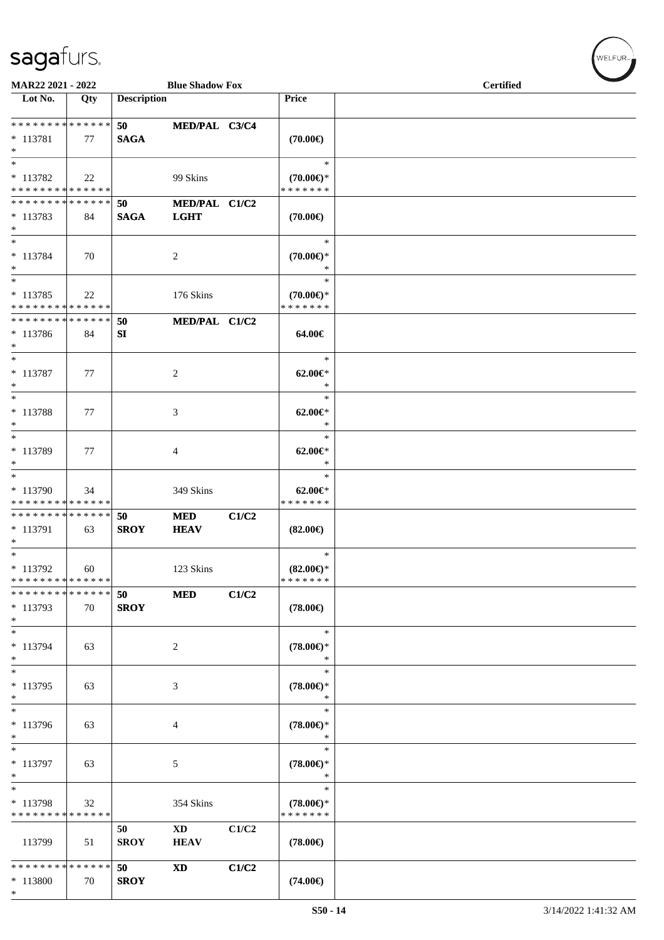\*

| MAR22 2021 - 2022                                           |     |                    | <b>Blue Shadow Fox</b>    |       |                                                | <b>Certified</b> |  |
|-------------------------------------------------------------|-----|--------------------|---------------------------|-------|------------------------------------------------|------------------|--|
| Lot No.                                                     | Qty | <b>Description</b> |                           |       | Price                                          |                  |  |
| * * * * * * * * <mark>* * * * * * *</mark>                  |     | 50                 | MED/PAL C3/C4             |       |                                                |                  |  |
| $* 113781$<br>$\ast$                                        | 77  | <b>SAGA</b>        |                           |       | $(70.00\epsilon)$                              |                  |  |
| $*$<br>* 113782<br>* * * * * * * * * * * * * *              | 22  |                    | 99 Skins                  |       | $\ast$<br>$(70.00\epsilon)$ *<br>* * * * * * * |                  |  |
| * * * * * * * * <mark>* * * * * *</mark>                    |     | 50                 | MED/PAL C1/C2             |       |                                                |                  |  |
| $*113783$<br>$\ast$                                         | 84  | <b>SAGA</b>        | <b>LGHT</b>               |       | $(70.00\epsilon)$                              |                  |  |
| $\ast$<br>* 113784<br>$*$<br>$\overline{\phantom{0}}$       | 70  |                    | 2                         |       | $\ast$<br>$(70.00\epsilon)$ *<br>$\ast$        |                  |  |
| * 113785<br>* * * * * * * * * * * * * *                     | 22  |                    | 176 Skins                 |       | $\ast$<br>$(70.00\epsilon)$ *<br>* * * * * * * |                  |  |
| * * * * * * * * * * * * * * *<br>* 113786<br>$*$            | 84  | 50<br>SI           | MED/PAL C1/C2             |       | 64.00€                                         |                  |  |
| $*$<br>* 113787<br>$*$                                      | 77  |                    | 2                         |       | $\ast$<br>$62.00 \in$ *<br>$\ast$              |                  |  |
| $*$<br>* 113788<br>$*$                                      | 77  |                    | 3                         |       | $\ast$<br>$62.00 \in$<br>$\ast$                |                  |  |
| $*$<br>* 113789<br>$*$                                      | 77  |                    | 4                         |       | $\ast$<br>$62.00 \in$ *<br>$\ast$              |                  |  |
| * 113790<br>* * * * * * * * * * * * * *                     | 34  |                    | 349 Skins                 |       | $\ast$<br>$62.00 \in$ *<br>* * * * * * *       |                  |  |
| * * * * * * * * <mark>* * * * * *</mark><br>* 113791<br>$*$ | 63  | 50<br><b>SROY</b>  | <b>MED</b><br><b>HEAV</b> | C1/C2 | $(82.00\epsilon)$                              |                  |  |
| $*$<br>* 113792<br>* * * * * * * * * * * * * *              | 60  |                    | 123 Skins                 |       | $\ast$<br>$(82.00\epsilon)$ *<br>*******       |                  |  |
| * * * * * * * * * * * * * *<br>* 113793<br>$\ast$           | 70  | 50<br><b>SROY</b>  | <b>MED</b>                | C1/C2 | $(78.00\epsilon)$                              |                  |  |
| $*$<br>* 113794<br>$\ast$                                   | 63  |                    | 2                         |       | $\ast$<br>$(78.00\epsilon)$ *<br>$\ast$        |                  |  |
| $\ast$<br>* 113795<br>$\ast$                                | 63  |                    | 3                         |       | $\ast$<br>$(78.00\epsilon)$ *<br>$\ast$        |                  |  |
| $\overline{\ast}$<br>* 113796<br>$\ast$                     | 63  |                    | 4                         |       | $\ast$<br>$(78.00\epsilon)$ *<br>∗             |                  |  |
| $\overline{\phantom{0}}$<br>* 113797<br>$*$                 | 63  |                    | 5                         |       | $\ast$<br>$(78.00\epsilon)$ *<br>*             |                  |  |
| $*$<br>* 113798<br>* * * * * * * * * * * * * *              | 32  |                    | 354 Skins                 |       | $\ast$<br>$(78.00\in)^\ast$<br>* * * * * * *   |                  |  |
| 113799                                                      | 51  | 50<br><b>SROY</b>  | <b>XD</b><br><b>HEAV</b>  | C1/C2 | $(78.00\epsilon)$                              |                  |  |
| * * * * * * * * * * * * * *<br>* 113800                     | 70  | 50<br><b>SROY</b>  | <b>XD</b>                 | C1/C2 | $(74.00\epsilon)$                              |                  |  |

 $(\forall ELFUR$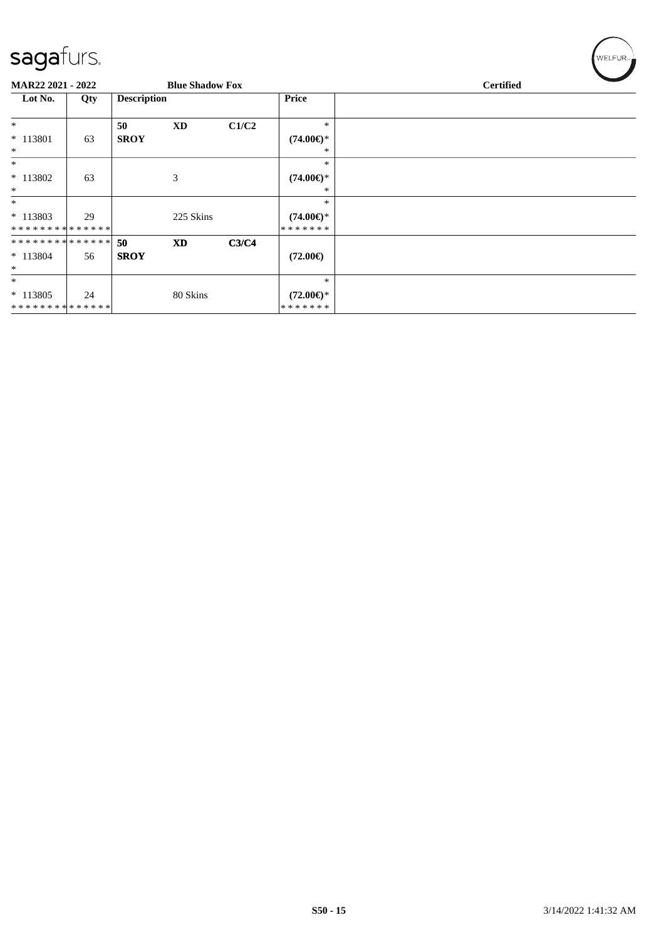| $\overline{\mathcal{Q}}$     |     |                    |                        |       |                                |                  |
|------------------------------|-----|--------------------|------------------------|-------|--------------------------------|------------------|
| MAR22 2021 - 2022            |     |                    | <b>Blue Shadow Fox</b> |       |                                | <b>Certified</b> |
| Lot No.                      | Qty | <b>Description</b> |                        |       | <b>Price</b>                   |                  |
| $*$                          |     | 50                 | <b>XD</b>              | C1/C2 | $\ast$                         |                  |
| * 113801<br>$\ast$           | 63  | <b>SROY</b>        |                        |       | $(74.00\epsilon)$ *<br>∗       |                  |
| $\ast$                       |     |                    |                        |       | $\ast$                         |                  |
| * 113802<br>$\ast$           | 63  |                    | 3                      |       | $(74.00\epsilon)$ *<br>$\ast$  |                  |
| $*$                          |     |                    |                        |       | $\ast$                         |                  |
| $* 113803$<br>************** | 29  |                    | 225 Skins              |       | $(74.00\epsilon)$ *<br>******* |                  |
| **************               |     | 50                 | <b>XD</b>              | C3/C4 |                                |                  |
| $* 113804$<br>$*$            | 56  | <b>SROY</b>        |                        |       | $(72.00\epsilon)$              |                  |
| $*$                          |     |                    |                        |       | $\ast$                         |                  |
| $* 113805$<br>************** | 24  |                    | 80 Skins               |       | $(72.00\epsilon)$ *<br>******* |                  |

 $\left(\mathsf{WELFUR}_{\approx}\right)$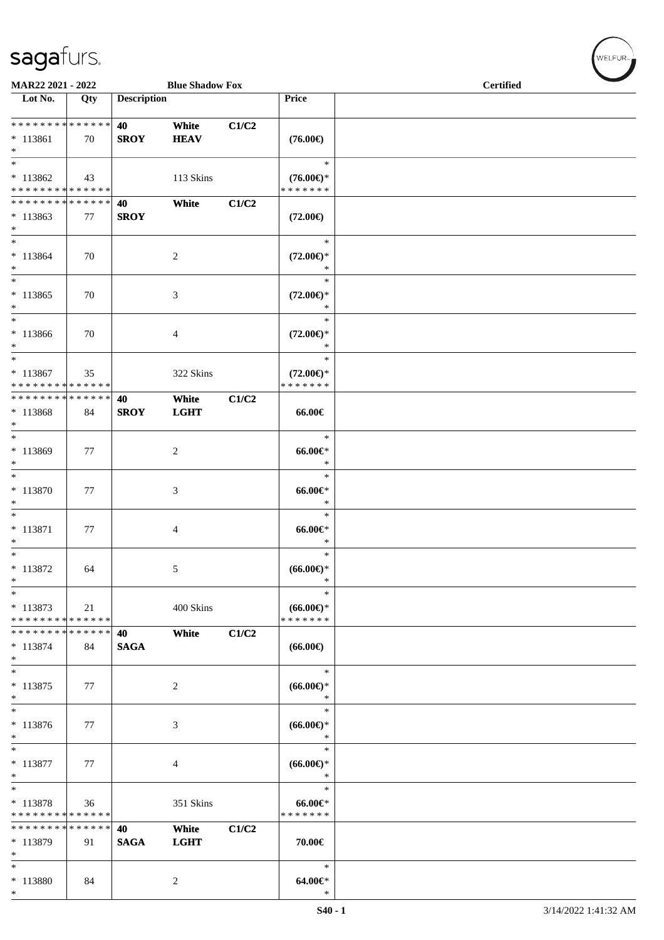\*

| MAR22 2021 - 2022                                               |     |                    | <b>Blue Shadow Fox</b> |       |                                                | <b>Certified</b> |
|-----------------------------------------------------------------|-----|--------------------|------------------------|-------|------------------------------------------------|------------------|
| Lot No.                                                         | Qty | <b>Description</b> |                        |       | Price                                          |                  |
| * * * * * * * * <mark>* * * * * * *</mark><br>$* 113861$<br>$*$ | 70  | 40<br><b>SROY</b>  | White<br><b>HEAV</b>   | C1/C2 | $(76.00\epsilon)$                              |                  |
| * 113862<br>* * * * * * * * * * * * * *                         | 43  |                    | 113 Skins              |       | $\ast$<br>$(76.00\epsilon)$ *<br>* * * * * * * |                  |
| * * * * * * * * * * * * * *<br>$*113863$<br>$*$                 | 77  | 40<br><b>SROY</b>  | White                  | C1/C2 | $(72.00\epsilon)$                              |                  |
| $* 113864$<br>$\ast$                                            | 70  |                    | 2                      |       | $\ast$<br>$(72.00\epsilon)$ *<br>$\ast$        |                  |
| $\ast$<br>* 113865<br>$*$                                       | 70  |                    | 3                      |       | $\ast$<br>$(72.00\epsilon)$ *<br>$\ast$        |                  |
| $*$<br>* 113866<br>$*$                                          | 70  |                    | 4                      |       | $\ast$<br>$(72.00\epsilon)$ *<br>$\ast$        |                  |
| $*$<br>* 113867<br>* * * * * * * * <mark>* * * * * * *</mark>   | 35  |                    | 322 Skins              |       | $\ast$<br>$(72.00\epsilon)$ *<br>* * * * * * * |                  |
| * * * * * * * * <mark>* * * * * *</mark><br>* 113868<br>$\ast$  | 84  | 40<br><b>SROY</b>  | White<br><b>LGHT</b>   | C1/C2 | 66.00€                                         |                  |
| $*$<br>* 113869<br>$*$                                          | 77  |                    | $\overline{c}$         |       | $\ast$<br>$66.00 \in$<br>$\ast$                |                  |
| * 113870<br>$*$                                                 | 77  |                    | 3                      |       | $\ast$<br>$66.00 \text{e}$<br>$\ast$           |                  |
| $\overline{\ast}$<br>* 113871<br>$\ast$                         | 77  |                    | 4                      |       | $\ast$<br>$66.00 \text{e}$<br>$\ast$           |                  |
| $*$<br>* 113872<br>$\ast$                                       | 64  |                    | 5                      |       | $\ast$<br>$(66.00ε)$ *<br>$\ast$               |                  |
| $*$<br>$* 113873$<br>* * * * * * * * * * * * * *                | 21  |                    | 400 Skins              |       | $\ast$<br>$(66.00ε)$ *<br>* * * * * * *        |                  |
| * * * * * * * * * * * * * * *<br>$* 113874$<br>$\ast$           | 84  | 40<br><b>SAGA</b>  | White                  | C1/C2 | $(66.00\epsilon)$                              |                  |
| $*$<br>$* 113875$<br>$\ast$                                     | 77  |                    | 2                      |       | $\ast$<br>$(66.00\epsilon)$ *<br>$\ast$        |                  |
| * 113876<br>$\ast$                                              | 77  |                    | 3                      |       | $\ast$<br>$(66.00ε)$ *<br>$\ast$               |                  |
| $\ast$<br>* 113877<br>$\ast$                                    | 77  |                    | 4                      |       | $\ast$<br>$(66.00ε)$ *<br>$\ast$               |                  |
| $*$<br>* 113878<br>* * * * * * * * * * * * * *                  | 36  |                    | 351 Skins              |       | $\ast$<br>$66.00 \in$<br>* * * * * * *         |                  |
| * * * * * * * * <mark>* * * * * *</mark><br>* 113879<br>$\ast$  | 91  | 40<br><b>SAGA</b>  | White<br><b>LGHT</b>   | C1/C2 | 70.00€                                         |                  |
| $\ast$<br>* 113880<br>$\ast$                                    | 84  |                    | $\overline{c}$         |       | $\ast$<br>$64.00 \in$<br>$\ast$                |                  |

 ${\begin{pmatrix} \text{WELFUR}_{\text{max}} \end{pmatrix}}$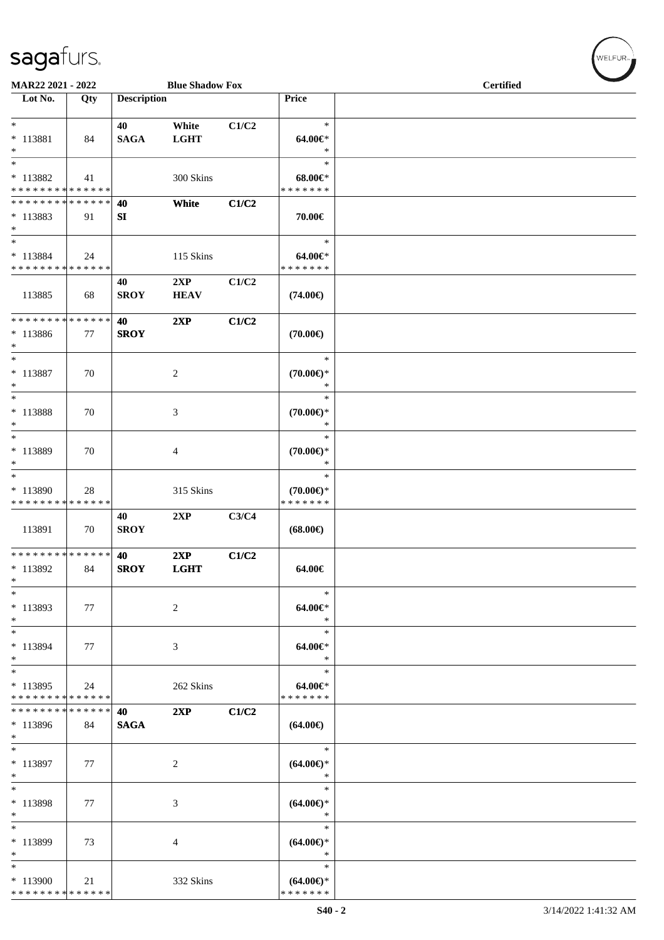| MAR22 2021 - 2022                                                      |     |                    | <b>Blue Shadow Fox</b> |       |                                                | <b>Certified</b> |  |  |  |  |
|------------------------------------------------------------------------|-----|--------------------|------------------------|-------|------------------------------------------------|------------------|--|--|--|--|
| Lot No.                                                                | Qty | <b>Description</b> |                        |       | Price                                          |                  |  |  |  |  |
| $\ast$<br>$* 113881$<br>$\ast$                                         | 84  | 40<br><b>SAGA</b>  | White<br><b>LGHT</b>   | C1/C2 | $\ast$<br>$64.00 \in$<br>$\ast$                |                  |  |  |  |  |
| $\overline{\phantom{1}}$<br>$* 113882$<br>* * * * * * * * * * * * * *  | 41  |                    | 300 Skins              |       | $\ast$<br>$68.00 \in$<br>* * * * * * *         |                  |  |  |  |  |
| * * * * * * * * * * * * * *<br>$* 113883$<br>$\ast$                    | 91  | 40<br>SI           | White                  | C1/C2 | 70.00€                                         |                  |  |  |  |  |
| $\ast$<br>* 113884<br>* * * * * * * * * * * * * *                      | 24  |                    | 115 Skins              |       | $\ast$<br>64.00€*<br>* * * * * * *             |                  |  |  |  |  |
| 113885                                                                 | 68  | 40<br><b>SROY</b>  | 2XP<br><b>HEAV</b>     | C1/C2 | $(74.00\epsilon)$                              |                  |  |  |  |  |
| * * * * * * * * * * * * * *<br>* 113886<br>$\ast$                      | 77  | 40<br><b>SROY</b>  | 2XP                    | C1/C2 | $(70.00\epsilon)$                              |                  |  |  |  |  |
| $\ast$<br>$* 113887$<br>$\ast$                                         | 70  |                    | $\sqrt{2}$             |       | $\ast$<br>$(70.00\epsilon)$ *<br>$\ast$        |                  |  |  |  |  |
| $\overline{\phantom{1}}$<br>$* 113888$<br>$\ast$                       | 70  |                    | 3                      |       | $\ast$<br>$(70.00\epsilon)$ *<br>$\ast$        |                  |  |  |  |  |
| $\ast$<br>* 113889<br>$\ast$                                           | 70  |                    | $\overline{4}$         |       | $\ast$<br>$(70.00\epsilon)$ *<br>$\ast$        |                  |  |  |  |  |
| $\ast$<br>* 113890<br>* * * * * * * * * * * * * *                      | 28  |                    | 315 Skins              |       | $\ast$<br>$(70.00\epsilon)$ *<br>* * * * * * * |                  |  |  |  |  |
| 113891                                                                 | 70  | 40<br><b>SROY</b>  | 2XP                    | C3/C4 | $(68.00\epsilon)$                              |                  |  |  |  |  |
| ******** <mark>******</mark><br>$*113892$<br>$\ast$                    | 84  | 40<br><b>SROY</b>  | 2XP<br><b>LGHT</b>     | C1/C2 | 64.00€                                         |                  |  |  |  |  |
| $\ast$<br>* 113893<br>$\ast$                                           | 77  |                    | 2                      |       | $\ast$<br>64.00€*<br>$\ast$                    |                  |  |  |  |  |
| $\ast$<br>* 113894<br>$*$                                              | 77  |                    | 3                      |       | $\ast$<br>64.00€*<br>$\ast$                    |                  |  |  |  |  |
| $\ast$<br>$*113895$<br>* * * * * * * * * * * * * *                     | 24  |                    | 262 Skins              |       | $\ast$<br>64.00€*<br>* * * * * * *             |                  |  |  |  |  |
| * * * * * * * * * * * * * *<br>$*113896$<br>$*$                        | 84  | 40<br><b>SAGA</b>  | 2XP                    | C1/C2 | $(64.00\epsilon)$                              |                  |  |  |  |  |
| $\ast$<br>* 113897<br>$\ast$                                           | 77  |                    | 2                      |       | $\ast$<br>$(64.00\epsilon)$ *<br>$\ast$        |                  |  |  |  |  |
| $\ast$<br>* 113898<br>$\ast$                                           | 77  |                    | 3                      |       | $\ast$<br>$(64.00ε)$ *<br>$\ast$               |                  |  |  |  |  |
| $\ast$<br>* 113899<br>$\ast$                                           | 73  |                    | 4                      |       | $\ast$<br>$(64.00ε)$ *<br>∗                    |                  |  |  |  |  |
| $\overline{\phantom{a}^*}$<br>$*113900$<br>* * * * * * * * * * * * * * | 21  |                    | 332 Skins              |       | $\ast$<br>$(64.00ε)$ *<br>* * * * * * *        |                  |  |  |  |  |

 $w$ ELFUR<sub>m</sub>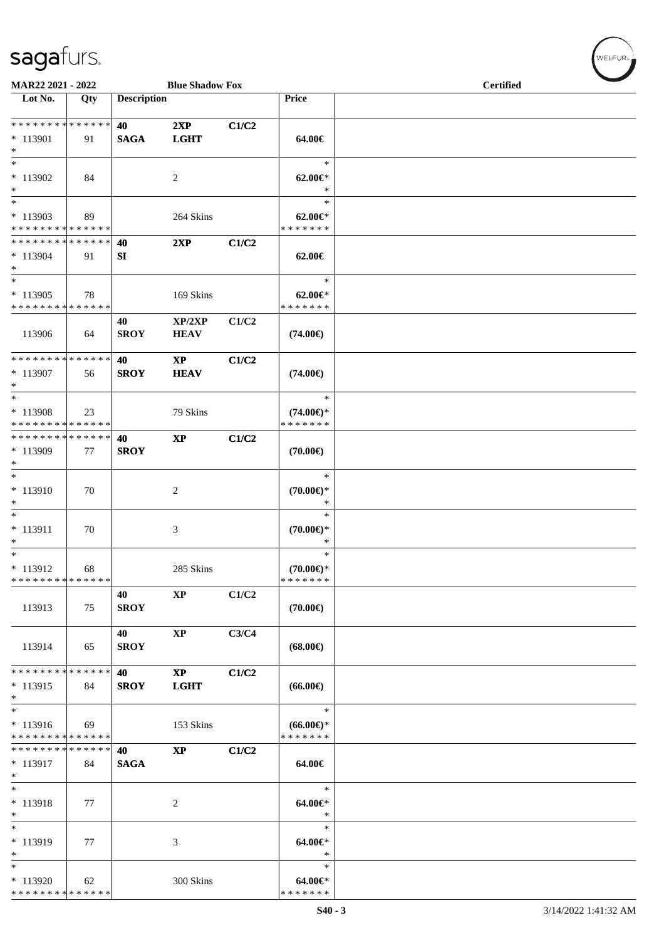| MAR22 2021 - 2022                                                    |     |                    | <b>Blue Shadow Fox</b>       |       |                                                | <b>Certified</b> |  |  |  |  |
|----------------------------------------------------------------------|-----|--------------------|------------------------------|-------|------------------------------------------------|------------------|--|--|--|--|
| Lot No.                                                              | Qty | <b>Description</b> |                              |       | Price                                          |                  |  |  |  |  |
| **************<br>$* 113901$<br>$\ast$                               | 91  | 40<br><b>SAGA</b>  | 2XP<br><b>LGHT</b>           | C1/C2 | 64.00€                                         |                  |  |  |  |  |
| $\ast$<br>* 113902<br>$\ast$                                         | 84  |                    | $\sqrt{2}$                   |       | $\ast$<br>$62.00 \in$ *<br>$\ast$              |                  |  |  |  |  |
| $\ast$<br>$*113903$<br>* * * * * * * * * * * * * *                   | 89  |                    | 264 Skins                    |       | $\ast$<br>$62.00 \in$ *<br>* * * * * * *       |                  |  |  |  |  |
| * * * * * * * * * * * * * *<br>$*113904$<br>$\ast$                   | 91  | 40<br>SI           | 2XP                          | C1/C2 | 62.00€                                         |                  |  |  |  |  |
| $\overline{\phantom{1}}$<br>$*113905$<br>* * * * * * * * * * * * * * | 78  |                    | 169 Skins                    |       | $\ast$<br>$62.00 \in$<br>* * * * * * *         |                  |  |  |  |  |
| 113906                                                               | 64  | 40<br><b>SROY</b>  | XP/2XP<br><b>HEAV</b>        | C1/C2 | $(74.00\epsilon)$                              |                  |  |  |  |  |
| * * * * * * * * * * * * * *<br>* 113907<br>$\ast$                    | 56  | 40<br><b>SROY</b>  | $\mathbf{XP}$<br><b>HEAV</b> | C1/C2 | $(74.00\epsilon)$                              |                  |  |  |  |  |
| $\ast$<br>* 113908<br>* * * * * * * * * * * * * *                    | 23  |                    | 79 Skins                     |       | $\ast$<br>$(74.00\epsilon)$ *<br>* * * * * * * |                  |  |  |  |  |
| **************<br>* 113909<br>$\ast$                                 | 77  | 40<br><b>SROY</b>  | $\mathbf{XP}$                | C1/C2 | $(70.00\epsilon)$                              |                  |  |  |  |  |
| $*$<br>$* 113910$<br>$\ast$                                          | 70  |                    | 2                            |       | $\ast$<br>$(70.00\epsilon)$ *<br>$\ast$        |                  |  |  |  |  |
| $\overline{\phantom{a}^*}$<br>$* 113911$<br>$\ast$                   | 70  |                    | 3                            |       | $\ast$<br>$(70.00\epsilon)$ *<br>$\ast$        |                  |  |  |  |  |
| $\ast$<br>$* 113912$<br>* * * * * * * * * * * * * *                  | 68  |                    | 285 Skins                    |       | $\ast$<br>$(70.00\epsilon)$ *<br>*******       |                  |  |  |  |  |
| 113913                                                               | 75  | 40<br><b>SROY</b>  | $\bold{XP}$                  | C1/C2 | $(70.00\epsilon)$                              |                  |  |  |  |  |
| 113914                                                               | 65  | 40<br><b>SROY</b>  | $\mathbf{X}\mathbf{P}$       | C3/C4 | $(68.00\epsilon)$                              |                  |  |  |  |  |
| * * * * * * * * * * * * * *<br>$* 113915$<br>$\ast$                  | 84  | 40<br><b>SROY</b>  | $\mathbf{XP}$<br><b>LGHT</b> | C1/C2 | $(66.00\epsilon)$                              |                  |  |  |  |  |
| $\ast$<br>$* 113916$<br>* * * * * * * * * * * * * *                  | 69  |                    | 153 Skins                    |       | $\ast$<br>$(66.00\epsilon)$ *<br>* * * * * * * |                  |  |  |  |  |
| * * * * * * * * * * * * * *<br>* 113917<br>$\ast$                    | 84  | 40<br><b>SAGA</b>  | $\mathbf{X}\mathbf{P}$       | C1/C2 | 64.00€                                         |                  |  |  |  |  |
| $\ast$<br>* 113918<br>$\ast$                                         | 77  |                    | $\boldsymbol{2}$             |       | $\ast$<br>64.00€*<br>$\ast$                    |                  |  |  |  |  |
| $\ast$<br>* 113919<br>$\ast$                                         | 77  |                    | $\mathfrak{Z}$               |       | $\ast$<br>64.00€*<br>$\ast$                    |                  |  |  |  |  |
| $\ast$<br>* 113920<br>**************                                 | 62  |                    | 300 Skins                    |       | $\ast$<br>64.00€*<br>* * * * * * *             |                  |  |  |  |  |

 $w$ ELFUR-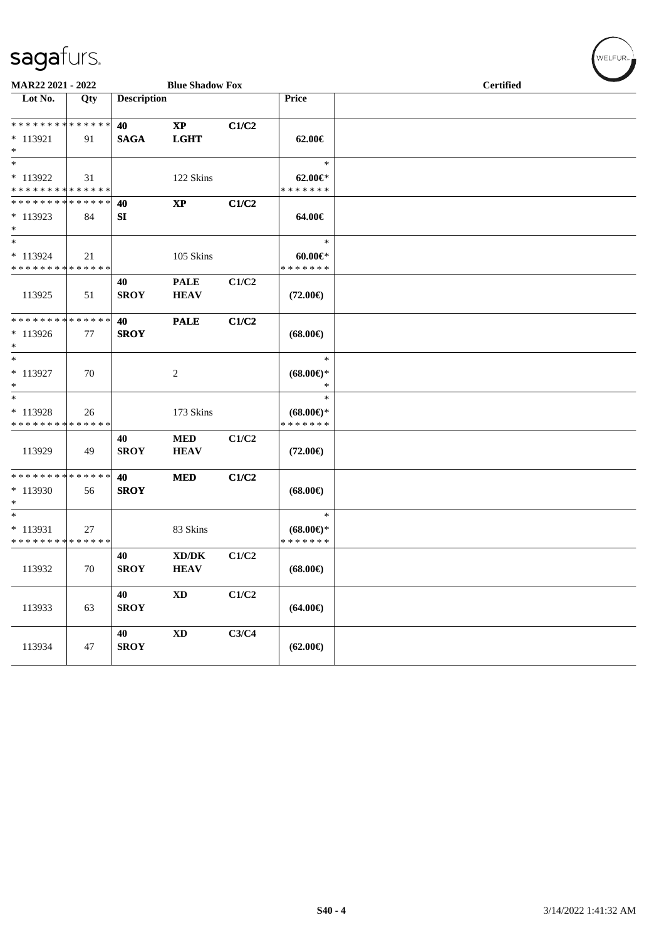| MAR22 2021 - 2022                                             |     |                    | <b>Blue Shadow Fox</b>                |       |                                                | <b>Certified</b> |  |  |  |  |  |
|---------------------------------------------------------------|-----|--------------------|---------------------------------------|-------|------------------------------------------------|------------------|--|--|--|--|--|
| Lot No.                                                       | Qty | <b>Description</b> |                                       |       | Price                                          |                  |  |  |  |  |  |
| * * * * * * * * * * * * * *<br>$*$ 113921<br>$*$              | 91  | 40<br><b>SAGA</b>  | $\mathbf{X}\mathbf{P}$<br><b>LGHT</b> | C1/C2 | 62.00€                                         |                  |  |  |  |  |  |
| $*$<br>* 113922<br>* * * * * * * * <mark>* * * * * * *</mark> | 31  |                    | 122 Skins                             |       | $\ast$<br>$62.00 \in$ *<br>* * * * * * *       |                  |  |  |  |  |  |
| * * * * * * * * * * * * * *<br>$*113923$<br>$*$               | 84  | 40<br>SI           | $\mathbf{X}\mathbf{P}$                | C1/C2 | 64.00€                                         |                  |  |  |  |  |  |
| $*$<br>* 113924<br>* * * * * * * * * * * * * *                | 21  |                    | 105 Skins                             |       | $\ast$<br>$60.00 \in$<br>* * * * * * *         |                  |  |  |  |  |  |
| 113925                                                        | 51  | 40<br><b>SROY</b>  | <b>PALE</b><br><b>HEAV</b>            | C1/C2 | $(72.00\epsilon)$                              |                  |  |  |  |  |  |
| * * * * * * * * * * * * * * *<br>$*113926$<br>$*$             | 77  | 40<br><b>SROY</b>  | <b>PALE</b>                           | C1/C2 | $(68.00\epsilon)$                              |                  |  |  |  |  |  |
| $*$<br>* 113927<br>$*$                                        | 70  |                    | $\boldsymbol{2}$                      |       | $\ast$<br>$(68.00\epsilon)$ *<br>*             |                  |  |  |  |  |  |
| $\ast$<br>* 113928<br>* * * * * * * * * * * * * *             | 26  |                    | 173 Skins                             |       | $\ast$<br>$(68.00\epsilon)$ *<br>* * * * * * * |                  |  |  |  |  |  |
| 113929                                                        | 49  | 40<br><b>SROY</b>  | <b>MED</b><br><b>HEAV</b>             | C1/C2 | $(72.00\epsilon)$                              |                  |  |  |  |  |  |
| * * * * * * * * * * * * * * *<br>* 113930<br>$\ast$           | 56  | 40<br><b>SROY</b>  | <b>MED</b>                            | C1/C2 | $(68.00\epsilon)$                              |                  |  |  |  |  |  |
| $*$<br>* 113931<br>* * * * * * * * * * * * * *                | 27  |                    | 83 Skins                              |       | $\ast$<br>$(68.00\epsilon)$ *<br>* * * * * * * |                  |  |  |  |  |  |
| 113932                                                        | 70  | 40<br><b>SROY</b>  | XD/DK<br><b>HEAV</b>                  | C1/C2 | $(68.00\epsilon)$                              |                  |  |  |  |  |  |
| 113933                                                        | 63  | 40<br><b>SROY</b>  | $\mathbf{X}\mathbf{D}$                | C1/C2 | $(64.00\epsilon)$                              |                  |  |  |  |  |  |
| 113934                                                        | 47  | 40<br><b>SROY</b>  | <b>XD</b>                             | C3/C4 | $(62.00\epsilon)$                              |                  |  |  |  |  |  |

 $(\forall ELFUR_{\approx})$